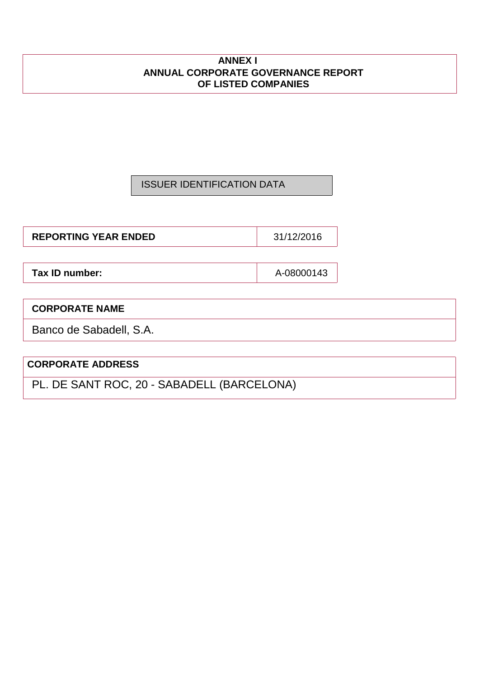## **ANNEX I ANNUAL CORPORATE GOVERNANCE REPORT OF LISTED COMPANIES**

## ISSUER IDENTIFICATION DATA

**REPORTING YEAR ENDED** 31/12/2016

**Tax ID number:**  $\qquad \qquad \qquad$  A-08000143

## **CORPORATE NAME**

Banco de Sabadell, S.A.

## **CORPORATE ADDRESS**

PL. DE SANT ROC, 20 - SABADELL (BARCELONA)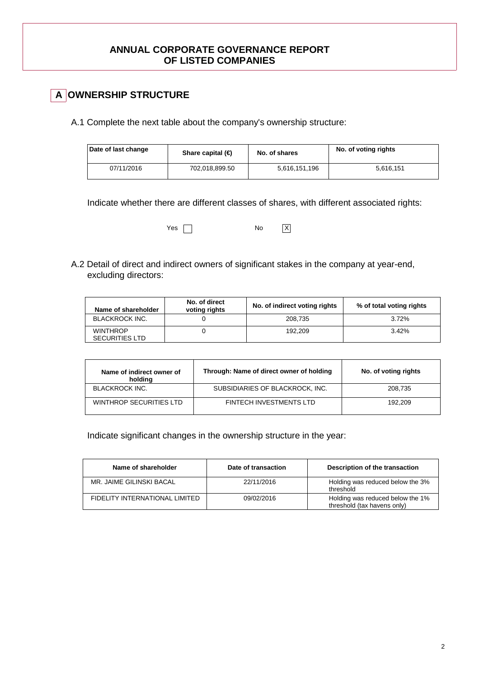## **ANNUAL CORPORATE GOVERNANCE REPORT OF LISTED COMPANIES**

## **A OWNERSHIP STRUCTURE**

A.1 Complete the next table about the company's ownership structure:

| Date of last change | Share capital $(\epsilon)$ | No. of shares | No. of voting rights |
|---------------------|----------------------------|---------------|----------------------|
| 07/11/2016          | 702.018.899.50             | 5,616,151,196 | 5.616.151            |

Indicate whether there are different classes of shares, with different associated rights:

Yes No X

A.2 Detail of direct and indirect owners of significant stakes in the company at year-end, excluding directors:

| Name of shareholder                      | No. of direct<br>voting rights | No. of indirect voting rights | % of total voting rights |
|------------------------------------------|--------------------------------|-------------------------------|--------------------------|
| <b>BLACKROCK INC.</b>                    |                                | 208.735                       | 3.72%                    |
| <b>WINTHROP</b><br><b>SECURITIES LTD</b> |                                | 192.209                       | 3.42%                    |

| Name of indirect owner of<br>holding | Through: Name of direct owner of holding | No. of voting rights |
|--------------------------------------|------------------------------------------|----------------------|
| <b>BLACKROCK INC.</b>                | SUBSIDIARIES OF BLACKROCK, INC.          | 208.735              |
| WINTHROP SECURITIES LTD              | <b>FINTECH INVESTMENTS LTD</b>           | 192.209              |

Indicate significant changes in the ownership structure in the year:

| Name of shareholder            | Date of transaction | Description of the transaction                                  |
|--------------------------------|---------------------|-----------------------------------------------------------------|
| MR. JAIME GILINSKI BACAL       | 22/11/2016          | Holding was reduced below the 3%<br>threshold                   |
| FIDELITY INTERNATIONAL LIMITED | 09/02/2016          | Holding was reduced below the 1%<br>threshold (tax havens only) |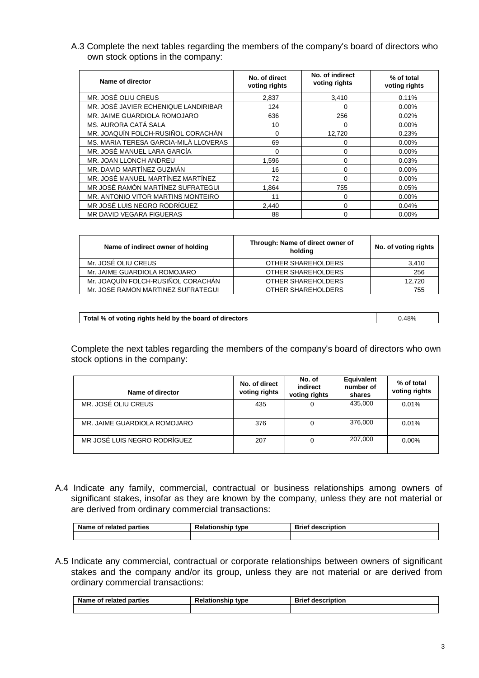A.3 Complete the next tables regarding the members of the company's board of directors who own stock options in the company:

| Name of director                      | No. of direct<br>voting rights | No. of indirect<br>voting rights | % of total<br>voting rights |
|---------------------------------------|--------------------------------|----------------------------------|-----------------------------|
| MR. JOSÉ OLIU CREUS                   | 2,837                          | 3,410                            | 0.11%                       |
| MR. JOSÉ JAVIER ECHENIQUE LANDIRIBAR  | 124                            | 0                                | $0.00\%$                    |
| MR. JAIME GUARDIOLA ROMOJARO          | 636                            | 256                              | 0.02%                       |
| MS. AURORA CATÁ SALA                  | 10                             | 0                                | $0.00\%$                    |
| MR. JOAQUÍN FOLCH-RUSIÑOL CORACHÁN    | 0                              | 12,720                           | 0.23%                       |
| MS. MARIA TERESA GARCIA-MILÀ LLOVERAS | 69                             | 0                                | $0.00\%$                    |
| MR. JOSÉ MANUEL LARA GARCÍA           | 0                              | 0                                | $0.00\%$                    |
| MR. JOAN LLONCH ANDREU                | 1,596                          | 0                                | 0.03%                       |
| MR. DAVID MARTÍNEZ GUZMÁN             | 16                             | $\Omega$                         | $0.00\%$                    |
| MR. JOSÉ MANUEL MARTÍNEZ MARTÍNEZ     | 72                             | 0                                | $0.00\%$                    |
| MR JOSÉ RAMÓN MARTÍNEZ SUFRATEGUI     | 1.864                          | 755                              | 0.05%                       |
| MR. ANTONIO VITOR MARTINS MONTEIRO    | 11                             | 0                                | $0.00\%$                    |
| MR JOSÉ LUIS NEGRO RODRÍGUEZ          | 2,440                          | 0                                | 0.04%                       |
| MR DAVID VEGARA FIGUERAS              | 88                             | 0                                | 0.00%                       |

| Name of indirect owner of holding  | Through: Name of direct owner of<br>holding | No. of voting rights |
|------------------------------------|---------------------------------------------|----------------------|
| Mr. JOSÉ OLIU CREUS                | OTHER SHAREHOLDERS                          | 3,410                |
| Mr. JAIME GUARDIOLA ROMOJARO       | OTHER SHAREHOLDERS                          | 256                  |
| Mr. JOAQUÍN FOLCH-RUSIÑOL CORACHÁN | OTHER SHAREHOLDERS                          | 12.720               |
| Mr. JOSE RAMON MARTINEZ SUFRATEGUI | OTHER SHAREHOLDERS                          | 755                  |

| Total % of voting rights held by the board of directors | 0.48% |
|---------------------------------------------------------|-------|
|                                                         |       |

Complete the next tables regarding the members of the company's board of directors who own stock options in the company:

| Name of director             | No. of direct<br>voting rights | No. of<br>indirect<br>voting rights | Equivalent<br>number of<br>shares | % of total<br>voting rights |
|------------------------------|--------------------------------|-------------------------------------|-----------------------------------|-----------------------------|
| MR. JOSÉ OLIU CREUS          | 435                            |                                     | 435,000                           | 0.01%                       |
| MR. JAIME GUARDIOLA ROMOJARO | 376                            |                                     | 376,000                           | 0.01%                       |
| MR JOSÉ LUIS NEGRO RODRÍGUEZ | 207                            |                                     | 207,000                           | $0.00\%$                    |

A.4 Indicate any family, commercial, contractual or business relationships among owners of significant stakes, insofar as they are known by the company, unless they are not material or are derived from ordinary commercial transactions:

| Name of related parties | Relationship<br>tvpe | <b>Brief description</b> |
|-------------------------|----------------------|--------------------------|
|                         |                      |                          |

A.5 Indicate any commercial, contractual or corporate relationships between owners of significant stakes and the company and/or its group, unless they are not material or are derived from ordinary commercial transactions:

| <b>Darties</b><br>related<br>Name<br>ne ot: | в.<br><b>Relationship type</b> | <b>Brief</b><br>description |
|---------------------------------------------|--------------------------------|-----------------------------|
|                                             |                                |                             |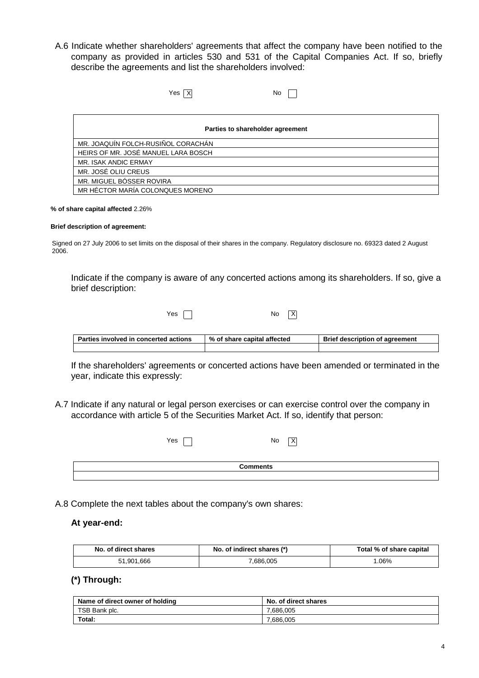A.6 Indicate whether shareholders' agreements that affect the company have been notified to the company as provided in articles 530 and 531 of the Capital Companies Act. If so, briefly describe the agreements and list the shareholders involved:

| Yes   XI                            | No                               |
|-------------------------------------|----------------------------------|
|                                     |                                  |
|                                     |                                  |
|                                     | Parties to shareholder agreement |
| MR. JOAQUÍN FOLCH-RUSIÑOL CORACHÁN  |                                  |
| HEIRS OF MR. JOSÉ MANUEL LARA BOSCH |                                  |
| MR. ISAK ANDIC ERMAY                |                                  |
| MR. JOSÉ OLIU CREUS                 |                                  |
| MR. MIGUEL BÓSSER ROVIRA            |                                  |
| MR HÉCTOR MARÍA COLONQUES MORENO    |                                  |

#### **% of share capital affected** 2.26%

#### **Brief description of agreement:**

Signed on 27 July 2006 to set limits on the disposal of their shares in the company. Regulatory disclosure no. 69323 dated 2 August 2006.

Indicate if the company is aware of any concerted actions among its shareholders. If so, give a brief description:

 $No$   $X$ 

| <b>Parties involved in concerted actions</b> | % of share capital affected | Brief<br>f description of agreement |  |
|----------------------------------------------|-----------------------------|-------------------------------------|--|
|                                              |                             |                                     |  |

If the shareholders' agreements or concerted actions have been amended or terminated in the year, indicate this expressly:

A.7 Indicate if any natural or legal person exercises or can exercise control over the company in accordance with article 5 of the Securities Market Act. If so, identify that person:

| Yes | No<br>$\times$  |  |
|-----|-----------------|--|
|     | <b>Comments</b> |  |
|     |                 |  |

A.8 Complete the next tables about the company's own shares:

#### **At year-end:**

| No. of direct shares | No. of indirect shares (*) | Total % of share capital |
|----------------------|----------------------------|--------------------------|
| 51.901.666           | .686.005                   | .06%                     |

## **(\*) Through:**

| Name of direct owner of holding | No. of direct shares |
|---------------------------------|----------------------|
| TSB Bank plc.                   | .686.005             |
| Total:                          | .686,005             |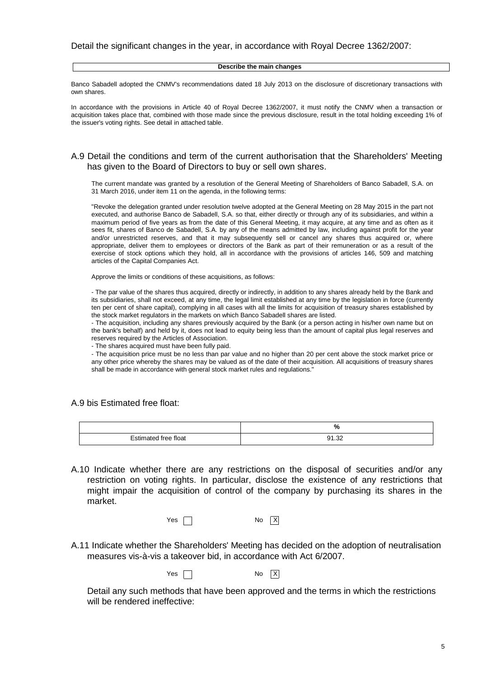#### **Describe the main changes**

Banco Sabadell adopted the CNMV's recommendations dated 18 July 2013 on the disclosure of discretionary transactions with own shares.

In accordance with the provisions in Article 40 of Royal Decree 1362/2007, it must notify the CNMV when a transaction or acquisition takes place that, combined with those made since the previous disclosure, result in the total holding exceeding 1% of the issuer's voting rights. See detail in attached table.

#### A.9 Detail the conditions and term of the current authorisation that the Shareholders' Meeting has given to the Board of Directors to buy or sell own shares.

The current mandate was granted by a resolution of the General Meeting of Shareholders of Banco Sabadell, S.A. on 31 March 2016, under item 11 on the agenda, in the following terms:

"Revoke the delegation granted under resolution twelve adopted at the General Meeting on 28 May 2015 in the part not executed, and authorise Banco de Sabadell, S.A. so that, either directly or through any of its subsidiaries, and within a maximum period of five years as from the date of this General Meeting, it may acquire, at any time and as often as it sees fit, shares of Banco de Sabadell, S.A. by any of the means admitted by law, including against profit for the year and/or unrestricted reserves, and that it may subsequently sell or cancel any shares thus acquired or, where appropriate, deliver them to employees or directors of the Bank as part of their remuneration or as a result of the exercise of stock options which they hold, all in accordance with the provisions of articles 146, 509 and matching articles of the Capital Companies Act.

Approve the limits or conditions of these acquisitions, as follows:

- The par value of the shares thus acquired, directly or indirectly, in addition to any shares already held by the Bank and its subsidiaries, shall not exceed, at any time, the legal limit established at any time by the legislation in force (currently ten per cent of share capital), complying in all cases with all the limits for acquisition of treasury shares established by the stock market regulators in the markets on which Banco Sabadell shares are listed.

- The acquisition, including any shares previously acquired by the Bank (or a person acting in his/her own name but on the bank's behalf) and held by it, does not lead to equity being less than the amount of capital plus legal reserves and reserves required by the Articles of Association.

- The shares acquired must have been fully paid.

- The acquisition price must be no less than par value and no higher than 20 per cent above the stock market price or any other price whereby the shares may be valued as of the date of their acquisition. All acquisitions of treasury shares shall be made in accordance with general stock market rules and regulations."

A.9 bis Estimated free float:

|                      | %            |
|----------------------|--------------|
| $Fdiff the$          | <b>01.22</b> |
| Estimated free float | ےں. ا        |

A.10 Indicate whether there are any restrictions on the disposal of securities and/or any restriction on voting rights. In particular, disclose the existence of any restrictions that might impair the acquisition of control of the company by purchasing its shares in the market.

| Yes |  | <b>No</b> | $\overline{X}$ |
|-----|--|-----------|----------------|
|-----|--|-----------|----------------|

A.11 Indicate whether the Shareholders' Meeting has decided on the adoption of neutralisation measures vis-à-vis a takeover bid, in accordance with Act 6/2007.

 $Yes \n\Box$  No  $X$ 

Detail any such methods that have been approved and the terms in which the restrictions will be rendered ineffective: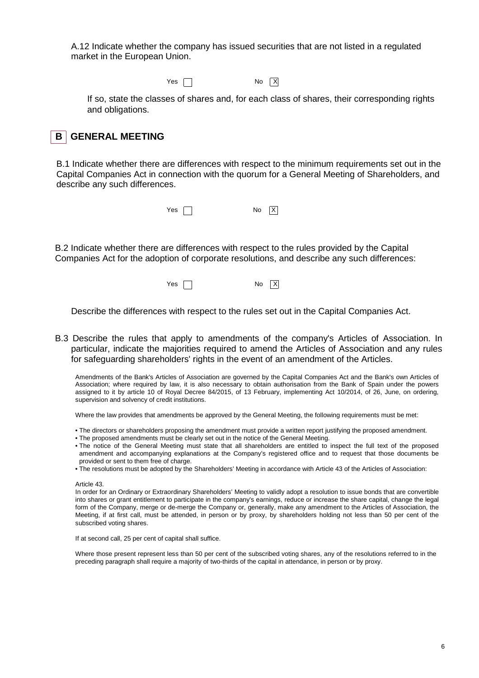A.12 Indicate whether the company has issued securities that are not listed in a regulated market in the European Union.

 $Yes \ \Box$  No  $X$ 

If so, state the classes of shares and, for each class of shares, their corresponding rights and obligations.



B.1 Indicate whether there are differences with respect to the minimum requirements set out in the Capital Companies Act in connection with the quorum for a General Meeting of Shareholders, and describe any such differences.



B.2 Indicate whether there are differences with respect to the rules provided by the Capital Companies Act for the adoption of corporate resolutions, and describe any such differences:

 $Yes \frown$ 

Describe the differences with respect to the rules set out in the Capital Companies Act.

B.3 Describe the rules that apply to amendments of the company's Articles of Association. In particular, indicate the majorities required to amend the Articles of Association and any rules for safeguarding shareholders' rights in the event of an amendment of the Articles.

Amendments of the Bank's Articles of Association are governed by the Capital Companies Act and the Bank's own Articles of Association; where required by law, it is also necessary to obtain authorisation from the Bank of Spain under the powers assigned to it by article 10 of Royal Decree 84/2015, of 13 February, implementing Act 10/2014, of 26, June, on ordering, supervision and solvency of credit institutions.

Where the law provides that amendments be approved by the General Meeting, the following requirements must be met:

- The directors or shareholders proposing the amendment must provide a written report justifying the proposed amendment.
- The proposed amendments must be clearly set out in the notice of the General Meeting.
- The notice of the General Meeting must state that all shareholders are entitled to inspect the full text of the proposed amendment and accompanying explanations at the Company's registered office and to request that those documents be provided or sent to them free of charge.
- The resolutions must be adopted by the Shareholders' Meeting in accordance with Article 43 of the Articles of Association:

#### Article 43.

In order for an Ordinary or Extraordinary Shareholders' Meeting to validly adopt a resolution to issue bonds that are convertible into shares or grant entitlement to participate in the company's earnings, reduce or increase the share capital, change the legal form of the Company, merge or de-merge the Company or, generally, make any amendment to the Articles of Association, the Meeting, if at first call, must be attended, in person or by proxy, by shareholders holding not less than 50 per cent of the subscribed voting shares.

If at second call, 25 per cent of capital shall suffice.

Where those present represent less than 50 per cent of the subscribed voting shares, any of the resolutions referred to in the preceding paragraph shall require a majority of two-thirds of the capital in attendance, in person or by proxy.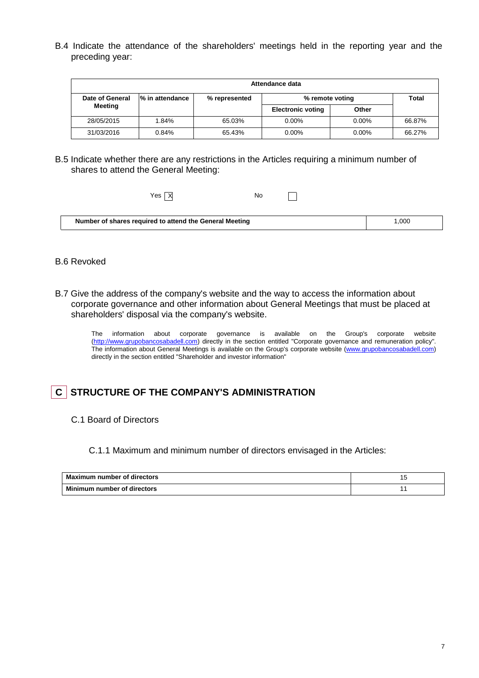B.4 Indicate the attendance of the shareholders' meetings held in the reporting year and the preceding year:

| Attendance data |                 |               |                          |          |              |
|-----------------|-----------------|---------------|--------------------------|----------|--------------|
| Date of General | % in attendance | % represented | % remote voting          |          | <b>Total</b> |
| Meeting         |                 |               | <b>Electronic voting</b> | Other    |              |
| 28/05/2015      | 1.84%           | 65.03%        | $0.00\%$                 | $0.00\%$ | 66.87%       |
| 31/03/2016      | 0.84%           | 65.43%        | $0.00\%$                 | $0.00\%$ | 66.27%       |

B.5 Indicate whether there are any restrictions in the Articles requiring a minimum number of shares to attend the General Meeting:

| Yes $\overline{X}$                                      | No |  |       |  |
|---------------------------------------------------------|----|--|-------|--|
| Number of shares required to attend the General Meeting |    |  | 1.000 |  |

## B.6 Revoked

B.7 Give the address of the company's website and the way to access the information about corporate governance and other information about General Meetings that must be placed at shareholders' disposal via the company's website.

The information about corporate governance is available on the Group's corporate website (http://www.grupobancosabadell.com) directly in the section entitled "Corporate governance and remuneration policy". The information about General Meetings is available on the Group's corporate website (www.grupobancosabadell.com) directly in the section entitled "Shareholder and investor information"

## **C** STRUCTURE OF THE COMPANY'S ADMINISTRATION

C.1 Board of Directors

C.1.1 Maximum and minimum number of directors envisaged in the Articles:

| Maximum number of directors |  |
|-----------------------------|--|
| Minimum number of directors |  |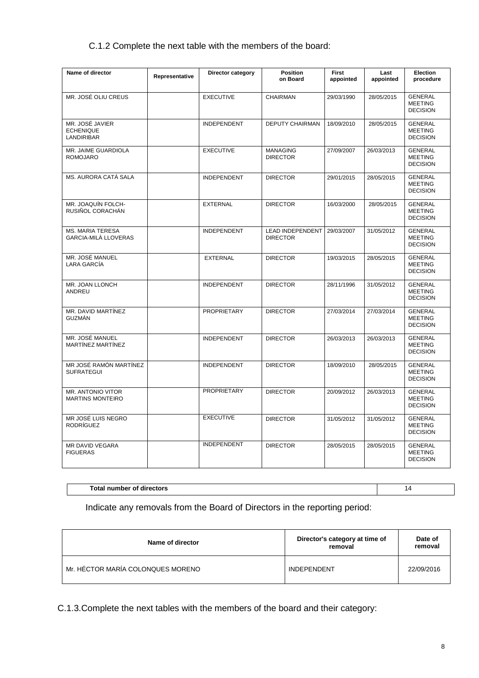## C.1.2 Complete the next table with the members of the board:

| Name of director                                  | Representative | <b>Director category</b> | <b>Position</b><br>on Board                | <b>First</b><br>appointed | Last<br>appointed | Election<br>procedure                               |
|---------------------------------------------------|----------------|--------------------------|--------------------------------------------|---------------------------|-------------------|-----------------------------------------------------|
| MR. JOSÉ OLIU CREUS                               |                | <b>EXECUTIVE</b>         | <b>CHAIRMAN</b>                            | 29/03/1990                | 28/05/2015        | <b>GENERAL</b><br><b>MEETING</b><br><b>DECISION</b> |
| MR. JOSÉ JAVIER<br><b>ECHENIQUE</b><br>LANDIRIBAR |                | <b>INDEPENDENT</b>       | DEPUTY CHAIRMAN                            | 18/09/2010                | 28/05/2015        | <b>GENERAL</b><br><b>MEETING</b><br><b>DECISION</b> |
| MR. JAIME GUARDIOLA<br><b>ROMOJARO</b>            |                | <b>EXECUTIVE</b>         | <b>MANAGING</b><br><b>DIRECTOR</b>         | 27/09/2007                | 26/03/2013        | <b>GENERAL</b><br><b>MEETING</b><br><b>DECISION</b> |
| MS. AURORA CATÁ SALA                              |                | <b>INDEPENDENT</b>       | <b>DIRECTOR</b>                            | 29/01/2015                | 28/05/2015        | <b>GENERAL</b><br><b>MEETING</b><br><b>DECISION</b> |
| MR. JOAQUÍN FOLCH-<br>RUSIÑOL CORACHÁN            |                | <b>EXTERNAL</b>          | <b>DIRECTOR</b>                            | 16/03/2000                | 28/05/2015        | <b>GENERAL</b><br><b>MEETING</b><br><b>DECISION</b> |
| <b>MS. MARIA TERESA</b><br>GARCIA-MILÀ LLOVERAS   |                | <b>INDEPENDENT</b>       | <b>LEAD INDEPENDENT</b><br><b>DIRECTOR</b> | 29/03/2007                | 31/05/2012        | <b>GENERAL</b><br><b>MEETING</b><br><b>DECISION</b> |
| MR. JOSÉ MANUEL<br>LARA GARCÍA                    |                | <b>EXTERNAL</b>          | <b>DIRECTOR</b>                            | 19/03/2015                | 28/05/2015        | <b>GENERAL</b><br><b>MEETING</b><br><b>DECISION</b> |
| MR. JOAN LLONCH<br>ANDREU                         |                | <b>INDEPENDENT</b>       | <b>DIRECTOR</b>                            | 28/11/1996                | 31/05/2012        | <b>GENERAL</b><br><b>MEETING</b><br><b>DECISION</b> |
| MR. DAVID MARTÍNEZ<br>GUZMÁN                      |                | <b>PROPRIETARY</b>       | <b>DIRECTOR</b>                            | 27/03/2014                | 27/03/2014        | <b>GENERAL</b><br><b>MEETING</b><br><b>DECISION</b> |
| MR. JOSÉ MANUEL<br>MARTÍNEZ MARTÍNEZ              |                | <b>INDEPENDENT</b>       | <b>DIRECTOR</b>                            | 26/03/2013                | 26/03/2013        | <b>GENERAL</b><br><b>MEETING</b><br><b>DECISION</b> |
| MR JOSÉ RAMÓN MARTÍNEZ<br><b>SUFRATEGUI</b>       |                | <b>INDEPENDENT</b>       | <b>DIRECTOR</b>                            | 18/09/2010                | 28/05/2015        | <b>GENERAL</b><br><b>MEETING</b><br><b>DECISION</b> |
| MR. ANTONIO VITOR<br><b>MARTINS MONTEIRO</b>      |                | <b>PROPRIETARY</b>       | <b>DIRECTOR</b>                            | 20/09/2012                | 26/03/2013        | <b>GENERAL</b><br><b>MEETING</b><br><b>DECISION</b> |
| MR JOSÉ LUIS NEGRO<br><b>RODRÍGUEZ</b>            |                | <b>EXECUTIVE</b>         | <b>DIRECTOR</b>                            | 31/05/2012                | 31/05/2012        | <b>GENERAL</b><br><b>MEETING</b><br><b>DECISION</b> |
| MR DAVID VEGARA<br><b>FIGUERAS</b>                |                | <b>INDEPENDENT</b>       | <b>DIRECTOR</b>                            | 28/05/2015                | 28/05/2015        | <b>GENERAL</b><br><b>MEETING</b><br><b>DECISION</b> |

**Total number of directors** 14

Indicate any removals from the Board of Directors in the reporting period:

| Name of director                  | Director's category at time of<br>removal | Date of<br>removal |
|-----------------------------------|-------------------------------------------|--------------------|
| Mr. HÉCTOR MARÍA COLONQUES MORENO | <b>INDEPENDENT</b>                        | 22/09/2016         |

C.1.3.Complete the next tables with the members of the board and their category: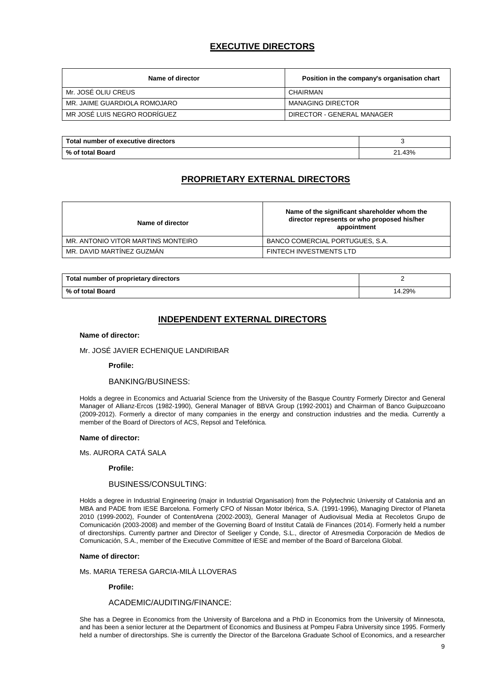## **EXECUTIVE DIRECTORS**

| Name of director             | Position in the company's organisation chart |
|------------------------------|----------------------------------------------|
| Mr. JOSÉ OLIU CREUS          | CHAIRMAN                                     |
| MR. JAIME GUARDIOLA ROMOJARO | <b>MANAGING DIRECTOR</b>                     |
| MR JOSÉ LUIS NEGRO RODRÍGUEZ | DIRECTOR - GENERAL MANAGER                   |

| Total number of executive directors |      |
|-------------------------------------|------|
| % იf<br>' Board<br>ˈtotal           | .43% |

## **PROPRIETARY EXTERNAL DIRECTORS**

| Name of director                   | Name of the significant shareholder whom the<br>director represents or who proposed his/her<br>appointment |
|------------------------------------|------------------------------------------------------------------------------------------------------------|
| MR. ANTONIO VITOR MARTINS MONTEIRO | BANCO COMERCIAL PORTUGUES, S.A.                                                                            |
| MR. DAVID MARTÍNEZ GUZMÁN          | <b>FINTECH INVESTMENTS LTD</b>                                                                             |

| Total number of proprietary directors |       |
|---------------------------------------|-------|
| % of total Board                      | 4.29% |

## **INDEPENDENT EXTERNAL DIRECTORS**

#### **Name of director:**

#### Mr. JOSÉ JAVIER ECHENIQUE LANDIRIBAR

#### **Profile:**

#### BANKING/BUSINESS:

Holds a degree in Economics and Actuarial Science from the University of the Basque Country Formerly Director and General Manager of Allianz-Ercos (1982-1990), General Manager of BBVA Group (1992-2001) and Chairman of Banco Guipuzcoano (2009-2012). Formerly a director of many companies in the energy and construction industries and the media. Currently a member of the Board of Directors of ACS, Repsol and Telefónica.

#### **Name of director:**

Ms. AURORA CATÁ SALA

 **Profile:** 

#### BUSINESS/CONSULTING:

Holds a degree in Industrial Engineering (major in Industrial Organisation) from the Polytechnic University of Catalonia and an MBA and PADE from IESE Barcelona. Formerly CFO of Nissan Motor Ibérica, S.A. (1991-1996), Managing Director of Planeta 2010 (1999-2002), Founder of ContentArena (2002-2003), General Manager of Audiovisual Media at Recoletos Grupo de Comunicación (2003-2008) and member of the Governing Board of Institut Català de Finances (2014). Formerly held a number of directorships. Currently partner and Director of Seeliger y Conde, S.L., director of Atresmedia Corporación de Medios de Comunicación, S.A., member of the Executive Committee of IESE and member of the Board of Barcelona Global.

#### **Name of director:**

#### Ms. MARIA TERESA GARCIA-MILÀ LLOVERAS

 **Profile:** 

#### ACADEMIC/AUDITING/FINANCE:

She has a Degree in Economics from the University of Barcelona and a PhD in Economics from the University of Minnesota, and has been a senior lecturer at the Department of Economics and Business at Pompeu Fabra University since 1995. Formerly held a number of directorships. She is currently the Director of the Barcelona Graduate School of Economics, and a researcher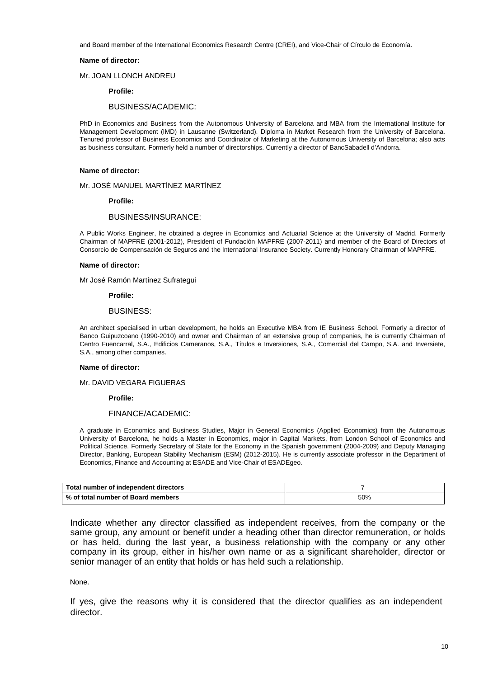and Board member of the International Economics Research Centre (CREI), and Vice-Chair of Círculo de Economía.

#### **Name of director:**

Mr. JOAN LLONCH ANDREU

 **Profile:** 

#### BUSINESS/ACADEMIC:

PhD in Economics and Business from the Autonomous University of Barcelona and MBA from the International Institute for Management Development (IMD) in Lausanne (Switzerland). Diploma in Market Research from the University of Barcelona. Tenured professor of Business Economics and Coordinator of Marketing at the Autonomous University of Barcelona; also acts as business consultant. Formerly held a number of directorships. Currently a director of BancSabadell d'Andorra.

#### **Name of director:**

Mr. JOSÉ MANUEL MARTÍNEZ MARTÍNEZ

 **Profile:** 

#### BUSINESS/INSURANCE:

A Public Works Engineer, he obtained a degree in Economics and Actuarial Science at the University of Madrid. Formerly Chairman of MAPFRE (2001-2012), President of Fundación MAPFRE (2007-2011) and member of the Board of Directors of Consorcio de Compensación de Seguros and the International Insurance Society. Currently Honorary Chairman of MAPFRE.

#### **Name of director:**

Mr José Ramón Martínez Sufrategui

 **Profile:** 

#### BUSINESS:

An architect specialised in urban development, he holds an Executive MBA from IE Business School. Formerly a director of Banco Guipuzcoano (1990-2010) and owner and Chairman of an extensive group of companies, he is currently Chairman of Centro Fuencarral, S.A., Edificios Cameranos, S.A., Títulos e Inversiones, S.A., Comercial del Campo, S.A. and Inversiete, S.A., among other companies.

#### **Name of director:**

Mr. DAVID VEGARA FIGUERAS

 **Profile:** 

#### FINANCE/ACADEMIC:

A graduate in Economics and Business Studies, Major in General Economics (Applied Economics) from the Autonomous University of Barcelona, he holds a Master in Economics, major in Capital Markets, from London School of Economics and Political Science. Formerly Secretary of State for the Economy in the Spanish government (2004-2009) and Deputy Managing Director, Banking, European Stability Mechanism (ESM) (2012-2015). He is currently associate professor in the Department of Economics, Finance and Accounting at ESADE and Vice-Chair of ESADEgeo.

| Total number of independent directors |     |
|---------------------------------------|-----|
| Ⅰ % of total number of Board members  | 50% |

Indicate whether any director classified as independent receives, from the company or the same group, any amount or benefit under a heading other than director remuneration, or holds or has held, during the last year, a business relationship with the company or any other company in its group, either in his/her own name or as a significant shareholder, director or senior manager of an entity that holds or has held such a relationship.

None.

If yes, give the reasons why it is considered that the director qualifies as an independent director.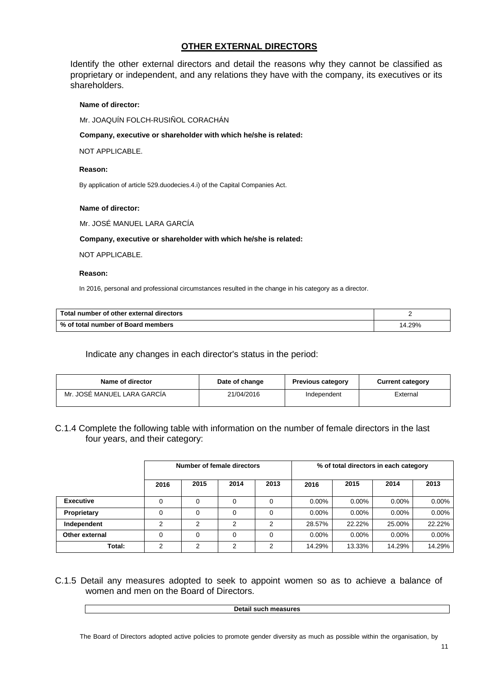## **OTHER EXTERNAL DIRECTORS**

Identify the other external directors and detail the reasons why they cannot be classified as proprietary or independent, and any relations they have with the company, its executives or its shareholders.

## **Name of director:**

Mr. JOAQUÍN FOLCH-RUSIÑOL CORACHÁN

#### **Company, executive or shareholder with which he/she is related:**

NOT APPLICABLE.

#### **Reason:**

By application of article 529.duodecies.4.i) of the Capital Companies Act.

#### **Name of director:**

Mr. JOSÉ MANUEL LARA GARCÍA

 **Company, executive or shareholder with which he/she is related:** 

NOT APPLICABLE.

#### **Reason:**

In 2016, personal and professional circumstances resulted in the change in his category as a director.

| Total number of other external directors |      |
|------------------------------------------|------|
| % of total number of Board members       | .29% |

## Indicate any changes in each director's status in the period:

| Name of director            | Date of change | <b>Previous category</b> | <b>Current category</b> |
|-----------------------------|----------------|--------------------------|-------------------------|
| Mr. JOSÉ MANUEL LARA GARCÍA | 21/04/2016     | Independent              | External                |

C.1.4 Complete the following table with information on the number of female directors in the last four years, and their category:

|                  | Number of female directors |               |               |      | % of total directors in each category |          |          |          |
|------------------|----------------------------|---------------|---------------|------|---------------------------------------|----------|----------|----------|
|                  | 2016                       | 2015          | 2014          | 2013 | 2016                                  | 2015     | 2014     | 2013     |
| <b>Executive</b> |                            | 0             | $\Omega$      | 0    | $0.00\%$                              | $0.00\%$ | $0.00\%$ | $0.00\%$ |
| Proprietary      |                            | $\Omega$      | $\Omega$      | 0    | $0.00\%$                              | $0.00\%$ | $0.00\%$ | $0.00\%$ |
| Independent      | 2                          | 2             | 2             | 2    | 28.57%                                | 22.22%   | 25.00%   | 22.22%   |
| Other external   | 0                          | $\Omega$      | $\Omega$      | 0    | $0.00\%$                              | $0.00\%$ | $0.00\%$ | $0.00\%$ |
| Total:           | ົ                          | $\mathcal{P}$ | $\mathcal{P}$ | 2    | 14.29%                                | 13.33%   | 14.29%   | 14.29%   |

C.1.5 Detail any measures adopted to seek to appoint women so as to achieve a balance of women and men on the Board of Directors.

**Detail such measures**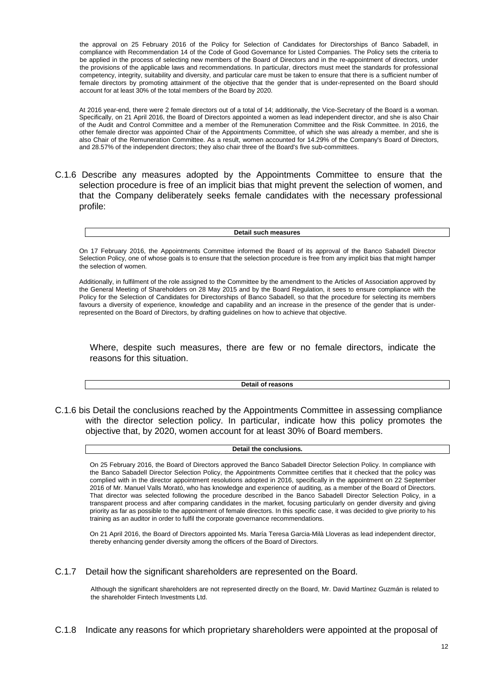the approval on 25 February 2016 of the Policy for Selection of Candidates for Directorships of Banco Sabadell, in compliance with Recommendation 14 of the Code of Good Governance for Listed Companies. The Policy sets the criteria to be applied in the process of selecting new members of the Board of Directors and in the re-appointment of directors, under the provisions of the applicable laws and recommendations. In particular, directors must meet the standards for professional competency, integrity, suitability and diversity, and particular care must be taken to ensure that there is a sufficient number of female directors by promoting attainment of the objective that the gender that is under-represented on the Board should account for at least 30% of the total members of the Board by 2020.

At 2016 year-end, there were 2 female directors out of a total of 14; additionally, the Vice-Secretary of the Board is a woman. Specifically, on 21 April 2016, the Board of Directors appointed a women as lead independent director, and she is also Chair of the Audit and Control Committee and a member of the Remuneration Committee and the Risk Committee. In 2016, the other female director was appointed Chair of the Appointments Committee, of which she was already a member, and she is also Chair of the Remuneration Committee. As a result, women accounted for 14.29% of the Company's Board of Directors, and 28.57% of the independent directors; they also chair three of the Board's five sub-committees.

C.1.6 Describe any measures adopted by the Appointments Committee to ensure that the selection procedure is free of an implicit bias that might prevent the selection of women, and that the Company deliberately seeks female candidates with the necessary professional profile:

**Detail such measures**

On 17 February 2016, the Appointments Committee informed the Board of its approval of the Banco Sabadell Director Selection Policy, one of whose goals is to ensure that the selection procedure is free from any implicit bias that might hamper the selection of women.

Additionally, in fulfilment of the role assigned to the Committee by the amendment to the Articles of Association approved by the General Meeting of Shareholders on 28 May 2015 and by the Board Regulation, it sees to ensure compliance with the Policy for the Selection of Candidates for Directorships of Banco Sabadell, so that the procedure for selecting its members favours a diversity of experience, knowledge and capability and an increase in the presence of the gender that is underrepresented on the Board of Directors, by drafting guidelines on how to achieve that objective.

Where, despite such measures, there are few or no female directors, indicate the reasons for this situation.

**Detail of reasons**

C.1.6 bis Detail the conclusions reached by the Appointments Committee in assessing compliance with the director selection policy. In particular, indicate how this policy promotes the objective that, by 2020, women account for at least 30% of Board members.

**Detail the conclusions.** 

On 25 February 2016, the Board of Directors approved the Banco Sabadell Director Selection Policy. In compliance with the Banco Sabadell Director Selection Policy, the Appointments Committee certifies that it checked that the policy was complied with in the director appointment resolutions adopted in 2016, specifically in the appointment on 22 September 2016 of Mr. Manuel Valls Morató, who has knowledge and experience of auditing, as a member of the Board of Directors. That director was selected following the procedure described in the Banco Sabadell Director Selection Policy, in a transparent process and after comparing candidates in the market, focusing particularly on gender diversity and giving priority as far as possible to the appointment of female directors. In this specific case, it was decided to give priority to his training as an auditor in order to fulfil the corporate governance recommendations.

On 21 April 2016, the Board of Directors appointed Ms. María Teresa Garcia-Milà Lloveras as lead independent director, thereby enhancing gender diversity among the officers of the Board of Directors.

C.1.7 Detail how the significant shareholders are represented on the Board.

Although the significant shareholders are not represented directly on the Board, Mr. David Martínez Guzmán is related to the shareholder Fintech Investments Ltd.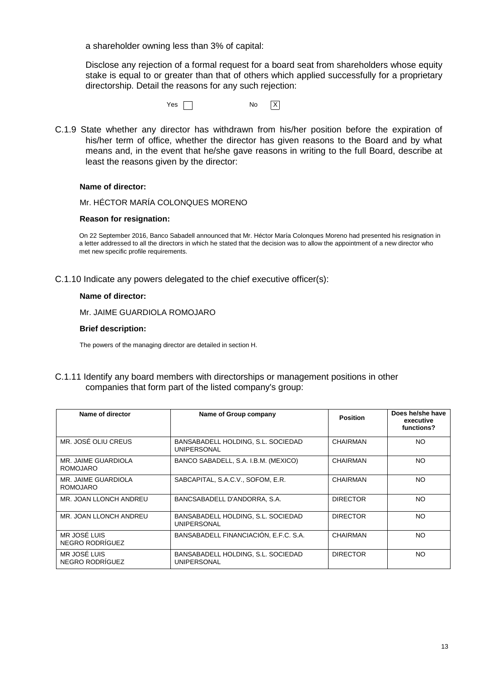a shareholder owning less than 3% of capital:

Disclose any rejection of a formal request for a board seat from shareholders whose equity stake is equal to or greater than that of others which applied successfully for a proprietary directorship. Detail the reasons for any such rejection:

 $Yes \frown$  No  $X$ 

C.1.9 State whether any director has withdrawn from his/her position before the expiration of his/her term of office, whether the director has given reasons to the Board and by what means and, in the event that he/she gave reasons in writing to the full Board, describe at least the reasons given by the director:

#### **Name of director:**

Mr. HÉCTOR MARÍA COLONQUES MORENO

#### **Reason for resignation:**

On 22 September 2016, Banco Sabadell announced that Mr. Héctor María Colonques Moreno had presented his resignation in a letter addressed to all the directors in which he stated that the decision was to allow the appointment of a new director who met new specific profile requirements.

C.1.10 Indicate any powers delegated to the chief executive officer(s):

#### **Name of director:**

Mr. JAIME GUARDIOLA ROMOJARO

#### **Brief description:**

The powers of the managing director are detailed in section H.

C.1.11 Identify any board members with directorships or management positions in other companies that form part of the listed company's group:

| Name of director                       | Name of Group company                                    | <b>Position</b> | Does he/she have<br>executive<br>functions? |
|----------------------------------------|----------------------------------------------------------|-----------------|---------------------------------------------|
| MR. JOSÉ OLIU CREUS                    | BANSABADELL HOLDING, S.L. SOCIEDAD<br><b>UNIPERSONAL</b> | <b>CHAIRMAN</b> | NO.                                         |
| MR. JAIME GUARDIOLA<br><b>ROMOJARO</b> | BANCO SABADELL, S.A. I.B.M. (MEXICO)                     | CHAIRMAN        | NO.                                         |
| MR. JAIME GUARDIOLA<br><b>ROMOJARO</b> | SABCAPITAL, S.A.C.V., SOFOM, E.R.                        | CHAIRMAN        | NO.                                         |
| MR. JOAN LLONCH ANDREU                 | BANCSABADELL D'ANDORRA, S.A.                             | <b>DIRECTOR</b> | NO.                                         |
| MR. JOAN LLONCH ANDREU                 | BANSABADELL HOLDING, S.L. SOCIEDAD<br><b>UNIPERSONAL</b> | <b>DIRECTOR</b> | NO.                                         |
| MR JOSÉ LUIS<br>NEGRO RODRÍGUEZ        | BANSABADELL FINANCIACIÓN, E.F.C. S.A.                    | CHAIRMAN        | NO.                                         |
| MR JOSÉ LUIS<br>NEGRO RODRÍGUEZ        | BANSABADELL HOLDING, S.L. SOCIEDAD<br><b>UNIPERSONAL</b> | <b>DIRECTOR</b> | NO.                                         |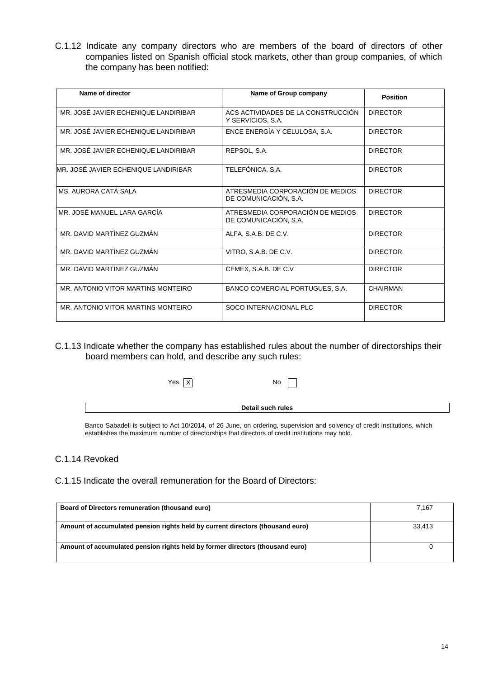C.1.12 Indicate any company directors who are members of the board of directors of other companies listed on Spanish official stock markets, other than group companies, of which the company has been notified:

| Name of director                     | Name of Group company                                     | <b>Position</b> |
|--------------------------------------|-----------------------------------------------------------|-----------------|
| MR. JOSÉ JAVIER ECHENIQUE LANDIRIBAR | ACS ACTIVIDADES DE LA CONSTRUCCIÓN<br>Y SERVICIOS, S.A.   | <b>DIRECTOR</b> |
| MR. JOSÉ JAVIER ECHENIQUE LANDIRIBAR | ENCE ENERGÍA Y CELULOSA, S.A.                             | <b>DIRECTOR</b> |
| MR. JOSÉ JAVIER ECHENIQUE LANDIRIBAR | REPSOL, S.A.                                              | <b>DIRECTOR</b> |
| MR. JOSÉ JAVIER ECHENIQUE LANDIRIBAR | TELEFÓNICA, S.A.                                          | <b>DIRECTOR</b> |
| MS. AURORA CATÁ SALA                 | ATRESMEDIA CORPORACIÓN DE MEDIOS<br>DE COMUNICACIÓN, S.A. | <b>DIRECTOR</b> |
| MR. JOSÉ MANUEL LARA GARCÍA          | ATRESMEDIA CORPORACIÓN DE MEDIOS<br>DE COMUNICACIÓN, S.A. | <b>DIRECTOR</b> |
| MR. DAVID MARTÍNEZ GUZMÁN            | ALFA. S.A.B. DE C.V.                                      | <b>DIRECTOR</b> |
| MR. DAVID MARTÍNEZ GUZMÁN            | VITRO, S.A.B. DE C.V.                                     | <b>DIRECTOR</b> |
| MR. DAVID MARTÍNEZ GUZMÁN            | CEMEX, S.A.B. DE C.V                                      | <b>DIRECTOR</b> |
| MR. ANTONIO VITOR MARTINS MONTEIRO   | <b>BANCO COMERCIAL PORTUGUES, S.A.</b>                    | CHAIRMAN        |
| MR. ANTONIO VITOR MARTINS MONTEIRO   | SOCO INTERNACIONAL PLC                                    | <b>DIRECTOR</b> |

C.1.13 Indicate whether the company has established rules about the number of directorships their board members can hold, and describe any such rules:

| $\times$<br>Yes | No                |  |
|-----------------|-------------------|--|
|                 | Detail such rules |  |
|                 |                   |  |

Banco Sabadell is subject to Act 10/2014, of 26 June, on ordering, supervision and solvency of credit institutions, which establishes the maximum number of directorships that directors of credit institutions may hold.

## C.1.14 Revoked

C.1.15 Indicate the overall remuneration for the Board of Directors:

| Board of Directors remuneration (thousand euro)                                | 7.167  |
|--------------------------------------------------------------------------------|--------|
| Amount of accumulated pension rights held by current directors (thousand euro) | 33.413 |
| Amount of accumulated pension rights held by former directors (thousand euro)  |        |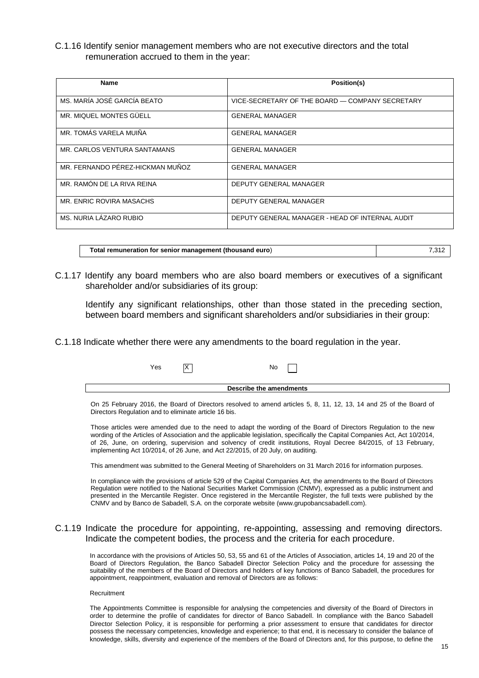C.1.16 Identify senior management members who are not executive directors and the total remuneration accrued to them in the year:

| <b>Name</b>                      | Position(s)                                     |
|----------------------------------|-------------------------------------------------|
| MS. MARÍA JOSÉ GARCÍA BEATO      | VICE-SECRETARY OF THE BOARD - COMPANY SECRETARY |
| MR. MIQUEL MONTES GÜELL          | <b>GENERAL MANAGER</b>                          |
| MR. TOMÁS VARELA MUIÑA           | <b>GENERAL MANAGER</b>                          |
| MR. CARLOS VENTURA SANTAMANS     | <b>GENERAL MANAGER</b>                          |
| MR. FERNANDO PÉREZ-HICKMAN MUÑOZ | <b>GENERAL MANAGER</b>                          |
| MR. RAMÓN DE LA RIVA REINA       | DEPUTY GENERAL MANAGER                          |
| MR. ENRIC ROVIRA MASACHS         | DEPUTY GENERAL MANAGER                          |
| MS. NURIA LAZARO RUBIO           | DEPUTY GENERAL MANAGER - HEAD OF INTERNAL AUDIT |

| Total remuneration for senior management (thousand euro)<br>7.312 |
|-------------------------------------------------------------------|
|-------------------------------------------------------------------|

C.1.17 Identify any board members who are also board members or executives of a significant shareholder and/or subsidiaries of its group:

Identify any significant relationships, other than those stated in the preceding section, between board members and significant shareholders and/or subsidiaries in their group:

C.1.18 Indicate whether there were any amendments to the board regulation in the year.

| Yes                     |  | No.                                                                                                                |  |
|-------------------------|--|--------------------------------------------------------------------------------------------------------------------|--|
| Describe the amendments |  |                                                                                                                    |  |
|                         |  | On 25 February 2016, the Board of Directors resolved to amend articles 5, 8, 11, 12, 13, 14 and 25 of the Board of |  |

Directors Regulation and to eliminate article 16 bis.

Those articles were amended due to the need to adapt the wording of the Board of Directors Regulation to the new wording of the Articles of Association and the applicable legislation, specifically the Capital Companies Act, Act 10/2014, of 26, June, on ordering, supervision and solvency of credit institutions, Royal Decree 84/2015, of 13 February, implementing Act 10/2014, of 26 June, and Act 22/2015, of 20 July, on auditing.

This amendment was submitted to the General Meeting of Shareholders on 31 March 2016 for information purposes.

In compliance with the provisions of article 529 of the Capital Companies Act, the amendments to the Board of Directors Regulation were notified to the National Securities Market Commission (CNMV), expressed as a public instrument and presented in the Mercantile Register. Once registered in the Mercantile Register, the full texts were published by the CNMV and by Banco de Sabadell, S.A. on the corporate website (www.grupobancsabadell.com).

#### C.1.19 Indicate the procedure for appointing, re-appointing, assessing and removing directors. Indicate the competent bodies, the process and the criteria for each procedure.

In accordance with the provisions of Articles 50, 53, 55 and 61 of the Articles of Association, articles 14, 19 and 20 of the Board of Directors Regulation, the Banco Sabadell Director Selection Policy and the procedure for assessing the suitability of the members of the Board of Directors and holders of key functions of Banco Sabadell, the procedures for appointment, reappointment, evaluation and removal of Directors are as follows:

#### Recruitment

The Appointments Committee is responsible for analysing the competencies and diversity of the Board of Directors in order to determine the profile of candidates for director of Banco Sabadell. In compliance with the Banco Sabadell Director Selection Policy, it is responsible for performing a prior assessment to ensure that candidates for director possess the necessary competencies, knowledge and experience; to that end, it is necessary to consider the balance of knowledge, skills, diversity and experience of the members of the Board of Directors and, for this purpose, to define the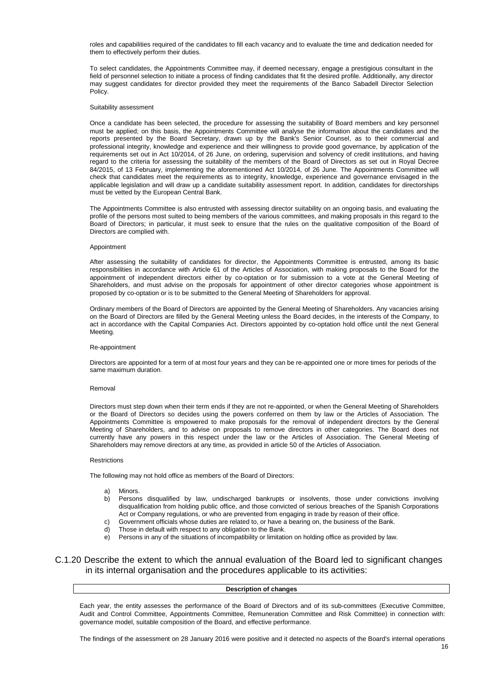roles and capabilities required of the candidates to fill each vacancy and to evaluate the time and dedication needed for them to effectively perform their duties.

To select candidates, the Appointments Committee may, if deemed necessary, engage a prestigious consultant in the field of personnel selection to initiate a process of finding candidates that fit the desired profile. Additionally, any director may suggest candidates for director provided they meet the requirements of the Banco Sabadell Director Selection Policy.

#### Suitability assessment

Once a candidate has been selected, the procedure for assessing the suitability of Board members and key personnel must be applied; on this basis, the Appointments Committee will analyse the information about the candidates and the reports presented by the Board Secretary, drawn up by the Bank's Senior Counsel, as to their commercial and professional integrity, knowledge and experience and their willingness to provide good governance, by application of the requirements set out in Act 10/2014, of 26 June, on ordering, supervision and solvency of credit institutions, and having regard to the criteria for assessing the suitability of the members of the Board of Directors as set out in Royal Decree 84/2015, of 13 February, implementing the aforementioned Act 10/2014, of 26 June. The Appointments Committee will check that candidates meet the requirements as to integrity, knowledge, experience and governance envisaged in the applicable legislation and will draw up a candidate suitability assessment report. In addition, candidates for directorships must be vetted by the European Central Bank.

The Appointments Committee is also entrusted with assessing director suitability on an ongoing basis, and evaluating the profile of the persons most suited to being members of the various committees, and making proposals in this regard to the Board of Directors; in particular, it must seek to ensure that the rules on the qualitative composition of the Board of Directors are complied with.

#### Appointment

After assessing the suitability of candidates for director, the Appointments Committee is entrusted, among its basic responsibilities in accordance with Article 61 of the Articles of Association, with making proposals to the Board for the appointment of independent directors either by co-optation or for submission to a vote at the General Meeting of Shareholders, and must advise on the proposals for appointment of other director categories whose appointment is proposed by co-optation or is to be submitted to the General Meeting of Shareholders for approval.

Ordinary members of the Board of Directors are appointed by the General Meeting of Shareholders. Any vacancies arising on the Board of Directors are filled by the General Meeting unless the Board decides, in the interests of the Company, to act in accordance with the Capital Companies Act. Directors appointed by co-optation hold office until the next General Meeting.

#### Re-appointment

Directors are appointed for a term of at most four years and they can be re-appointed one or more times for periods of the same maximum duration.

#### Removal

Directors must step down when their term ends if they are not re-appointed, or when the General Meeting of Shareholders or the Board of Directors so decides using the powers conferred on them by law or the Articles of Association. The Appointments Committee is empowered to make proposals for the removal of independent directors by the General Meeting of Shareholders, and to advise on proposals to remove directors in other categories. The Board does not currently have any powers in this respect under the law or the Articles of Association. The General Meeting of Shareholders may remove directors at any time, as provided in article 50 of the Articles of Association.

#### **Restrictions**

The following may not hold office as members of the Board of Directors:

- a) Minors.
- b) Persons disqualified by law, undischarged bankrupts or insolvents, those under convictions involving disqualification from holding public office, and those convicted of serious breaches of the Spanish Corporations Act or Company regulations, or who are prevented from engaging in trade by reason of their office.
- c) Government officials whose duties are related to, or have a bearing on, the business of the Bank.
- d) Those in default with respect to any obligation to the Bank.
- e) Persons in any of the situations of incompatibility or limitation on holding office as provided by law.

C.1.20 Describe the extent to which the annual evaluation of the Board led to significant changes in its internal organisation and the procedures applicable to its activities:

#### **Description of changes**

Each year, the entity assesses the performance of the Board of Directors and of its sub-committees (Executive Committee, Audit and Control Committee, Appointments Committee, Remuneration Committee and Risk Committee) in connection with: governance model, suitable composition of the Board, and effective performance.

The findings of the assessment on 28 January 2016 were positive and it detected no aspects of the Board's internal operations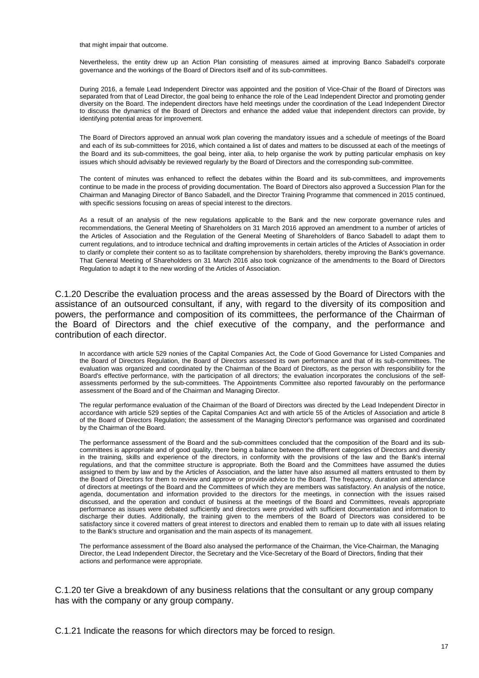that might impair that outcome.

Nevertheless, the entity drew up an Action Plan consisting of measures aimed at improving Banco Sabadell's corporate governance and the workings of the Board of Directors itself and of its sub-committees.

During 2016, a female Lead Independent Director was appointed and the position of Vice-Chair of the Board of Directors was separated from that of Lead Director, the goal being to enhance the role of the Lead Independent Director and promoting gender diversity on the Board. The independent directors have held meetings under the coordination of the Lead Independent Director to discuss the dynamics of the Board of Directors and enhance the added value that independent directors can provide, by identifying potential areas for improvement.

The Board of Directors approved an annual work plan covering the mandatory issues and a schedule of meetings of the Board and each of its sub-committees for 2016, which contained a list of dates and matters to be discussed at each of the meetings of the Board and its sub-committees, the goal being, inter alia, to help organise the work by putting particular emphasis on key issues which should advisably be reviewed regularly by the Board of Directors and the corresponding sub-committee.

The content of minutes was enhanced to reflect the debates within the Board and its sub-committees, and improvements continue to be made in the process of providing documentation. The Board of Directors also approved a Succession Plan for the Chairman and Managing Director of Banco Sabadell, and the Director Training Programme that commenced in 2015 continued, with specific sessions focusing on areas of special interest to the directors.

As a result of an analysis of the new regulations applicable to the Bank and the new corporate governance rules and recommendations, the General Meeting of Shareholders on 31 March 2016 approved an amendment to a number of articles of the Articles of Association and the Regulation of the General Meeting of Shareholders of Banco Sabadell to adapt them to current regulations, and to introduce technical and drafting improvements in certain articles of the Articles of Association in order to clarify or complete their content so as to facilitate comprehension by shareholders, thereby improving the Bank's governance. That General Meeting of Shareholders on 31 March 2016 also took cognizance of the amendments to the Board of Directors Regulation to adapt it to the new wording of the Articles of Association.

C.1.20 Describe the evaluation process and the areas assessed by the Board of Directors with the assistance of an outsourced consultant, if any, with regard to the diversity of its composition and powers, the performance and composition of its committees, the performance of the Chairman of the Board of Directors and the chief executive of the company, and the performance and contribution of each director.

In accordance with article 529 nonies of the Capital Companies Act, the Code of Good Governance for Listed Companies and the Board of Directors Regulation, the Board of Directors assessed its own performance and that of its sub-committees. The evaluation was organized and coordinated by the Chairman of the Board of Directors, as the person with responsibility for the Board's effective performance, with the participation of all directors; the evaluation incorporates the conclusions of the selfassessments performed by the sub-committees. The Appointments Committee also reported favourably on the performance assessment of the Board and of the Chairman and Managing Director.

The regular performance evaluation of the Chairman of the Board of Directors was directed by the Lead Independent Director in accordance with article 529 septies of the Capital Companies Act and with article 55 of the Articles of Association and article 8 of the Board of Directors Regulation; the assessment of the Managing Director's performance was organised and coordinated by the Chairman of the Board.

The performance assessment of the Board and the sub-committees concluded that the composition of the Board and its subcommittees is appropriate and of good quality, there being a balance between the different categories of Directors and diversity in the training, skills and experience of the directors, in conformity with the provisions of the law and the Bank's internal regulations, and that the committee structure is appropriate. Both the Board and the Committees have assumed the duties assigned to them by law and by the Articles of Association, and the latter have also assumed all matters entrusted to them by the Board of Directors for them to review and approve or provide advice to the Board. The frequency, duration and attendance of directors at meetings of the Board and the Committees of which they are members was satisfactory. An analysis of the notice, agenda, documentation and information provided to the directors for the meetings, in connection with the issues raised discussed, and the operation and conduct of business at the meetings of the Board and Committees, reveals appropriate performance as issues were debated sufficiently and directors were provided with sufficient documentation and information to discharge their duties. Additionally, the training given to the members of the Board of Directors was considered to be satisfactory since it covered matters of great interest to directors and enabled them to remain up to date with all issues relating to the Bank's structure and organisation and the main aspects of its management.

The performance assessment of the Board also analysed the performance of the Chairman, the Vice-Chairman, the Managing Director, the Lead Independent Director, the Secretary and the Vice-Secretary of the Board of Directors, finding that their actions and performance were appropriate.

C.1.20 ter Give a breakdown of any business relations that the consultant or any group company has with the company or any group company.

C.1.21 Indicate the reasons for which directors may be forced to resign.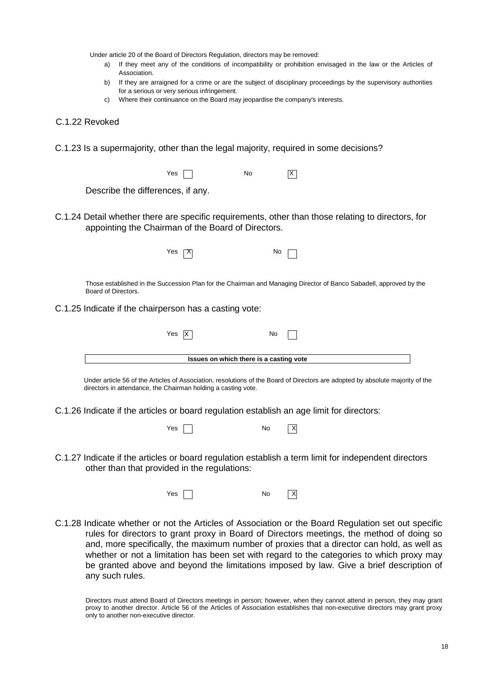Under article 20 of the Board of Directors Regulation, directors may be removed:

- a) If they meet any of the conditions of incompatibility or prohibition envisaged in the law or the Articles of Association.
- b) If they are arraigned for a crime or are the subject of disciplinary proceedings by the supervisory authorities for a serious or very serious infringement.
- c) Where their continuance on the Board may jeopardise the company's interests.

#### C.1.22 Revoked

C.1.23 Is a supermajority, other than the legal majority, required in some decisions?

|                                                        | Yes                                     | No |                                                                                                                    |
|--------------------------------------------------------|-----------------------------------------|----|--------------------------------------------------------------------------------------------------------------------|
| Describe the differences, if any.                      |                                         |    |                                                                                                                    |
| appointing the Chairman of the Board of Directors.     |                                         |    | C.1.24 Detail whether there are specific requirements, other than those relating to directors, for                 |
|                                                        | Yes                                     | N0 |                                                                                                                    |
| Board of Directors.                                    |                                         |    | Those established in the Succession Plan for the Chairman and Managing Director of Banco Sabadell, approved by the |
| C.1.25 Indicate if the chairperson has a casting vote: |                                         |    |                                                                                                                    |
|                                                        | Yes X                                   | No |                                                                                                                    |
|                                                        | Issues on which there is a casting vote |    |                                                                                                                    |

Under article 56 of the Articles of Association, resolutions of the Board of Directors are adopted by absolute majority of the directors in attendance, the Chairman holding a casting vote.

C.1.26 Indicate if the articles or board regulation establish an age limit for directors:

| Yes |  | No | $\overline{X}$ |  |
|-----|--|----|----------------|--|
|-----|--|----|----------------|--|

C.1.27 Indicate if the articles or board regulation establish a term limit for independent directors other than that provided in the regulations:



C.1.28 Indicate whether or not the Articles of Association or the Board Regulation set out specific rules for directors to grant proxy in Board of Directors meetings, the method of doing so and, more specifically, the maximum number of proxies that a director can hold, as well as whether or not a limitation has been set with regard to the categories to which proxy may be granted above and beyond the limitations imposed by law. Give a brief description of any such rules.

Directors must attend Board of Directors meetings in person; however, when they cannot attend in person, they may grant proxy to another director. Article 56 of the Articles of Association establishes that non-executive directors may grant proxy only to another non-executive director.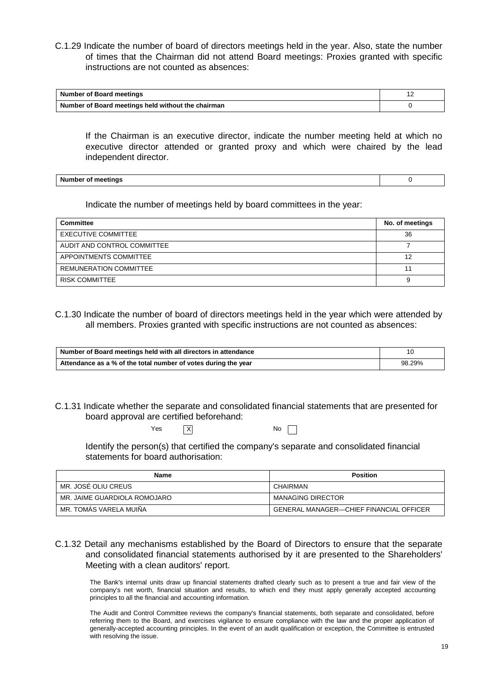C.1.29 Indicate the number of board of directors meetings held in the year. Also, state the number of times that the Chairman did not attend Board meetings: Proxies granted with specific instructions are not counted as absences:

| <b>Number of Board meetings</b>                    |  |
|----------------------------------------------------|--|
| Number of Board meetings held without the chairman |  |

If the Chairman is an executive director, indicate the number meeting held at which no executive director attended or granted proxy and which were chaired by the lead independent director.

**Number of meetings** 0

Indicate the number of meetings held by board committees in the year:

| Committee                     | No. of meetings |
|-------------------------------|-----------------|
| <b>EXECUTIVE COMMITTEE</b>    | 36              |
| AUDIT AND CONTROL COMMITTEE   |                 |
| APPOINTMENTS COMMITTEE        | 12              |
| <b>REMUNERATION COMMITTEE</b> |                 |
| <b>RISK COMMITTEE</b>         | 9               |

C.1.30 Indicate the number of board of directors meetings held in the year which were attended by all members. Proxies granted with specific instructions are not counted as absences:

| Number of Board meetings held with all directors in attendance |        |  |
|----------------------------------------------------------------|--------|--|
| Attendance as a % of the total number of votes during the year | 98.29% |  |

C.1.31 Indicate whether the separate and consolidated financial statements that are presented for board approval are certified beforehand:

|  | Yes | $\overline{X}$ | No |
|--|-----|----------------|----|
|--|-----|----------------|----|

| ۰. |  |
|----|--|
|    |  |

Identify the person(s) that certified the company's separate and consolidated financial statements for board authorisation:

| Name                         | <b>Position</b>                                |  |  |
|------------------------------|------------------------------------------------|--|--|
| MR. JOSÉ OLIU CREUS          | CHAIRMAN                                       |  |  |
| MR. JAIME GUARDIOLA ROMOJARO | <b>MANAGING DIRECTOR</b>                       |  |  |
| MR. TOMÁS VARELA MUIÑA       | <b>GENERAL MANAGER-CHIEF FINANCIAL OFFICER</b> |  |  |

## C.1.32 Detail any mechanisms established by the Board of Directors to ensure that the separate and consolidated financial statements authorised by it are presented to the Shareholders' Meeting with a clean auditors' report.

The Bank's internal units draw up financial statements drafted clearly such as to present a true and fair view of the company's net worth, financial situation and results, to which end they must apply generally accepted accounting principles to all the financial and accounting information.

The Audit and Control Committee reviews the company's financial statements, both separate and consolidated, before referring them to the Board, and exercises vigilance to ensure compliance with the law and the proper application of generally-accepted accounting principles. In the event of an audit qualification or exception, the Committee is entrusted with resolving the issue.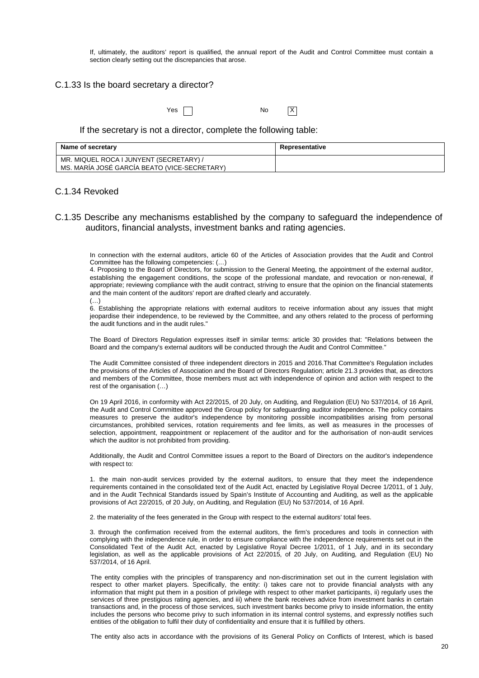If, ultimately, the auditors' report is qualified, the annual report of the Audit and Control Committee must contain a section clearly setting out the discrepancies that arose.

#### C.1.33 Is the board secretary a director?

 $Yes \t N$ 

#### If the secretary is not a director, complete the following table:

| Name of secretary                            | Representative |
|----------------------------------------------|----------------|
| MR. MIQUEL ROCA I JUNYENT (SECRETARY) /      |                |
| MS. MARÍA JOSÉ GARCÍA BEATO (VICE-SECRETARY) |                |

#### C.1.34 Revoked

#### C.1.35 Describe any mechanisms established by the company to safeguard the independence of auditors, financial analysts, investment banks and rating agencies.

In connection with the external auditors, article 60 of the Articles of Association provides that the Audit and Control Committee has the following competencies: (…)

4. Proposing to the Board of Directors, for submission to the General Meeting, the appointment of the external auditor, establishing the engagement conditions, the scope of the professional mandate, and revocation or non-renewal, if appropriate; reviewing compliance with the audit contract, striving to ensure that the opinion on the financial statements and the main content of the auditors' report are drafted clearly and accurately. (…)

6. Establishing the appropriate relations with external auditors to receive information about any issues that might jeopardise their independence, to be reviewed by the Committee, and any others related to the process of performing the audit functions and in the audit rules."

The Board of Directors Regulation expresses itself in similar terms: article 30 provides that: "Relations between the Board and the company's external auditors will be conducted through the Audit and Control Committee."

The Audit Committee consisted of three independent directors in 2015 and 2016.That Committee's Regulation includes the provisions of the Articles of Association and the Board of Directors Regulation; article 21.3 provides that, as directors and members of the Committee, those members must act with independence of opinion and action with respect to the rest of the organisation (…)

On 19 April 2016, in conformity with Act 22/2015, of 20 July, on Auditing, and Regulation (EU) No 537/2014, of 16 April, the Audit and Control Committee approved the Group policy for safeguarding auditor independence. The policy contains measures to preserve the auditor's independence by monitoring possible incompatibilities arising from personal circumstances, prohibited services, rotation requirements and fee limits, as well as measures in the processes of selection, appointment, reappointment or replacement of the auditor and for the authorisation of non-audit services which the auditor is not prohibited from providing.

Additionally, the Audit and Control Committee issues a report to the Board of Directors on the auditor's independence with respect to:

1. the main non-audit services provided by the external auditors, to ensure that they meet the independence requirements contained in the consolidated text of the Audit Act, enacted by Legislative Royal Decree 1/2011, of 1 July, and in the Audit Technical Standards issued by Spain's Institute of Accounting and Auditing, as well as the applicable provisions of Act 22/2015, of 20 July, on Auditing, and Regulation (EU) No 537/2014, of 16 April.

2. the materiality of the fees generated in the Group with respect to the external auditors' total fees.

3. through the confirmation received from the external auditors, the firm's procedures and tools in connection with complying with the independence rule, in order to ensure compliance with the independence requirements set out in the Consolidated Text of the Audit Act, enacted by Legislative Royal Decree 1/2011, of 1 July, and in its secondary legislation, as well as the applicable provisions of Act 22/2015, of 20 July, on Auditing, and Regulation (EU) No 537/2014, of 16 April.

The entity complies with the principles of transparency and non-discrimination set out in the current legislation with respect to other market players. Specifically, the entity: i) takes care not to provide financial analysts with any information that might put them in a position of privilege with respect to other market participants, ii) regularly uses the services of three prestigious rating agencies, and iii) where the bank receives advice from investment banks in certain transactions and, in the process of those services, such investment banks become privy to inside information, the entity includes the persons who become privy to such information in its internal control systems, and expressly notifies such entities of the obligation to fulfil their duty of confidentiality and ensure that it is fulfilled by others.

The entity also acts in accordance with the provisions of its General Policy on Conflicts of Interest, which is based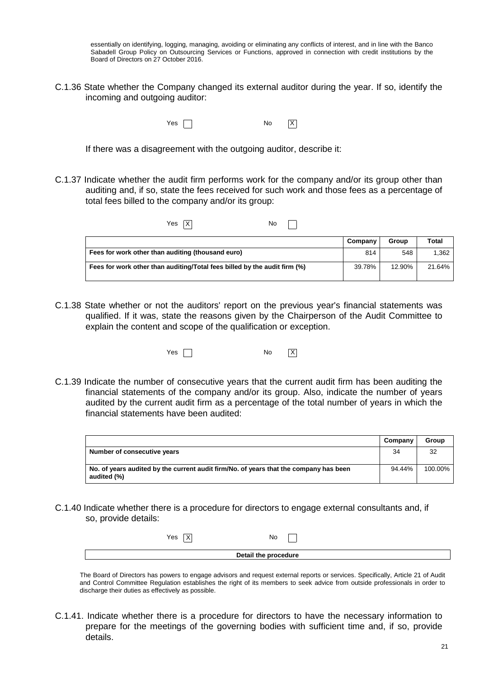essentially on identifying, logging, managing, avoiding or eliminating any conflicts of interest, and in line with the Banco Sabadell Group Policy on Outsourcing Services or Functions, approved in connection with credit institutions by the Board of Directors on 27 October 2016.

C.1.36 State whether the Company changed its external auditor during the year. If so, identify the incoming and outgoing auditor:

 $Yes \frown$  No  $X$ 

If there was a disagreement with the outgoing auditor, describe it:

C.1.37 Indicate whether the audit firm performs work for the company and/or its group other than auditing and, if so, state the fees received for such work and those fees as a percentage of total fees billed to the company and/or its group:

| Yes<br>No.                                                                |         |        |        |
|---------------------------------------------------------------------------|---------|--------|--------|
|                                                                           | Company | Group  | Total  |
| Fees for work other than auditing (thousand euro)                         | 814     | 548    | 1,362  |
| Fees for work other than auditing/Total fees billed by the audit firm (%) | 39.78%  | 12.90% | 21.64% |

C.1.38 State whether or not the auditors' report on the previous year's financial statements was qualified. If it was, state the reasons given by the Chairperson of the Audit Committee to explain the content and scope of the qualification or exception.

| Yes $\left[\right]$ | No | $\overline{X}$ |
|---------------------|----|----------------|
|                     |    |                |

C.1.39 Indicate the number of consecutive years that the current audit firm has been auditing the financial statements of the company and/or its group. Also, indicate the number of years audited by the current audit firm as a percentage of the total number of years in which the financial statements have been audited:

|                                                                                                      | Company | Group   |
|------------------------------------------------------------------------------------------------------|---------|---------|
| Number of consecutive years                                                                          | 34      | 32      |
| No. of years audited by the current audit firm/No. of years that the company has been<br>audited (%) | 94.44%  | 100.00% |

C.1.40 Indicate whether there is a procedure for directors to engage external consultants and, if so, provide details:

| Yes | No                   |  |
|-----|----------------------|--|
|     | Detail the procedure |  |

The Board of Directors has powers to engage advisors and request external reports or services. Specifically, Article 21 of Audit and Control Committee Regulation establishes the right of its members to seek advice from outside professionals in order to discharge their duties as effectively as possible.

C.1.41. Indicate whether there is a procedure for directors to have the necessary information to prepare for the meetings of the governing bodies with sufficient time and, if so, provide details.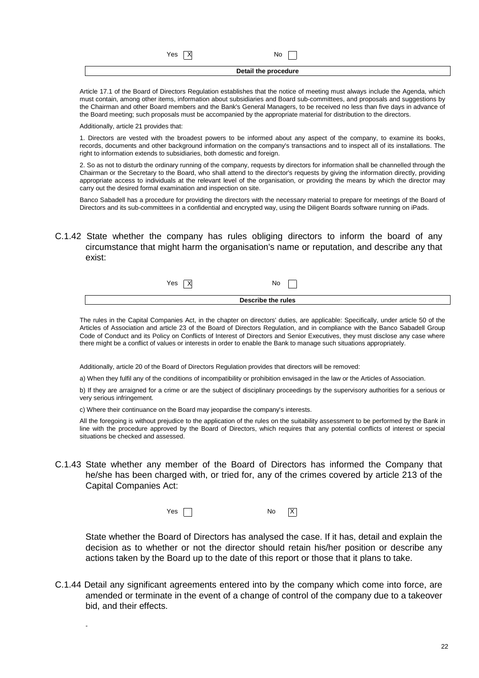$Yes \nightharpoonup X$  No

**Detail the procedure** 

Article 17.1 of the Board of Directors Regulation establishes that the notice of meeting must always include the Agenda, which must contain, among other items, information about subsidiaries and Board sub-committees, and proposals and suggestions by the Chairman and other Board members and the Bank's General Managers, to be received no less than five days in advance of the Board meeting; such proposals must be accompanied by the appropriate material for distribution to the directors.

Additionally, article 21 provides that:

-

1. Directors are vested with the broadest powers to be informed about any aspect of the company, to examine its books, records, documents and other background information on the company's transactions and to inspect all of its installations. The right to information extends to subsidiaries, both domestic and foreign.

2. So as not to disturb the ordinary running of the company, requests by directors for information shall be channelled through the Chairman or the Secretary to the Board, who shall attend to the director's requests by giving the information directly, providing appropriate access to individuals at the relevant level of the organisation, or providing the means by which the director may carry out the desired formal examination and inspection on site.

Banco Sabadell has a procedure for providing the directors with the necessary material to prepare for meetings of the Board of Directors and its sub-committees in a confidential and encrypted way, using the Diligent Boards software running on iPads.

C.1.42 State whether the company has rules obliging directors to inform the board of any circumstance that might harm the organisation's name or reputation, and describe any that exist:

| Yes                | No |  |  |
|--------------------|----|--|--|
| Describe the rules |    |  |  |

The rules in the Capital Companies Act, in the chapter on directors' duties, are applicable: Specifically, under article 50 of the Articles of Association and article 23 of the Board of Directors Regulation, and in compliance with the Banco Sabadell Group Code of Conduct and its Policy on Conflicts of Interest of Directors and Senior Executives, they must disclose any case where there might be a conflict of values or interests in order to enable the Bank to manage such situations appropriately.

Additionally, article 20 of the Board of Directors Regulation provides that directors will be removed:

a) When they fulfil any of the conditions of incompatibility or prohibition envisaged in the law or the Articles of Association.

b) If they are arraigned for a crime or are the subject of disciplinary proceedings by the supervisory authorities for a serious or very serious infringement.

c) Where their continuance on the Board may jeopardise the company's interests.

All the foregoing is without prejudice to the application of the rules on the suitability assessment to be performed by the Bank in line with the procedure approved by the Board of Directors, which requires that any potential conflicts of interest or special situations be checked and assessed.

C.1.43 State whether any member of the Board of Directors has informed the Company that he/she has been charged with, or tried for, any of the crimes covered by article 213 of the Capital Companies Act:

| Yes | No<br>$\cdot$ . $\cdot$ | IΧ |
|-----|-------------------------|----|
|-----|-------------------------|----|

State whether the Board of Directors has analysed the case. If it has, detail and explain the decision as to whether or not the director should retain his/her position or describe any actions taken by the Board up to the date of this report or those that it plans to take.

C.1.44 Detail any significant agreements entered into by the company which come into force, are amended or terminate in the event of a change of control of the company due to a takeover bid, and their effects.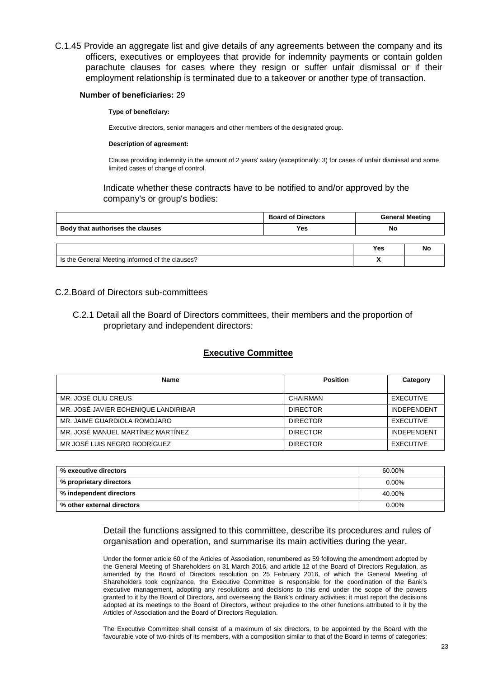C.1.45 Provide an aggregate list and give details of any agreements between the company and its officers, executives or employees that provide for indemnity payments or contain golden parachute clauses for cases where they resign or suffer unfair dismissal or if their employment relationship is terminated due to a takeover or another type of transaction.

#### **Number of beneficiaries:** 29

#### **Type of beneficiary:**

Executive directors, senior managers and other members of the designated group.

#### **Description of agreement:**

Clause providing indemnity in the amount of 2 years' salary (exceptionally: 3) for cases of unfair dismissal and some limited cases of change of control.

Indicate whether these contracts have to be notified to and/or approved by the company's or group's bodies:

|                                                 | <b>Board of Directors</b> |     | <b>General Meeting</b> |  |
|-------------------------------------------------|---------------------------|-----|------------------------|--|
| Body that authorises the clauses                | Yes                       | No  |                        |  |
|                                                 |                           |     |                        |  |
|                                                 |                           | Yes | Nc                     |  |
| Is the General Meeting informed of the clauses? |                           |     |                        |  |

## C.2.Board of Directors sub-committees

C.2.1 Detail all the Board of Directors committees, their members and the proportion of proprietary and independent directors:

## **Executive Committee**

| Name                                 | <b>Position</b> | Category           |
|--------------------------------------|-----------------|--------------------|
| MR. JOSE OLIU CREUS                  | CHAIRMAN        | EXECUTIVE          |
| MR. JOSÉ JAVIER ECHENIQUE LANDIRIBAR | <b>DIRECTOR</b> | <b>INDEPENDENT</b> |
| MR. JAIME GUARDIOLA ROMOJARO         | <b>DIRECTOR</b> | EXECUTIVE          |
| MR. JOSÉ MANUEL MARTÍNEZ MARTÍNEZ    | <b>DIRECTOR</b> | <b>INDEPENDENT</b> |
| MR JOSÉ LUIS NEGRO RODRÍGUEZ         | <b>DIRECTOR</b> | EXECUTIVE          |

| % executive directors      | 60.00%   |
|----------------------------|----------|
| % proprietary directors    | $0.00\%$ |
| % independent directors    | 40.00%   |
| % other external directors | $0.00\%$ |

## Detail the functions assigned to this committee, describe its procedures and rules of organisation and operation, and summarise its main activities during the year.

Under the former article 60 of the Articles of Association, renumbered as 59 following the amendment adopted by the General Meeting of Shareholders on 31 March 2016, and article 12 of the Board of Directors Regulation, as amended by the Board of Directors resolution on 25 February 2016, of which the General Meeting of Shareholders took cognizance, the Executive Committee is responsible for the coordination of the Bank's executive management, adopting any resolutions and decisions to this end under the scope of the powers granted to it by the Board of Directors, and overseeing the Bank's ordinary activities; it must report the decisions adopted at its meetings to the Board of Directors, without prejudice to the other functions attributed to it by the Articles of Association and the Board of Directors Regulation.

The Executive Committee shall consist of a maximum of six directors, to be appointed by the Board with the favourable vote of two-thirds of its members, with a composition similar to that of the Board in terms of categories;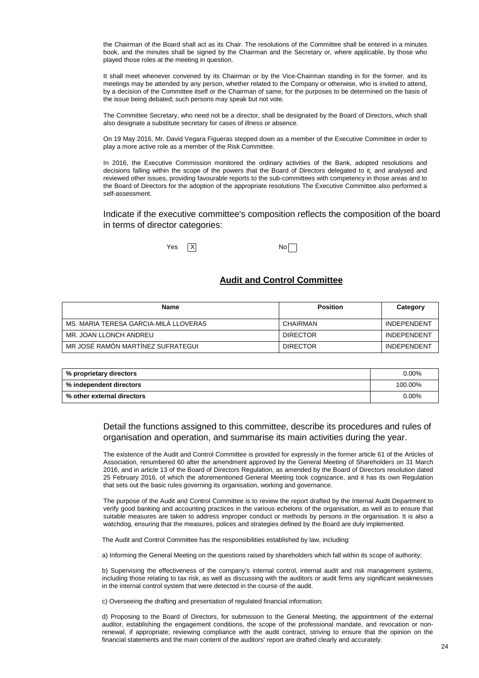the Chairman of the Board shall act as its Chair. The resolutions of the Committee shall be entered in a minutes book, and the minutes shall be signed by the Chairman and the Secretary or, where applicable, by those who played those roles at the meeting in question.

It shall meet whenever convened by its Chairman or by the Vice-Chairman standing in for the former, and its meetings may be attended by any person, whether related to the Company or otherwise, who is invited to attend, by a decision of the Committee itself or the Chairman of same, for the purposes to be determined on the basis of the issue being debated; such persons may speak but not vote.

The Committee Secretary, who need not be a director, shall be designated by the Board of Directors, which shall also designate a substitute secretary for cases of illness or absence.

On 19 May 2016, Mr. David Vegara Figueras stepped down as a member of the Executive Committee in order to play a more active role as a member of the Risk Committee.

In 2016, the Executive Commission monitored the ordinary activities of the Bank, adopted resolutions and decisions falling within the scope of the powers that the Board of Directors delegated to it, and analysed and reviewed other issues, providing favourable reports to the sub-committees with competency in those areas and to the Board of Directors for the adoption of the appropriate resolutions The Executive Committee also performed a self-assessment.

Indicate if the executive committee's composition reflects the composition of the board in terms of director categories:

 $Yes$   $X$  No

## **Audit and Control Committee**

| Name                                  | <b>Position</b> | Category           |
|---------------------------------------|-----------------|--------------------|
| MS. MARIA TERESA GARCIA-MILA LLOVERAS | CHAIRMAN        | <b>INDEPENDENT</b> |
| MR. JOAN LLONCH ANDREU                | <b>DIRECTOR</b> | <b>INDEPENDENT</b> |
| MR JOSÉ RAMÓN MARTINEZ SUFRATEGUI     | <b>DIRECTOR</b> | <b>INDEPENDENT</b> |

| % proprietary directors    | 0.00%   |
|----------------------------|---------|
| │ % independent directors  | 100.00% |
| % other external directors | 0.00%   |

## Detail the functions assigned to this committee, describe its procedures and rules of organisation and operation, and summarise its main activities during the year.

The existence of the Audit and Control Committee is provided for expressly in the former article 61 of the Articles of Association, renumbered 60 after the amendment approved by the General Meeting of Shareholders on 31 March 2016, and in article 13 of the Board of Directors Regulation, as amended by the Board of Directors resolution dated 25 February 2016, of which the aforementioned General Meeting took cognizance, and it has its own Regulation that sets out the basic rules governing its organisation, working and governance.

The purpose of the Audit and Control Committee is to review the report drafted by the Internal Audit Department to verify good banking and accounting practices in the various echelons of the organisation, as well as to ensure that suitable measures are taken to address improper conduct or methods by persons in the organisation. It is also a watchdog, ensuring that the measures, polices and strategies defined by the Board are duly implemented.

The Audit and Control Committee has the responsibilities established by law, including:

a) Informing the General Meeting on the questions raised by shareholders which fall within its scope of authority;

b) Supervising the effectiveness of the company's internal control, internal audit and risk management systems, including those relating to tax risk, as well as discussing with the auditors or audit firms any significant weaknesses in the internal control system that were detected in the course of the audit.

c) Overseeing the drafting and presentation of regulated financial information;

d) Proposing to the Board of Directors, for submission to the General Meeting, the appointment of the external auditor, establishing the engagement conditions, the scope of the professional mandate, and revocation or nonrenewal, if appropriate; reviewing compliance with the audit contract, striving to ensure that the opinion on the financial statements and the main content of the auditors' report are drafted clearly and accurately.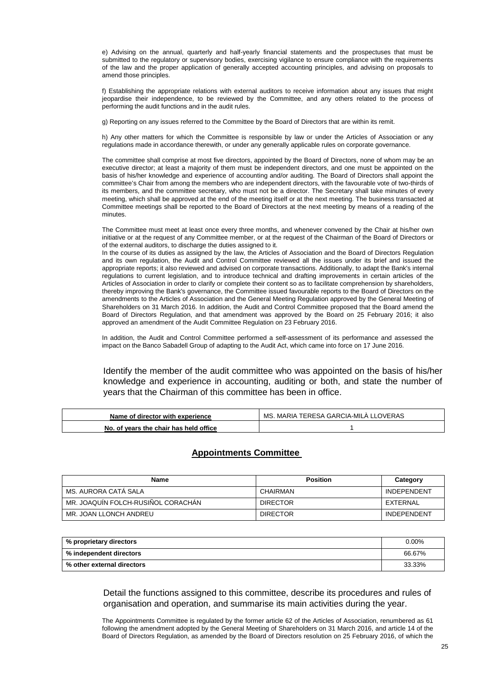e) Advising on the annual, quarterly and half-yearly financial statements and the prospectuses that must be submitted to the regulatory or supervisory bodies, exercising vigilance to ensure compliance with the requirements of the law and the proper application of generally accepted accounting principles, and advising on proposals to amend those principles.

f) Establishing the appropriate relations with external auditors to receive information about any issues that might jeopardise their independence, to be reviewed by the Committee, and any others related to the process of performing the audit functions and in the audit rules.

g) Reporting on any issues referred to the Committee by the Board of Directors that are within its remit.

h) Any other matters for which the Committee is responsible by law or under the Articles of Association or any regulations made in accordance therewith, or under any generally applicable rules on corporate governance.

The committee shall comprise at most five directors, appointed by the Board of Directors, none of whom may be an executive director; at least a majority of them must be independent directors, and one must be appointed on the basis of his/her knowledge and experience of accounting and/or auditing. The Board of Directors shall appoint the committee's Chair from among the members who are independent directors, with the favourable vote of two-thirds of its members, and the committee secretary, who must not be a director. The Secretary shall take minutes of every meeting, which shall be approved at the end of the meeting itself or at the next meeting. The business transacted at Committee meetings shall be reported to the Board of Directors at the next meeting by means of a reading of the minutes.

The Committee must meet at least once every three months, and whenever convened by the Chair at his/her own initiative or at the request of any Committee member, or at the request of the Chairman of the Board of Directors or of the external auditors, to discharge the duties assigned to it.

In the course of its duties as assigned by the law, the Articles of Association and the Board of Directors Regulation and its own regulation, the Audit and Control Committee reviewed all the issues under its brief and issued the appropriate reports; it also reviewed and advised on corporate transactions. Additionally, to adapt the Bank's internal regulations to current legislation, and to introduce technical and drafting improvements in certain articles of the Articles of Association in order to clarify or complete their content so as to facilitate comprehension by shareholders, thereby improving the Bank's governance, the Committee issued favourable reports to the Board of Directors on the amendments to the Articles of Association and the General Meeting Regulation approved by the General Meeting of Shareholders on 31 March 2016. In addition, the Audit and Control Committee proposed that the Board amend the Board of Directors Regulation, and that amendment was approved by the Board on 25 February 2016; it also approved an amendment of the Audit Committee Regulation on 23 February 2016.

In addition, the Audit and Control Committee performed a self-assessment of its performance and assessed the impact on the Banco Sabadell Group of adapting to the Audit Act, which came into force on 17 June 2016.

Identify the member of the audit committee who was appointed on the basis of his/her knowledge and experience in accounting, auditing or both, and state the number of years that the Chairman of this committee has been in office.

| Name of director with experience       | MS. MARIA TERESA GARCIA-MILA LLOVERAS |
|----------------------------------------|---------------------------------------|
| No. of years the chair has held office |                                       |

### **Appointments Committee**

| Name                               | <b>Position</b> | Category           |
|------------------------------------|-----------------|--------------------|
| MS. AURORA CATA SALA               | CHAIRMAN        | <b>INDEPENDENT</b> |
| MR. JOAQUÍN FOLCH-RUSIÑOL CORACHÁN | <b>DIRECTOR</b> | EXTERNAL           |
| MR. JOAN LLONCH ANDREU             | <b>DIRECTOR</b> | <b>INDEPENDENT</b> |

| % proprietary directors    | $0.00\%$ |
|----------------------------|----------|
| % independent directors    | 66.67%   |
| % other external directors | 33.33%   |

Detail the functions assigned to this committee, describe its procedures and rules of organisation and operation, and summarise its main activities during the year.

The Appointments Committee is regulated by the former article 62 of the Articles of Association, renumbered as 61 following the amendment adopted by the General Meeting of Shareholders on 31 March 2016, and article 14 of the Board of Directors Regulation, as amended by the Board of Directors resolution on 25 February 2016, of which the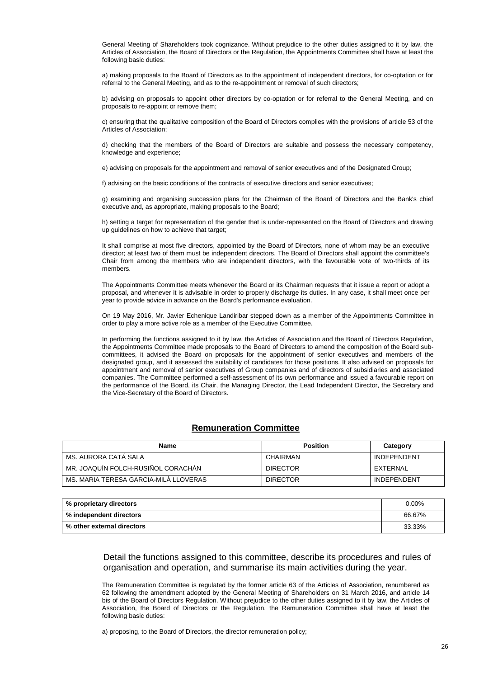General Meeting of Shareholders took cognizance. Without prejudice to the other duties assigned to it by law, the Articles of Association, the Board of Directors or the Regulation, the Appointments Committee shall have at least the following basic duties:

a) making proposals to the Board of Directors as to the appointment of independent directors, for co-optation or for referral to the General Meeting, and as to the re-appointment or removal of such directors;

b) advising on proposals to appoint other directors by co-optation or for referral to the General Meeting, and on proposals to re-appoint or remove them;

c) ensuring that the qualitative composition of the Board of Directors complies with the provisions of article 53 of the Articles of Association;

d) checking that the members of the Board of Directors are suitable and possess the necessary competency, knowledge and experience;

e) advising on proposals for the appointment and removal of senior executives and of the Designated Group;

f) advising on the basic conditions of the contracts of executive directors and senior executives;

g) examining and organising succession plans for the Chairman of the Board of Directors and the Bank's chief executive and, as appropriate, making proposals to the Board;

h) setting a target for representation of the gender that is under-represented on the Board of Directors and drawing up guidelines on how to achieve that target;

It shall comprise at most five directors, appointed by the Board of Directors, none of whom may be an executive director; at least two of them must be independent directors. The Board of Directors shall appoint the committee's Chair from among the members who are independent directors, with the favourable vote of two-thirds of its members.

The Appointments Committee meets whenever the Board or its Chairman requests that it issue a report or adopt a proposal, and whenever it is advisable in order to properly discharge its duties. In any case, it shall meet once per year to provide advice in advance on the Board's performance evaluation.

On 19 May 2016, Mr. Javier Echenique Landiribar stepped down as a member of the Appointments Committee in order to play a more active role as a member of the Executive Committee.

In performing the functions assigned to it by law, the Articles of Association and the Board of Directors Regulation, the Appointments Committee made proposals to the Board of Directors to amend the composition of the Board subcommittees, it advised the Board on proposals for the appointment of senior executives and members of the designated group, and it assessed the suitability of candidates for those positions. It also advised on proposals for appointment and removal of senior executives of Group companies and of directors of subsidiaries and associated companies. The Committee performed a self-assessment of its own performance and issued a favourable report on the performance of the Board, its Chair, the Managing Director, the Lead Independent Director, the Secretary and the Vice-Secretary of the Board of Directors.

## **Remuneration Committee**

| Name                                  | <b>Position</b> | Category           |
|---------------------------------------|-----------------|--------------------|
| MS. AURORA CATA SALA                  | CHAIRMAN        | <b>INDEPENDENT</b> |
| MR. JOAQUIN FOLCH-RUSIÑOL CORACHÁN    | <b>DIRECTOR</b> | EXTERNAL           |
| MS. MARIA TERESA GARCIA-MILA LLOVERAS | <b>DIRECTOR</b> | <b>INDEPENDENT</b> |

| % proprietary directors    | $0.00\%$ |
|----------------------------|----------|
| % independent directors    | 66.67%   |
| % other external directors | 33.33%   |

## Detail the functions assigned to this committee, describe its procedures and rules of organisation and operation, and summarise its main activities during the year.

The Remuneration Committee is regulated by the former article 63 of the Articles of Association, renumbered as 62 following the amendment adopted by the General Meeting of Shareholders on 31 March 2016, and article 14 bis of the Board of Directors Regulation. Without prejudice to the other duties assigned to it by law, the Articles of Association, the Board of Directors or the Regulation, the Remuneration Committee shall have at least the following basic duties:

a) proposing, to the Board of Directors, the director remuneration policy;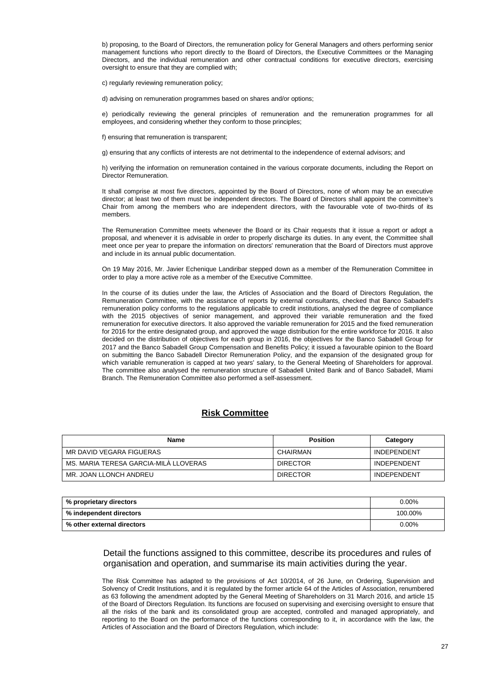b) proposing, to the Board of Directors, the remuneration policy for General Managers and others performing senior management functions who report directly to the Board of Directors, the Executive Committees or the Managing Directors, and the individual remuneration and other contractual conditions for executive directors, exercising oversight to ensure that they are complied with;

c) regularly reviewing remuneration policy;

d) advising on remuneration programmes based on shares and/or options;

e) periodically reviewing the general principles of remuneration and the remuneration programmes for all employees, and considering whether they conform to those principles;

f) ensuring that remuneration is transparent;

g) ensuring that any conflicts of interests are not detrimental to the independence of external advisors; and

h) verifying the information on remuneration contained in the various corporate documents, including the Report on Director Remuneration.

It shall comprise at most five directors, appointed by the Board of Directors, none of whom may be an executive director; at least two of them must be independent directors. The Board of Directors shall appoint the committee's Chair from among the members who are independent directors, with the favourable vote of two-thirds of its members.

The Remuneration Committee meets whenever the Board or its Chair requests that it issue a report or adopt a proposal, and whenever it is advisable in order to properly discharge its duties. In any event, the Committee shall meet once per year to prepare the information on directors' remuneration that the Board of Directors must approve and include in its annual public documentation.

On 19 May 2016, Mr. Javier Echenique Landiribar stepped down as a member of the Remuneration Committee in order to play a more active role as a member of the Executive Committee.

In the course of its duties under the law, the Articles of Association and the Board of Directors Regulation, the Remuneration Committee, with the assistance of reports by external consultants, checked that Banco Sabadell's remuneration policy conforms to the regulations applicable to credit institutions, analysed the degree of compliance with the 2015 objectives of senior management, and approved their variable remuneration and the fixed remuneration for executive directors. It also approved the variable remuneration for 2015 and the fixed remuneration for 2016 for the entire designated group, and approved the wage distribution for the entire workforce for 2016. It also decided on the distribution of objectives for each group in 2016, the objectives for the Banco Sabadell Group for 2017 and the Banco Sabadell Group Compensation and Benefits Policy; it issued a favourable opinion to the Board on submitting the Banco Sabadell Director Remuneration Policy, and the expansion of the designated group for which variable remuneration is capped at two years' salary, to the General Meeting of Shareholders for approval. The committee also analysed the remuneration structure of Sabadell United Bank and of Banco Sabadell, Miami Branch. The Remuneration Committee also performed a self-assessment.

## **Risk Committee**

| <b>Name</b>                           | <b>Position</b> | Category           |
|---------------------------------------|-----------------|--------------------|
| MR DAVID VEGARA FIGUERAS              | CHAIRMAN        | <b>INDEPENDENT</b> |
| MS. MARIA TERESA GARCIA-MILA LLOVERAS | <b>DIRECTOR</b> | <b>INDEPENDENT</b> |
| MR. JOAN LLONCH ANDREU                | <b>DIRECTOR</b> | <b>INDEPENDENT</b> |

| % proprietary directors    | $0.00\%$ |
|----------------------------|----------|
| % independent directors    | 100.00%  |
| % other external directors | $0.00\%$ |

## Detail the functions assigned to this committee, describe its procedures and rules of organisation and operation, and summarise its main activities during the year.

The Risk Committee has adapted to the provisions of Act 10/2014, of 26 June, on Ordering, Supervision and Solvency of Credit Institutions, and it is regulated by the former article 64 of the Articles of Association, renumbered as 63 following the amendment adopted by the General Meeting of Shareholders on 31 March 2016, and article 15 of the Board of Directors Regulation. Its functions are focused on supervising and exercising oversight to ensure that all the risks of the bank and its consolidated group are accepted, controlled and managed appropriately, and reporting to the Board on the performance of the functions corresponding to it, in accordance with the law, the Articles of Association and the Board of Directors Regulation, which include: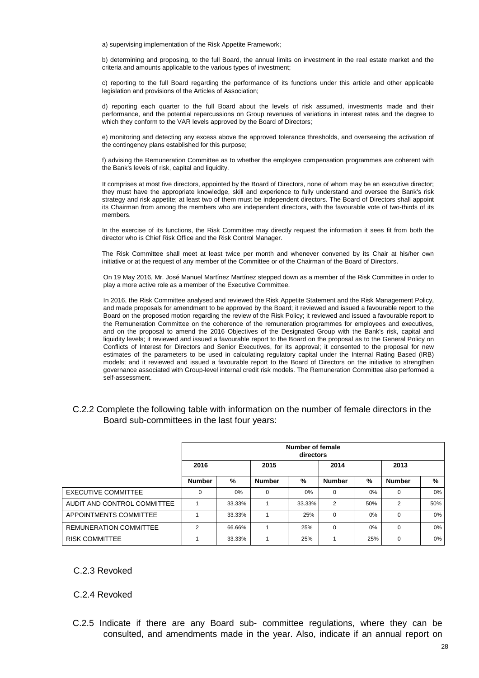a) supervising implementation of the Risk Appetite Framework;

b) determining and proposing, to the full Board, the annual limits on investment in the real estate market and the criteria and amounts applicable to the various types of investment;

c) reporting to the full Board regarding the performance of its functions under this article and other applicable legislation and provisions of the Articles of Association;

d) reporting each quarter to the full Board about the levels of risk assumed, investments made and their performance, and the potential repercussions on Group revenues of variations in interest rates and the degree to which they conform to the VAR levels approved by the Board of Directors;

e) monitoring and detecting any excess above the approved tolerance thresholds, and overseeing the activation of the contingency plans established for this purpose;

f) advising the Remuneration Committee as to whether the employee compensation programmes are coherent with the Bank's levels of risk, capital and liquidity.

It comprises at most five directors, appointed by the Board of Directors, none of whom may be an executive director; they must have the appropriate knowledge, skill and experience to fully understand and oversee the Bank's risk strategy and risk appetite; at least two of them must be independent directors. The Board of Directors shall appoint its Chairman from among the members who are independent directors, with the favourable vote of two-thirds of its members.

In the exercise of its functions, the Risk Committee may directly request the information it sees fit from both the director who is Chief Risk Office and the Risk Control Manager.

The Risk Committee shall meet at least twice per month and whenever convened by its Chair at his/her own initiative or at the request of any member of the Committee or of the Chairman of the Board of Directors.

On 19 May 2016, Mr. José Manuel Martínez Martínez stepped down as a member of the Risk Committee in order to play a more active role as a member of the Executive Committee.

In 2016, the Risk Committee analysed and reviewed the Risk Appetite Statement and the Risk Management Policy, and made proposals for amendment to be approved by the Board; it reviewed and issued a favourable report to the Board on the proposed motion regarding the review of the Risk Policy; it reviewed and issued a favourable report to the Remuneration Committee on the coherence of the remuneration programmes for employees and executives, and on the proposal to amend the 2016 Objectives of the Designated Group with the Bank's risk, capital and liquidity levels; it reviewed and issued a favourable report to the Board on the proposal as to the General Policy on Conflicts of Interest for Directors and Senior Executives, for its approval; it consented to the proposal for new estimates of the parameters to be used in calculating regulatory capital under the Internal Rating Based (IRB) models; and it reviewed and issued a favourable report to the Board of Directors on the initiative to strengthen governance associated with Group-level internal credit risk models. The Remuneration Committee also performed a self-assessment.

## C.2.2 Complete the following table with information on the number of female directors in the Board sub-committees in the last four years:

|                               | Number of female<br>directors |        |               |        |               |     |               |     |
|-------------------------------|-------------------------------|--------|---------------|--------|---------------|-----|---------------|-----|
|                               | 2016                          |        |               | 2015   |               |     | 2013          |     |
|                               | <b>Number</b>                 | %      | <b>Number</b> | %      | <b>Number</b> | %   | <b>Number</b> | %   |
| EXECUTIVE COMMITTEE           | $\Omega$                      | 0%     | $\Omega$      | 0%     | $\Omega$      | 0%  | $\Omega$      | 0%  |
| AUDIT AND CONTROL COMMITTEE   |                               | 33.33% |               | 33.33% | $\mathcal{P}$ | 50% | 2             | 50% |
| APPOINTMENTS COMMITTEE        |                               | 33.33% |               | 25%    | $\Omega$      | 0%  | $\Omega$      | 0%  |
| <b>REMUNERATION COMMITTEE</b> | 2                             | 66.66% |               | 25%    | $\Omega$      | 0%  | $\Omega$      | 0%  |
| <b>RISK COMMITTEE</b>         |                               | 33.33% | ◢             | 25%    |               | 25% | $\Omega$      | 0%  |

## C.2.3 Revoked

## C.2.4 Revoked

C.2.5 Indicate if there are any Board sub- committee regulations, where they can be consulted, and amendments made in the year. Also, indicate if an annual report on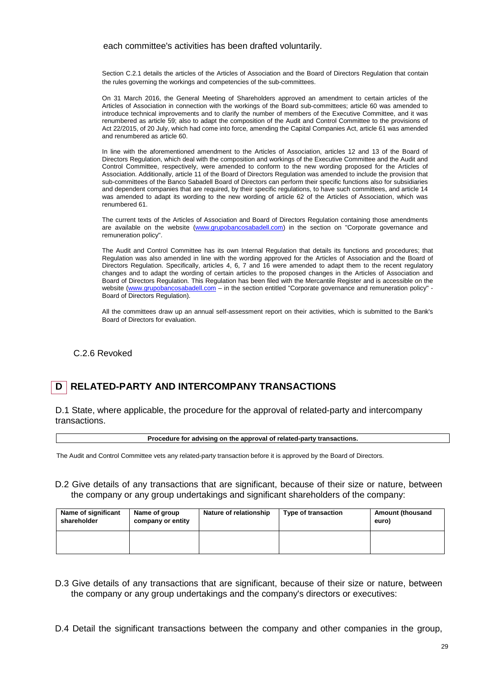#### each committee's activities has been drafted voluntarily.

Section C.2.1 details the articles of the Articles of Association and the Board of Directors Regulation that contain the rules governing the workings and competencies of the sub-committees.

On 31 March 2016, the General Meeting of Shareholders approved an amendment to certain articles of the Articles of Association in connection with the workings of the Board sub-committees; article 60 was amended to introduce technical improvements and to clarify the number of members of the Executive Committee, and it was renumbered as article 59; also to adapt the composition of the Audit and Control Committee to the provisions of Act 22/2015, of 20 July, which had come into force, amending the Capital Companies Act, article 61 was amended and renumbered as article 60.

In line with the aforementioned amendment to the Articles of Association, articles 12 and 13 of the Board of Directors Regulation, which deal with the composition and workings of the Executive Committee and the Audit and Control Committee, respectively, were amended to conform to the new wording proposed for the Articles of Association. Additionally, article 11 of the Board of Directors Regulation was amended to include the provision that sub-committees of the Banco Sabadell Board of Directors can perform their specific functions also for subsidiaries and dependent companies that are required, by their specific regulations, to have such committees, and article 14 was amended to adapt its wording to the new wording of article 62 of the Articles of Association, which was renumbered 61.

The current texts of the Articles of Association and Board of Directors Regulation containing those amendments are available on the website (www.grupobancosabadell.com) in the section on "Corporate governance and remuneration policy".

The Audit and Control Committee has its own Internal Regulation that details its functions and procedures; that Regulation was also amended in line with the wording approved for the Articles of Association and the Board of Directors Regulation. Specifically, articles 4, 6, 7 and 16 were amended to adapt them to the recent regulatory changes and to adapt the wording of certain articles to the proposed changes in the Articles of Association and Board of Directors Regulation. This Regulation has been filed with the Mercantile Register and is accessible on the website (www.grupobancosabadell.com – in the section entitled "Corporate governance and remuneration policy" -Board of Directors Regulation).

All the committees draw up an annual self-assessment report on their activities, which is submitted to the Bank's Board of Directors for evaluation.

C.2.6 Revoked

## **D RELATED-PARTY AND INTERCOMPANY TRANSACTIONS**

D.1 State, where applicable, the procedure for the approval of related-party and intercompany transactions.

**Procedure for advising on the approval of related-party transactions.** 

The Audit and Control Committee vets any related-party transaction before it is approved by the Board of Directors.

D.2 Give details of any transactions that are significant, because of their size or nature, between the company or any group undertakings and significant shareholders of the company:

| Name of significant<br>shareholder | Name of group<br>company or entity | Nature of relationship | Type of transaction | <b>Amount (thousand</b><br>euro) |
|------------------------------------|------------------------------------|------------------------|---------------------|----------------------------------|
|                                    |                                    |                        |                     |                                  |

- D.3 Give details of any transactions that are significant, because of their size or nature, between the company or any group undertakings and the company's directors or executives:
- D.4 Detail the significant transactions between the company and other companies in the group,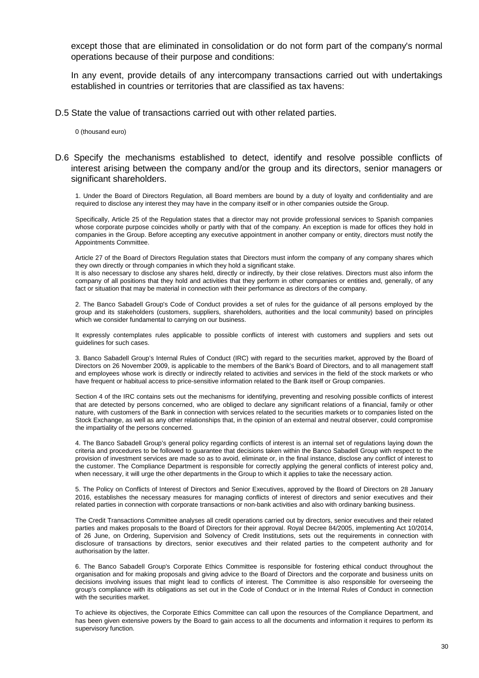except those that are eliminated in consolidation or do not form part of the company's normal operations because of their purpose and conditions:

In any event, provide details of any intercompany transactions carried out with undertakings established in countries or territories that are classified as tax havens:

D.5 State the value of transactions carried out with other related parties.

0 (thousand euro)

D.6 Specify the mechanisms established to detect, identify and resolve possible conflicts of interest arising between the company and/or the group and its directors, senior managers or significant shareholders.

1. Under the Board of Directors Regulation, all Board members are bound by a duty of loyalty and confidentiality and are required to disclose any interest they may have in the company itself or in other companies outside the Group.

Specifically, Article 25 of the Regulation states that a director may not provide professional services to Spanish companies whose corporate purpose coincides wholly or partly with that of the company. An exception is made for offices they hold in companies in the Group. Before accepting any executive appointment in another company or entity, directors must notify the Appointments Committee.

Article 27 of the Board of Directors Regulation states that Directors must inform the company of any company shares which they own directly or through companies in which they hold a significant stake.

It is also necessary to disclose any shares held, directly or indirectly, by their close relatives. Directors must also inform the company of all positions that they hold and activities that they perform in other companies or entities and, generally, of any fact or situation that may be material in connection with their performance as directors of the company.

2. The Banco Sabadell Group's Code of Conduct provides a set of rules for the guidance of all persons employed by the group and its stakeholders (customers, suppliers, shareholders, authorities and the local community) based on principles which we consider fundamental to carrying on our business.

It expressly contemplates rules applicable to possible conflicts of interest with customers and suppliers and sets out guidelines for such cases.

3. Banco Sabadell Group's Internal Rules of Conduct (IRC) with regard to the securities market, approved by the Board of Directors on 26 November 2009, is applicable to the members of the Bank's Board of Directors, and to all management staff and employees whose work is directly or indirectly related to activities and services in the field of the stock markets or who have frequent or habitual access to price-sensitive information related to the Bank itself or Group companies.

Section 4 of the IRC contains sets out the mechanisms for identifying, preventing and resolving possible conflicts of interest that are detected by persons concerned, who are obliged to declare any significant relations of a financial, family or other nature, with customers of the Bank in connection with services related to the securities markets or to companies listed on the Stock Exchange, as well as any other relationships that, in the opinion of an external and neutral observer, could compromise the impartiality of the persons concerned.

4. The Banco Sabadell Group's general policy regarding conflicts of interest is an internal set of regulations laying down the criteria and procedures to be followed to guarantee that decisions taken within the Banco Sabadell Group with respect to the provision of investment services are made so as to avoid, eliminate or, in the final instance, disclose any conflict of interest to the customer. The Compliance Department is responsible for correctly applying the general conflicts of interest policy and, when necessary, it will urge the other departments in the Group to which it applies to take the necessary action.

5. The Policy on Conflicts of Interest of Directors and Senior Executives, approved by the Board of Directors on 28 January 2016, establishes the necessary measures for managing conflicts of interest of directors and senior executives and their related parties in connection with corporate transactions or non-bank activities and also with ordinary banking business.

The Credit Transactions Committee analyses all credit operations carried out by directors, senior executives and their related parties and makes proposals to the Board of Directors for their approval. Royal Decree 84/2005, implementing Act 10/2014, of 26 June, on Ordering, Supervision and Solvency of Credit Institutions, sets out the requirements in connection with disclosure of transactions by directors, senior executives and their related parties to the competent authority and for authorisation by the latter.

6. The Banco Sabadell Group's Corporate Ethics Committee is responsible for fostering ethical conduct throughout the organisation and for making proposals and giving advice to the Board of Directors and the corporate and business units on decisions involving issues that might lead to conflicts of interest. The Committee is also responsible for overseeing the group's compliance with its obligations as set out in the Code of Conduct or in the Internal Rules of Conduct in connection with the securities market.

To achieve its objectives, the Corporate Ethics Committee can call upon the resources of the Compliance Department, and has been given extensive powers by the Board to gain access to all the documents and information it requires to perform its supervisory function.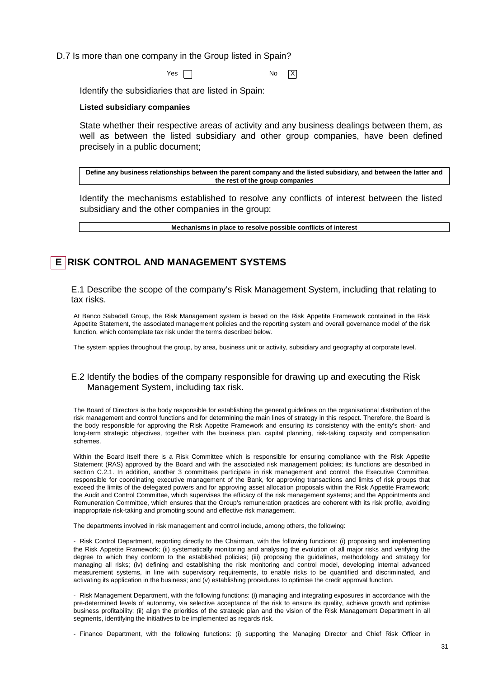D.7 Is more than one company in the Group listed in Spain?

 $Yes \frown$ 

Identify the subsidiaries that are listed in Spain:

#### **Listed subsidiary companies**

State whether their respective areas of activity and any business dealings between them, as well as between the listed subsidiary and other group companies, have been defined precisely in a public document;

**Define any business relationships between the parent company and the listed subsidiary, and between the latter and the rest of the group companies** 

Identify the mechanisms established to resolve any conflicts of interest between the listed subsidiary and the other companies in the group:

**Mechanisms in place to resolve possible conflicts of interest** 

## **E RISK CONTROL AND MANAGEMENT SYSTEMS**

E.1 Describe the scope of the company's Risk Management System, including that relating to tax risks.

At Banco Sabadell Group, the Risk Management system is based on the Risk Appetite Framework contained in the Risk Appetite Statement, the associated management policies and the reporting system and overall governance model of the risk function, which contemplate tax risk under the terms described below.

The system applies throughout the group, by area, business unit or activity, subsidiary and geography at corporate level.

## E.2 Identify the bodies of the company responsible for drawing up and executing the Risk Management System, including tax risk.

The Board of Directors is the body responsible for establishing the general guidelines on the organisational distribution of the risk management and control functions and for determining the main lines of strategy in this respect. Therefore, the Board is the body responsible for approving the Risk Appetite Framework and ensuring its consistency with the entity's short- and long-term strategic objectives, together with the business plan, capital planning, risk-taking capacity and compensation schemes.

Within the Board itself there is a Risk Committee which is responsible for ensuring compliance with the Risk Appetite Statement (RAS) approved by the Board and with the associated risk management policies; its functions are described in section C.2.1. In addition, another 3 committees participate in risk management and control: the Executive Committee, responsible for coordinating executive management of the Bank, for approving transactions and limits of risk groups that exceed the limits of the delegated powers and for approving asset allocation proposals within the Risk Appetite Framework; the Audit and Control Committee, which supervises the efficacy of the risk management systems; and the Appointments and Remuneration Committee, which ensures that the Group's remuneration practices are coherent with its risk profile, avoiding inappropriate risk-taking and promoting sound and effective risk management.

The departments involved in risk management and control include, among others, the following:

- Risk Control Department, reporting directly to the Chairman, with the following functions: (i) proposing and implementing the Risk Appetite Framework; (ii) systematically monitoring and analysing the evolution of all major risks and verifying the degree to which they conform to the established policies; (iii) proposing the guidelines, methodology and strategy for managing all risks; (iv) defining and establishing the risk monitoring and control model, developing internal advanced measurement systems, in line with supervisory requirements, to enable risks to be quantified and discriminated, and activating its application in the business; and (v) establishing procedures to optimise the credit approval function.

- Risk Management Department, with the following functions: (i) managing and integrating exposures in accordance with the pre-determined levels of autonomy, via selective acceptance of the risk to ensure its quality, achieve growth and optimise business profitability; (ii) align the priorities of the strategic plan and the vision of the Risk Management Department in all segments, identifying the initiatives to be implemented as regards risk.

- Finance Department, with the following functions: (i) supporting the Managing Director and Chief Risk Officer in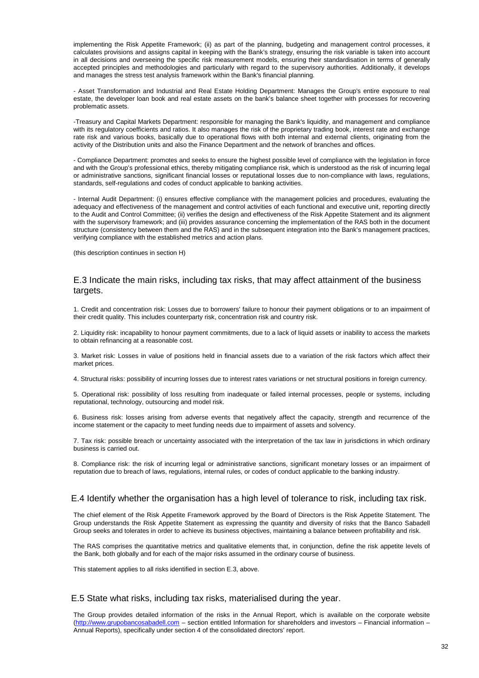implementing the Risk Appetite Framework; (ii) as part of the planning, budgeting and management control processes, it calculates provisions and assigns capital in keeping with the Bank's strategy, ensuring the risk variable is taken into account in all decisions and overseeing the specific risk measurement models, ensuring their standardisation in terms of generally accepted principles and methodologies and particularly with regard to the supervisory authorities. Additionally, it develops and manages the stress test analysis framework within the Bank's financial planning.

- Asset Transformation and Industrial and Real Estate Holding Department: Manages the Group's entire exposure to real estate, the developer loan book and real estate assets on the bank's balance sheet together with processes for recovering problematic assets.

-Treasury and Capital Markets Department: responsible for managing the Bank's liquidity, and management and compliance with its regulatory coefficients and ratios. It also manages the risk of the proprietary trading book, interest rate and exchange rate risk and various books, basically due to operational flows with both internal and external clients, originating from the activity of the Distribution units and also the Finance Department and the network of branches and offices.

- Compliance Department: promotes and seeks to ensure the highest possible level of compliance with the legislation in force and with the Group's professional ethics, thereby mitigating compliance risk, which is understood as the risk of incurring legal or administrative sanctions, significant financial losses or reputational losses due to non-compliance with laws, regulations, standards, self-regulations and codes of conduct applicable to banking activities.

- Internal Audit Department: (i) ensures effective compliance with the management policies and procedures, evaluating the adequacy and effectiveness of the management and control activities of each functional and executive unit, reporting directly to the Audit and Control Committee; (ii) verifies the design and effectiveness of the Risk Appetite Statement and its alignment with the supervisory framework; and (iii) provides assurance concerning the implementation of the RAS both in the document structure (consistency between them and the RAS) and in the subsequent integration into the Bank's management practices, verifying compliance with the established metrics and action plans.

(this description continues in section H)

#### E.3 Indicate the main risks, including tax risks, that may affect attainment of the business targets.

1. Credit and concentration risk: Losses due to borrowers' failure to honour their payment obligations or to an impairment of their credit quality. This includes counterparty risk, concentration risk and country risk.

2. Liquidity risk: incapability to honour payment commitments, due to a lack of liquid assets or inability to access the markets to obtain refinancing at a reasonable cost.

3. Market risk: Losses in value of positions held in financial assets due to a variation of the risk factors which affect their market prices.

4. Structural risks: possibility of incurring losses due to interest rates variations or net structural positions in foreign currency.

5. Operational risk: possibility of loss resulting from inadequate or failed internal processes, people or systems, including reputational, technology, outsourcing and model risk.

6. Business risk: losses arising from adverse events that negatively affect the capacity, strength and recurrence of the income statement or the capacity to meet funding needs due to impairment of assets and solvency.

7. Tax risk: possible breach or uncertainty associated with the interpretation of the tax law in jurisdictions in which ordinary business is carried out.

8. Compliance risk: the risk of incurring legal or administrative sanctions, significant monetary losses or an impairment of reputation due to breach of laws, regulations, internal rules, or codes of conduct applicable to the banking industry.

#### E.4 Identify whether the organisation has a high level of tolerance to risk, including tax risk.

The chief element of the Risk Appetite Framework approved by the Board of Directors is the Risk Appetite Statement. The Group understands the Risk Appetite Statement as expressing the quantity and diversity of risks that the Banco Sabadell Group seeks and tolerates in order to achieve its business objectives, maintaining a balance between profitability and risk.

The RAS comprises the quantitative metrics and qualitative elements that, in conjunction, define the risk appetite levels of the Bank, both globally and for each of the major risks assumed in the ordinary course of business.

This statement applies to all risks identified in section E.3, above.

#### E.5 State what risks, including tax risks, materialised during the year.

The Group provides detailed information of the risks in the Annual Report, which is available on the corporate website (http://www.grupobancosabadell.com – section entitled Information for shareholders and investors – Financial information – Annual Reports), specifically under section 4 of the consolidated directors' report.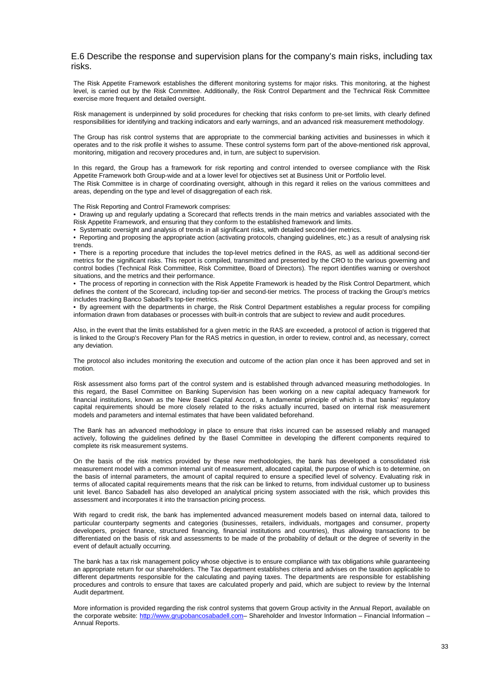#### E.6 Describe the response and supervision plans for the company's main risks, including tax risks.

The Risk Appetite Framework establishes the different monitoring systems for major risks. This monitoring, at the highest level, is carried out by the Risk Committee. Additionally, the Risk Control Department and the Technical Risk Committee exercise more frequent and detailed oversight.

Risk management is underpinned by solid procedures for checking that risks conform to pre-set limits, with clearly defined responsibilities for identifying and tracking indicators and early warnings, and an advanced risk measurement methodology.

The Group has risk control systems that are appropriate to the commercial banking activities and businesses in which it operates and to the risk profile it wishes to assume. These control systems form part of the above-mentioned risk approval, monitoring, mitigation and recovery procedures and, in turn, are subject to supervision.

In this regard, the Group has a framework for risk reporting and control intended to oversee compliance with the Risk Appetite Framework both Group-wide and at a lower level for objectives set at Business Unit or Portfolio level. The Risk Committee is in charge of coordinating oversight, although in this regard it relies on the various committees and

areas, depending on the type and level of disaggregation of each risk.

The Risk Reporting and Control Framework comprises:

• Drawing up and regularly updating a Scorecard that reflects trends in the main metrics and variables associated with the Risk Appetite Framework, and ensuring that they conform to the established framework and limits.

• Systematic oversight and analysis of trends in all significant risks, with detailed second-tier metrics.

• Reporting and proposing the appropriate action (activating protocols, changing guidelines, etc.) as a result of analysing risk trends.

• There is a reporting procedure that includes the top-level metrics defined in the RAS, as well as additional second-tier metrics for the significant risks. This report is compiled, transmitted and presented by the CRO to the various governing and control bodies (Technical Risk Committee, Risk Committee, Board of Directors). The report identifies warning or overshoot situations, and the metrics and their performance.

• The process of reporting in connection with the Risk Appetite Framework is headed by the Risk Control Department, which defines the content of the Scorecard, including top-tier and second-tier metrics. The process of tracking the Group's metrics includes tracking Banco Sabadell's top-tier metrics.

• By agreement with the departments in charge, the Risk Control Department establishes a regular process for compiling information drawn from databases or processes with built-in controls that are subject to review and audit procedures.

Also, in the event that the limits established for a given metric in the RAS are exceeded, a protocol of action is triggered that is linked to the Group's Recovery Plan for the RAS metrics in question, in order to review, control and, as necessary, correct any deviation.

The protocol also includes monitoring the execution and outcome of the action plan once it has been approved and set in motion.

Risk assessment also forms part of the control system and is established through advanced measuring methodologies. In this regard, the Basel Committee on Banking Supervision has been working on a new capital adequacy framework for financial institutions, known as the New Basel Capital Accord, a fundamental principle of which is that banks' regulatory capital requirements should be more closely related to the risks actually incurred, based on internal risk measurement models and parameters and internal estimates that have been validated beforehand.

The Bank has an advanced methodology in place to ensure that risks incurred can be assessed reliably and managed actively, following the guidelines defined by the Basel Committee in developing the different components required to complete its risk measurement systems.

On the basis of the risk metrics provided by these new methodologies, the bank has developed a consolidated risk measurement model with a common internal unit of measurement, allocated capital, the purpose of which is to determine, on the basis of internal parameters, the amount of capital required to ensure a specified level of solvency. Evaluating risk in terms of allocated capital requirements means that the risk can be linked to returns, from individual customer up to business unit level. Banco Sabadell has also developed an analytical pricing system associated with the risk, which provides this assessment and incorporates it into the transaction pricing process.

With regard to credit risk, the bank has implemented advanced measurement models based on internal data, tailored to particular counterparty segments and categories (businesses, retailers, individuals, mortgages and consumer, property developers, project finance, structured financing, financial institutions and countries), thus allowing transactions to be differentiated on the basis of risk and assessments to be made of the probability of default or the degree of severity in the event of default actually occurring.

The bank has a tax risk management policy whose objective is to ensure compliance with tax obligations while guaranteeing an appropriate return for our shareholders. The Tax department establishes criteria and advises on the taxation applicable to different departments responsible for the calculating and paying taxes. The departments are responsible for establishing procedures and controls to ensure that taxes are calculated properly and paid, which are subject to review by the Internal Audit department.

More information is provided regarding the risk control systems that govern Group activity in the Annual Report, available on the corporate website: http://www.grupobancosabadell.com- Shareholder and Investor Information - Financial Information -Annual Reports.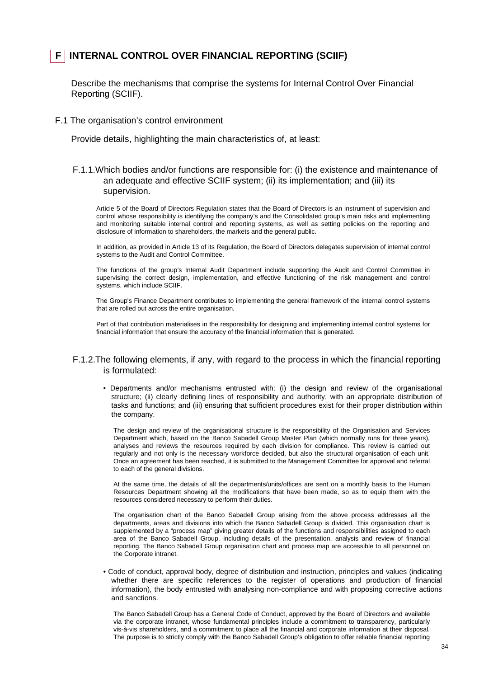## **F INTERNAL CONTROL OVER FINANCIAL REPORTING (SCIIF)**

Describe the mechanisms that comprise the systems for Internal Control Over Financial Reporting (SCIIF).

#### F.1 The organisation's control environment

Provide details, highlighting the main characteristics of, at least:

## F.1.1.Which bodies and/or functions are responsible for: (i) the existence and maintenance of an adequate and effective SCIIF system; (ii) its implementation; and (iii) its supervision.

Article 5 of the Board of Directors Regulation states that the Board of Directors is an instrument of supervision and control whose responsibility is identifying the company's and the Consolidated group's main risks and implementing and monitoring suitable internal control and reporting systems, as well as setting policies on the reporting and disclosure of information to shareholders, the markets and the general public.

In addition, as provided in Article 13 of its Regulation, the Board of Directors delegates supervision of internal control systems to the Audit and Control Committee.

The functions of the group's Internal Audit Department include supporting the Audit and Control Committee in supervising the correct design, implementation, and effective functioning of the risk management and control systems, which include SCIIF.

The Group's Finance Department contributes to implementing the general framework of the internal control systems that are rolled out across the entire organisation.

Part of that contribution materialises in the responsibility for designing and implementing internal control systems for financial information that ensure the accuracy of the financial information that is generated.

#### F.1.2.The following elements, if any, with regard to the process in which the financial reporting is formulated:

• Departments and/or mechanisms entrusted with: (i) the design and review of the organisational structure; (ii) clearly defining lines of responsibility and authority, with an appropriate distribution of tasks and functions; and (iii) ensuring that sufficient procedures exist for their proper distribution within the company.

The design and review of the organisational structure is the responsibility of the Organisation and Services Department which, based on the Banco Sabadell Group Master Plan (which normally runs for three years), analyses and reviews the resources required by each division for compliance. This review is carried out regularly and not only is the necessary workforce decided, but also the structural organisation of each unit. Once an agreement has been reached, it is submitted to the Management Committee for approval and referral to each of the general divisions.

At the same time, the details of all the departments/units/offices are sent on a monthly basis to the Human Resources Department showing all the modifications that have been made, so as to equip them with the resources considered necessary to perform their duties.

The organisation chart of the Banco Sabadell Group arising from the above process addresses all the departments, areas and divisions into which the Banco Sabadell Group is divided. This organisation chart is supplemented by a "process map" giving greater details of the functions and responsibilities assigned to each area of the Banco Sabadell Group, including details of the presentation, analysis and review of financial reporting. The Banco Sabadell Group organisation chart and process map are accessible to all personnel on the Corporate intranet.

• Code of conduct, approval body, degree of distribution and instruction, principles and values (indicating whether there are specific references to the register of operations and production of financial information), the body entrusted with analysing non-compliance and with proposing corrective actions and sanctions.

The Banco Sabadell Group has a General Code of Conduct, approved by the Board of Directors and available via the corporate intranet, whose fundamental principles include a commitment to transparency, particularly vis-à-vis shareholders, and a commitment to place all the financial and corporate information at their disposal. The purpose is to strictly comply with the Banco Sabadell Group's obligation to offer reliable financial reporting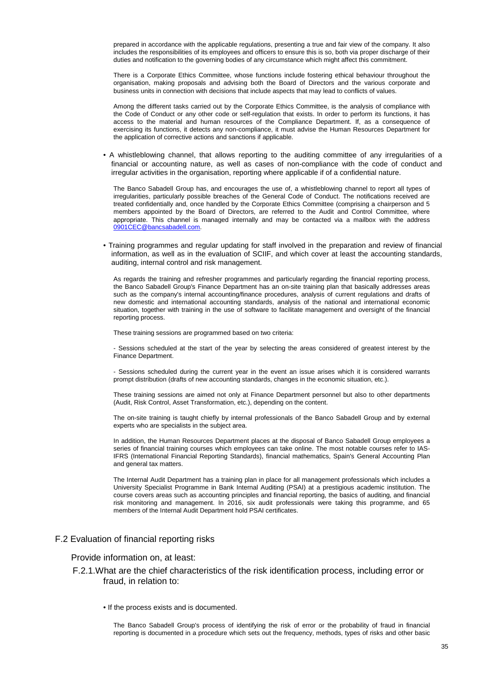prepared in accordance with the applicable regulations, presenting a true and fair view of the company. It also includes the responsibilities of its employees and officers to ensure this is so, both via proper discharge of their duties and notification to the governing bodies of any circumstance which might affect this commitment.

There is a Corporate Ethics Committee, whose functions include fostering ethical behaviour throughout the organisation, making proposals and advising both the Board of Directors and the various corporate and business units in connection with decisions that include aspects that may lead to conflicts of values.

Among the different tasks carried out by the Corporate Ethics Committee, is the analysis of compliance with the Code of Conduct or any other code or self-regulation that exists. In order to perform its functions, it has access to the material and human resources of the Compliance Department. If, as a consequence of exercising its functions, it detects any non-compliance, it must advise the Human Resources Department for the application of corrective actions and sanctions if applicable.

• A whistleblowing channel, that allows reporting to the auditing committee of any irregularities of a financial or accounting nature, as well as cases of non-compliance with the code of conduct and irregular activities in the organisation, reporting where applicable if of a confidential nature.

The Banco Sabadell Group has, and encourages the use of, a whistleblowing channel to report all types of irregularities, particularly possible breaches of the General Code of Conduct. The notifications received are treated confidentially and, once handled by the Corporate Ethics Committee (comprising a chairperson and 5 members appointed by the Board of Directors, are referred to the Audit and Control Committee, where appropriate. This channel is managed internally and may be contacted via a mailbox with the address 0901CEC@bancsabadell.com.

• Training programmes and regular updating for staff involved in the preparation and review of financial information, as well as in the evaluation of SCIIF, and which cover at least the accounting standards, auditing, internal control and risk management.

As regards the training and refresher programmes and particularly regarding the financial reporting process, the Banco Sabadell Group's Finance Department has an on-site training plan that basically addresses areas such as the company's internal accounting/finance procedures, analysis of current regulations and drafts of new domestic and international accounting standards, analysis of the national and international economic situation, together with training in the use of software to facilitate management and oversight of the financial reporting process.

These training sessions are programmed based on two criteria:

- Sessions scheduled at the start of the year by selecting the areas considered of greatest interest by the Finance Department.

- Sessions scheduled during the current year in the event an issue arises which it is considered warrants prompt distribution (drafts of new accounting standards, changes in the economic situation, etc.).

These training sessions are aimed not only at Finance Department personnel but also to other departments (Audit, Risk Control, Asset Transformation, etc.), depending on the content.

The on-site training is taught chiefly by internal professionals of the Banco Sabadell Group and by external experts who are specialists in the subject area.

In addition, the Human Resources Department places at the disposal of Banco Sabadell Group employees a series of financial training courses which employees can take online. The most notable courses refer to IAS-IFRS (International Financial Reporting Standards), financial mathematics, Spain's General Accounting Plan and general tax matters.

The Internal Audit Department has a training plan in place for all management professionals which includes a University Specialist Programme in Bank Internal Auditing (PSAI) at a prestigious academic institution. The course covers areas such as accounting principles and financial reporting, the basics of auditing, and financial risk monitoring and management. In 2016, six audit professionals were taking this programme, and 65 members of the Internal Audit Department hold PSAI certificates.

#### F.2 Evaluation of financial reporting risks

#### Provide information on, at least:

#### F.2.1.What are the chief characteristics of the risk identification process, including error or fraud, in relation to:

• If the process exists and is documented.

The Banco Sabadell Group's process of identifying the risk of error or the probability of fraud in financial reporting is documented in a procedure which sets out the frequency, methods, types of risks and other basic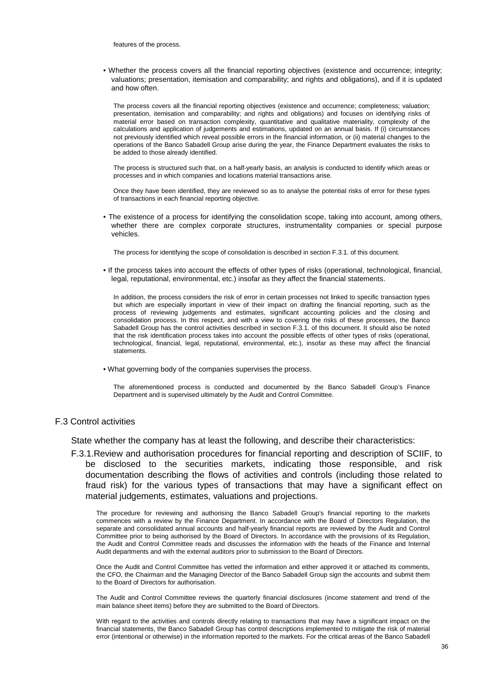features of the process.

• Whether the process covers all the financial reporting objectives (existence and occurrence; integrity; valuations; presentation, itemisation and comparability; and rights and obligations), and if it is updated and how often.

The process covers all the financial reporting objectives (existence and occurrence; completeness; valuation; presentation, itemisation and comparability; and rights and obligations) and focuses on identifying risks of material error based on transaction complexity, quantitative and qualitative materiality, complexity of the calculations and application of judgements and estimations, updated on an annual basis. If (i) circumstances not previously identified which reveal possible errors in the financial information, or (ii) material changes to the operations of the Banco Sabadell Group arise during the year, the Finance Department evaluates the risks to be added to those already identified.

The process is structured such that, on a half-yearly basis, an analysis is conducted to identify which areas or processes and in which companies and locations material transactions arise.

Once they have been identified, they are reviewed so as to analyse the potential risks of error for these types of transactions in each financial reporting objective.

• The existence of a process for identifying the consolidation scope, taking into account, among others, whether there are complex corporate structures, instrumentality companies or special purpose vehicles.

The process for identifying the scope of consolidation is described in section F.3.1. of this document.

• If the process takes into account the effects of other types of risks (operational, technological, financial, legal, reputational, environmental, etc.) insofar as they affect the financial statements.

In addition, the process considers the risk of error in certain processes not linked to specific transaction types but which are especially important in view of their impact on drafting the financial reporting, such as the process of reviewing judgements and estimates, significant accounting policies and the closing and consolidation process. In this respect, and with a view to covering the risks of these processes, the Banco Sabadell Group has the control activities described in section F.3.1. of this document. It should also be noted that the risk identification process takes into account the possible effects of other types of risks (operational, technological, financial, legal, reputational, environmental, etc.), insofar as these may affect the financial statements.

• What governing body of the companies supervises the process.

The aforementioned process is conducted and documented by the Banco Sabadell Group's Finance Department and is supervised ultimately by the Audit and Control Committee.

#### F.3 Control activities

State whether the company has at least the following, and describe their characteristics:

F.3.1.Review and authorisation procedures for financial reporting and description of SCIIF, to be disclosed to the securities markets, indicating those responsible, and risk documentation describing the flows of activities and controls (including those related to fraud risk) for the various types of transactions that may have a significant effect on material judgements, estimates, valuations and projections.

The procedure for reviewing and authorising the Banco Sabadell Group's financial reporting to the markets commences with a review by the Finance Department. In accordance with the Board of Directors Regulation, the separate and consolidated annual accounts and half-yearly financial reports are reviewed by the Audit and Control Committee prior to being authorised by the Board of Directors. In accordance with the provisions of its Regulation, the Audit and Control Committee reads and discusses the information with the heads of the Finance and Internal Audit departments and with the external auditors prior to submission to the Board of Directors.

Once the Audit and Control Committee has vetted the information and either approved it or attached its comments, the CFO, the Chairman and the Managing Director of the Banco Sabadell Group sign the accounts and submit them to the Board of Directors for authorisation.

The Audit and Control Committee reviews the quarterly financial disclosures (income statement and trend of the main balance sheet items) before they are submitted to the Board of Directors.

With regard to the activities and controls directly relating to transactions that may have a significant impact on the financial statements, the Banco Sabadell Group has control descriptions implemented to mitigate the risk of material error (intentional or otherwise) in the information reported to the markets. For the critical areas of the Banco Sabadell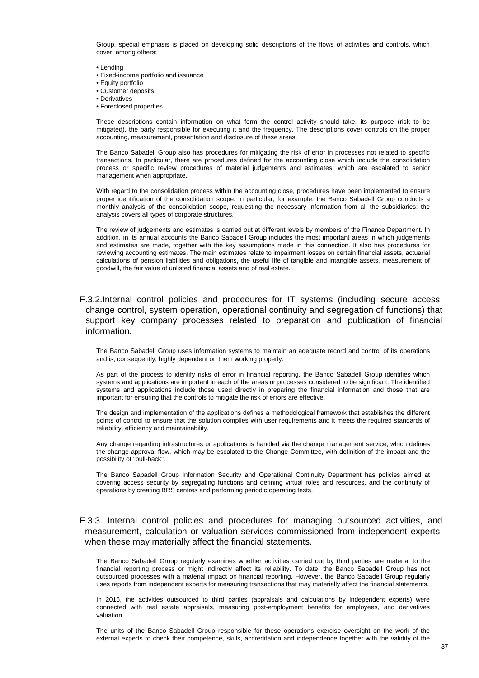Group, special emphasis is placed on developing solid descriptions of the flows of activities and controls, which cover, among others:

- Lending
- Fixed-income portfolio and issuance
- Equity portfolio
- Customer deposits
- Derivatives
- Foreclosed properties

These descriptions contain information on what form the control activity should take, its purpose (risk to be mitigated), the party responsible for executing it and the frequency. The descriptions cover controls on the proper accounting, measurement, presentation and disclosure of these areas.

The Banco Sabadell Group also has procedures for mitigating the risk of error in processes not related to specific transactions. In particular, there are procedures defined for the accounting close which include the consolidation process or specific review procedures of material judgements and estimates, which are escalated to senior management when appropriate.

With regard to the consolidation process within the accounting close, procedures have been implemented to ensure proper identification of the consolidation scope. In particular, for example, the Banco Sabadell Group conducts a monthly analysis of the consolidation scope, requesting the necessary information from all the subsidiaries; the analysis covers all types of corporate structures.

The review of judgements and estimates is carried out at different levels by members of the Finance Department. In addition, in its annual accounts the Banco Sabadell Group includes the most important areas in which judgements and estimates are made, together with the key assumptions made in this connection. It also has procedures for reviewing accounting estimates. The main estimates relate to impairment losses on certain financial assets, actuarial calculations of pension liabilities and obligations, the useful life of tangible and intangible assets, measurement of goodwill, the fair value of unlisted financial assets and of real estate.

## F.3.2.Internal control policies and procedures for IT systems (including secure access, change control, system operation, operational continuity and segregation of functions) that support key company processes related to preparation and publication of financial information.

The Banco Sabadell Group uses information systems to maintain an adequate record and control of its operations and is, consequently, highly dependent on them working properly.

As part of the process to identify risks of error in financial reporting, the Banco Sabadell Group identifies which systems and applications are important in each of the areas or processes considered to be significant. The identified systems and applications include those used directly in preparing the financial information and those that are important for ensuring that the controls to mitigate the risk of errors are effective.

The design and implementation of the applications defines a methodological framework that establishes the different points of control to ensure that the solution complies with user requirements and it meets the required standards of reliability, efficiency and maintainability.

Any change regarding infrastructures or applications is handled via the change management service, which defines the change approval flow, which may be escalated to the Change Committee, with definition of the impact and the possibility of "pull-back".

The Banco Sabadell Group Information Security and Operational Continuity Department has policies aimed at covering access security by segregating functions and defining virtual roles and resources, and the continuity of operations by creating BRS centres and performing periodic operating tests.

#### F.3.3. Internal control policies and procedures for managing outsourced activities, and measurement, calculation or valuation services commissioned from independent experts, when these may materially affect the financial statements.

The Banco Sabadell Group regularly examines whether activities carried out by third parties are material to the financial reporting process or might indirectly affect its reliability. To date, the Banco Sabadell Group has not outsourced processes with a material impact on financial reporting. However, the Banco Sabadell Group regularly uses reports from independent experts for measuring transactions that may materially affect the financial statements.

In 2016, the activities outsourced to third parties (appraisals and calculations by independent experts) were connected with real estate appraisals, measuring post-employment benefits for employees, and derivatives valuation.

The units of the Banco Sabadell Group responsible for these operations exercise oversight on the work of the external experts to check their competence, skills, accreditation and independence together with the validity of the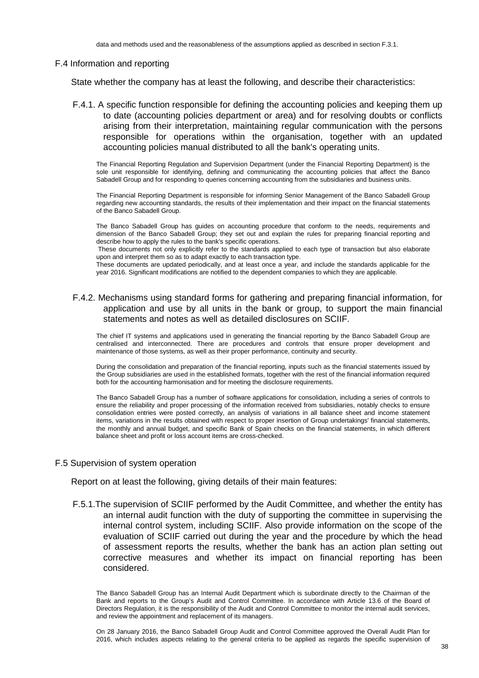#### F.4 Information and reporting

State whether the company has at least the following, and describe their characteristics:

F.4.1. A specific function responsible for defining the accounting policies and keeping them up to date (accounting policies department or area) and for resolving doubts or conflicts arising from their interpretation, maintaining regular communication with the persons responsible for operations within the organisation, together with an updated accounting policies manual distributed to all the bank's operating units.

The Financial Reporting Regulation and Supervision Department (under the Financial Reporting Department) is the sole unit responsible for identifying, defining and communicating the accounting policies that affect the Banco Sabadell Group and for responding to queries concerning accounting from the subsidiaries and business units.

The Financial Reporting Department is responsible for informing Senior Management of the Banco Sabadell Group regarding new accounting standards, the results of their implementation and their impact on the financial statements of the Banco Sabadell Group.

The Banco Sabadell Group has guides on accounting procedure that conform to the needs, requirements and dimension of the Banco Sabadell Group; they set out and explain the rules for preparing financial reporting and describe how to apply the rules to the bank's specific operations.

 These documents not only explicitly refer to the standards applied to each type of transaction but also elaborate upon and interpret them so as to adapt exactly to each transaction type.

These documents are updated periodically, and at least once a year, and include the standards applicable for the year 2016. Significant modifications are notified to the dependent companies to which they are applicable.

## F.4.2. Mechanisms using standard forms for gathering and preparing financial information, for application and use by all units in the bank or group, to support the main financial statements and notes as well as detailed disclosures on SCIIF.

The chief IT systems and applications used in generating the financial reporting by the Banco Sabadell Group are centralised and interconnected. There are procedures and controls that ensure proper development and maintenance of those systems, as well as their proper performance, continuity and security.

During the consolidation and preparation of the financial reporting, inputs such as the financial statements issued by the Group subsidiaries are used in the established formats, together with the rest of the financial information required both for the accounting harmonisation and for meeting the disclosure requirements.

The Banco Sabadell Group has a number of software applications for consolidation, including a series of controls to ensure the reliability and proper processing of the information received from subsidiaries, notably checks to ensure consolidation entries were posted correctly, an analysis of variations in all balance sheet and income statement items, variations in the results obtained with respect to proper insertion of Group undertakings' financial statements, the monthly and annual budget, and specific Bank of Spain checks on the financial statements, in which different balance sheet and profit or loss account items are cross-checked.

#### F.5 Supervision of system operation

Report on at least the following, giving details of their main features:

F.5.1.The supervision of SCIIF performed by the Audit Committee, and whether the entity has an internal audit function with the duty of supporting the committee in supervising the internal control system, including SCIIF. Also provide information on the scope of the evaluation of SCIIF carried out during the year and the procedure by which the head of assessment reports the results, whether the bank has an action plan setting out corrective measures and whether its impact on financial reporting has been considered.

On 28 January 2016, the Banco Sabadell Group Audit and Control Committee approved the Overall Audit Plan for 2016, which includes aspects relating to the general criteria to be applied as regards the specific supervision of

The Banco Sabadell Group has an Internal Audit Department which is subordinate directly to the Chairman of the Bank and reports to the Group's Audit and Control Committee. In accordance with Article 13.6 of the Board of Directors Regulation, it is the responsibility of the Audit and Control Committee to monitor the internal audit services, and review the appointment and replacement of its managers.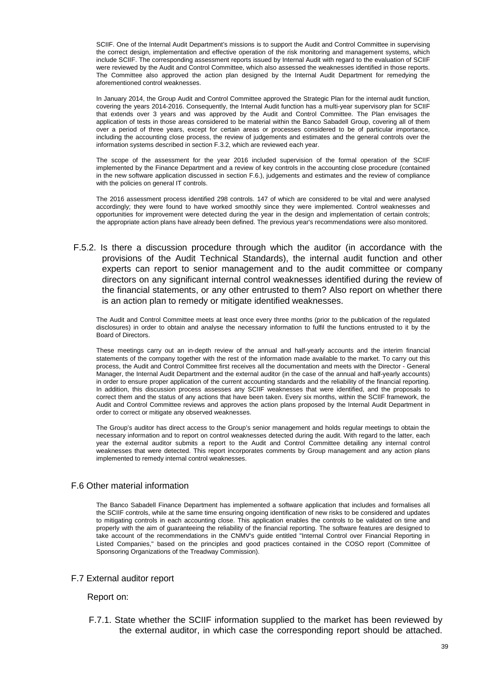SCIIF. One of the Internal Audit Department's missions is to support the Audit and Control Committee in supervising the correct design, implementation and effective operation of the risk monitoring and management systems, which include SCIIF. The corresponding assessment reports issued by Internal Audit with regard to the evaluation of SCIIF were reviewed by the Audit and Control Committee, which also assessed the weaknesses identified in those reports. The Committee also approved the action plan designed by the Internal Audit Department for remedying the aforementioned control weaknesses.

In January 2014, the Group Audit and Control Committee approved the Strategic Plan for the internal audit function, covering the years 2014-2016. Consequently, the Internal Audit function has a multi-year supervisory plan for SCIIF that extends over 3 years and was approved by the Audit and Control Committee. The Plan envisages the application of tests in those areas considered to be material within the Banco Sabadell Group, covering all of them over a period of three years, except for certain areas or processes considered to be of particular importance, including the accounting close process, the review of judgements and estimates and the general controls over the information systems described in section F.3.2, which are reviewed each year.

The scope of the assessment for the year 2016 included supervision of the formal operation of the SCIIF implemented by the Finance Department and a review of key controls in the accounting close procedure (contained in the new software application discussed in section F.6.), judgements and estimates and the review of compliance with the policies on general IT controls.

The 2016 assessment process identified 298 controls. 147 of which are considered to be vital and were analysed accordingly; they were found to have worked smoothly since they were implemented. Control weaknesses and opportunities for improvement were detected during the year in the design and implementation of certain controls; the appropriate action plans have already been defined. The previous year's recommendations were also monitored.

F.5.2. Is there a discussion procedure through which the auditor (in accordance with the provisions of the Audit Technical Standards), the internal audit function and other experts can report to senior management and to the audit committee or company directors on any significant internal control weaknesses identified during the review of the financial statements, or any other entrusted to them? Also report on whether there is an action plan to remedy or mitigate identified weaknesses.

The Audit and Control Committee meets at least once every three months (prior to the publication of the regulated disclosures) in order to obtain and analyse the necessary information to fulfil the functions entrusted to it by the Board of Directors.

These meetings carry out an in-depth review of the annual and half-yearly accounts and the interim financial statements of the company together with the rest of the information made available to the market. To carry out this process, the Audit and Control Committee first receives all the documentation and meets with the Director - General Manager, the Internal Audit Department and the external auditor (in the case of the annual and half-yearly accounts) in order to ensure proper application of the current accounting standards and the reliability of the financial reporting. In addition, this discussion process assesses any SCIIF weaknesses that were identified, and the proposals to correct them and the status of any actions that have been taken. Every six months, within the SCIIF framework, the Audit and Control Committee reviews and approves the action plans proposed by the Internal Audit Department in order to correct or mitigate any observed weaknesses.

The Group's auditor has direct access to the Group's senior management and holds regular meetings to obtain the necessary information and to report on control weaknesses detected during the audit. With regard to the latter, each year the external auditor submits a report to the Audit and Control Committee detailing any internal control weaknesses that were detected. This report incorporates comments by Group management and any action plans implemented to remedy internal control weaknesses.

## F.6 Other material information

The Banco Sabadell Finance Department has implemented a software application that includes and formalises all the SCIIF controls, while at the same time ensuring ongoing identification of new risks to be considered and updates to mitigating controls in each accounting close. This application enables the controls to be validated on time and properly with the aim of guaranteeing the reliability of the financial reporting. The software features are designed to take account of the recommendations in the CNMV's guide entitled "Internal Control over Financial Reporting in Listed Companies," based on the principles and good practices contained in the COSO report (Committee of Sponsoring Organizations of the Treadway Commission).

## F.7 External auditor report

#### Report on:

F.7.1. State whether the SCIIF information supplied to the market has been reviewed by the external auditor, in which case the corresponding report should be attached.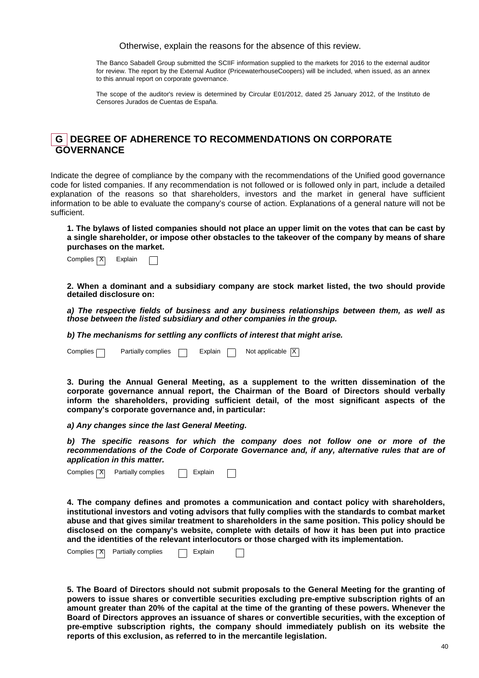Otherwise, explain the reasons for the absence of this review.

The Banco Sabadell Group submitted the SCIIF information supplied to the markets for 2016 to the external auditor for review. The report by the External Auditor (PricewaterhouseCoopers) will be included, when issued, as an annex to this annual report on corporate governance.

The scope of the auditor's review is determined by Circular E01/2012, dated 25 January 2012, of the Instituto de Censores Jurados de Cuentas de España.

## **G DEGREE OF ADHERENCE TO RECOMMENDATIONS ON CORPORATE GOVERNANCE**

Indicate the degree of compliance by the company with the recommendations of the Unified good governance code for listed companies. If any recommendation is not followed or is followed only in part, include a detailed explanation of the reasons so that shareholders, investors and the market in general have sufficient information to be able to evaluate the company's course of action. Explanations of a general nature will not be sufficient.

**1. The bylaws of listed companies should not place an upper limit on the votes that can be cast by a single shareholder, or impose other obstacles to the takeover of the company by means of share purchases on the market.** 

| Complies [X] |  | Explain |  |  |
|--------------|--|---------|--|--|
|--------------|--|---------|--|--|

**2. When a dominant and a subsidiary company are stock market listed, the two should provide detailed disclosure on:** 

**a) The respective fields of business and any business relationships between them, as well as those between the listed subsidiary and other companies in the group.** 

**b) The mechanisms for settling any conflicts of interest that might arise.** 

Complies  $\Box$  Partially complies  $\Box$  Explain  $\Box$  Not applicable  $\Box$ 

**3. During the Annual General Meeting, as a supplement to the written dissemination of the corporate governance annual report, the Chairman of the Board of Directors should verbally inform the shareholders, providing sufficient detail, of the most significant aspects of the company's corporate governance and, in particular:** 

**a) Any changes since the last General Meeting.** 

**b) The specific reasons for which the company does not follow one or more of the recommendations of the Code of Corporate Governance and, if any, alternative rules that are of application in this matter.**

Complies  $|\overline{X}|$  Partially complies  $\Box$  Explain

**4. The company defines and promotes a communication and contact policy with shareholders, institutional investors and voting advisors that fully complies with the standards to combat market abuse and that gives similar treatment to shareholders in the same position. This policy should be disclosed on the company's website, complete with details of how it has been put into practice and the identities of the relevant interlocutors or those charged with its implementation.** 

| Complies $\neg X$ | Partially complies |  | Explain |  |  |
|-------------------|--------------------|--|---------|--|--|
|-------------------|--------------------|--|---------|--|--|

**5. The Board of Directors should not submit proposals to the General Meeting for the granting of powers to issue shares or convertible securities excluding pre-emptive subscription rights of an amount greater than 20% of the capital at the time of the granting of these powers. Whenever the Board of Directors approves an issuance of shares or convertible securities, with the exception of pre-emptive subscription rights, the company should immediately publish on its website the reports of this exclusion, as referred to in the mercantile legislation.**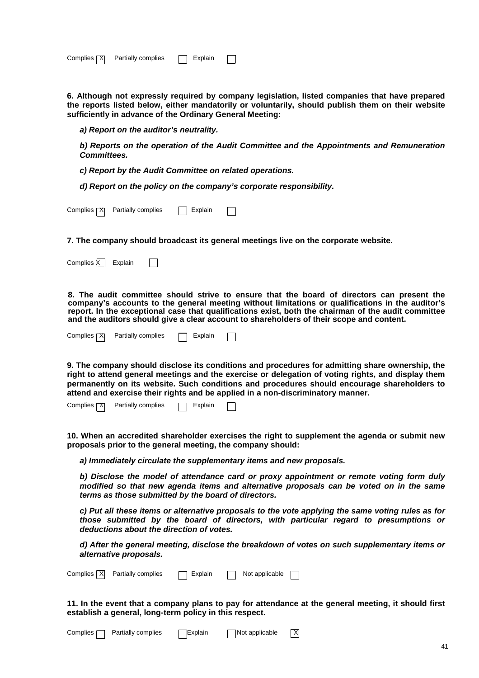| Complies [X] | Partially complies |  | Explain |  |  |
|--------------|--------------------|--|---------|--|--|
|--------------|--------------------|--|---------|--|--|

**6. Although not expressly required by company legislation, listed companies that have prepared the reports listed below, either mandatorily or voluntarily, should publish them on their website sufficiently in advance of the Ordinary General Meeting:** 

**a) Report on the auditor's neutrality.** 

**b) Reports on the operation of the Audit Committee and the Appointments and Remuneration Committees.** 

**c) Report by the Audit Committee on related operations.** 

**d) Report on the policy on the company's corporate responsibility.** 

| Complies $ \mathsf{X} $ | Partially complies |  | Explain |  |  |
|-------------------------|--------------------|--|---------|--|--|
|-------------------------|--------------------|--|---------|--|--|

**7. The company should broadcast its general meetings live on the corporate website.** 

Complies  $\overline{K}$  Explain  $\Box$ 

**8. The audit committee should strive to ensure that the board of directors can present the company's accounts to the general meeting without limitations or qualifications in the auditor's report. In the exceptional case that qualifications exist, both the chairman of the audit committee and the auditors should give a clear account to shareholders of their scope and content.** 

**9. The company should disclose its conditions and procedures for admitting share ownership, the right to attend general meetings and the exercise or delegation of voting rights, and display them permanently on its website. Such conditions and procedures should encourage shareholders to attend and exercise their rights and be applied in a non-discriminatory manner.** 

Complies  $\boxed{\mathsf{X}}$  Partially complies  $\boxed{\phantom{a}}$  Explain  $\Box$ 

**10. When an accredited shareholder exercises the right to supplement the agenda or submit new proposals prior to the general meeting, the company should:** 

**a) Immediately circulate the supplementary items and new proposals.** 

**b) Disclose the model of attendance card or proxy appointment or remote voting form duly modified so that new agenda items and alternative proposals can be voted on in the same terms as those submitted by the board of directors.**

**c) Put all these items or alternative proposals to the vote applying the same voting rules as for those submitted by the board of directors, with particular regard to presumptions or deductions about the direction of votes.** 

**d) After the general meeting, disclose the breakdown of votes on such supplementary items or alternative proposals.** 

| Complies   X   Partially complies | □ Explain | Not applicable |  |
|-----------------------------------|-----------|----------------|--|
|-----------------------------------|-----------|----------------|--|

**11. In the event that a company plans to pay for attendance at the general meeting, it should first establish a general, long-term policy in this respect.** 

| $Complies \frown$ Partially complies | Explain | Not applicable | $\overline{X}$ |
|--------------------------------------|---------|----------------|----------------|
|                                      |         |                |                |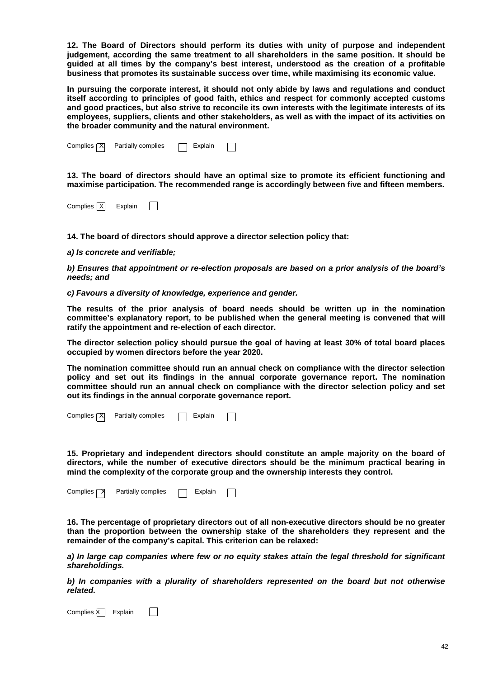**12. The Board of Directors should perform its duties with unity of purpose and independent judgement, according the same treatment to all shareholders in the same position. It should be guided at all times by the company's best interest, understood as the creation of a profitable business that promotes its sustainable success over time, while maximising its economic value.** 

**In pursuing the corporate interest, it should not only abide by laws and regulations and conduct itself according to principles of good faith, ethics and respect for commonly accepted customs and good practices, but also strive to reconcile its own interests with the legitimate interests of its employees, suppliers, clients and other stakeholders, as well as with the impact of its activities on the broader community and the natural environment.** 

| Complies $\overline{X}$ | Partially complies | Explain |  |
|-------------------------|--------------------|---------|--|
|-------------------------|--------------------|---------|--|

**13. The board of directors should have an optimal size to promote its efficient functioning and maximise participation. The recommended range is accordingly between five and fifteen members.** 

Complies  $\overline{X}$  Explain  $\Box$ 

**14. The board of directors should approve a director selection policy that:** 

**a) Is concrete and verifiable;** 

**b) Ensures that appointment or re-election proposals are based on a prior analysis of the board's needs; and** 

**c) Favours a diversity of knowledge, experience and gender.** 

**The results of the prior analysis of board needs should be written up in the nomination committee's explanatory report, to be published when the general meeting is convened that will ratify the appointment and re-election of each director.** 

**The director selection policy should pursue the goal of having at least 30% of total board places occupied by women directors before the year 2020.** 

**The nomination committee should run an annual check on compliance with the director selection policy and set out its findings in the annual corporate governance report. The nomination committee should run an annual check on compliance with the director selection policy and set out its findings in the annual corporate governance report.** 

Partially complies  $\Box$  Explain Complies X

**15. Proprietary and independent directors should constitute an ample majority on the board of directors, while the number of executive directors should be the minimum practical bearing in mind the complexity of the corporate group and the ownership interests they control.** 

Complies  $\neg$  Partially complies  $\neg$  Explain П

**16. The percentage of proprietary directors out of all non-executive directors should be no greater than the proportion between the ownership stake of the shareholders they represent and the remainder of the company's capital. This criterion can be relaxed:** 

**a) In large cap companies where few or no equity stakes attain the legal threshold for significant shareholdings.** 

**b) In companies with a plurality of shareholders represented on the board but not otherwise related.** 

Complies  $\overline{K}$  Explain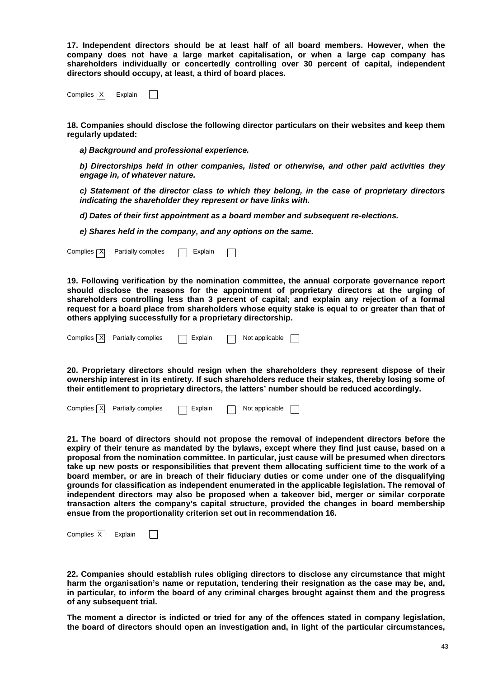**17. Independent directors should be at least half of all board members. However, when the company does not have a large market capitalisation, or when a large cap company has shareholders individually or concertedly controlling over 30 percent of capital, independent directors should occupy, at least, a third of board places.** 

Complies  $\overline{X}$  Explain  $\Box$ 

**18. Companies should disclose the following director particulars on their websites and keep them regularly updated:** 

**a) Background and professional experience.** 

**b) Directorships held in other companies, listed or otherwise, and other paid activities they engage in, of whatever nature.** 

**c) Statement of the director class to which they belong, in the case of proprietary directors indicating the shareholder they represent or have links with.** 

**d) Dates of their first appointment as a board member and subsequent re-elections.** 

**e) Shares held in the company, and any options on the same.** 

Complies  $\boxed{\mathsf{X}}$  Partially complies  $\boxed{\phantom{a}}$  Explain  $\Box$ 

**19. Following verification by the nomination committee, the annual corporate governance report should disclose the reasons for the appointment of proprietary directors at the urging of shareholders controlling less than 3 percent of capital; and explain any rejection of a formal request for a board place from shareholders whose equity stake is equal to or greater than that of others applying successfully for a proprietary directorship.** 

| Complies   X   Partially complies |  |  | ─ Explain | Not applicable |  |
|-----------------------------------|--|--|-----------|----------------|--|
|-----------------------------------|--|--|-----------|----------------|--|

**20. Proprietary directors should resign when the shareholders they represent dispose of their ownership interest in its entirety. If such shareholders reduce their stakes, thereby losing some of their entitlement to proprietary directors, the latters' number should be reduced accordingly.** 

|  | Complies   X   Partially complies | □ Explain | Not applicable |  |
|--|-----------------------------------|-----------|----------------|--|
|  |                                   |           |                |  |

**21. The board of directors should not propose the removal of independent directors before the expiry of their tenure as mandated by the bylaws, except where they find just cause, based on a proposal from the nomination committee. In particular, just cause will be presumed when directors take up new posts or responsibilities that prevent them allocating sufficient time to the work of a board member, or are in breach of their fiduciary duties or come under one of the disqualifying grounds for classification as independent enumerated in the applicable legislation. The removal of independent directors may also be proposed when a takeover bid, merger or similar corporate transaction alters the company's capital structure, provided the changes in board membership ensue from the proportionality criterion set out in recommendation 16.** 

Complies X Explain  $\mathbf{I}$ 

**22. Companies should establish rules obliging directors to disclose any circumstance that might harm the organisation's name or reputation, tendering their resignation as the case may be, and, in particular, to inform the board of any criminal charges brought against them and the progress of any subsequent trial.** 

**The moment a director is indicted or tried for any of the offences stated in company legislation, the board of directors should open an investigation and, in light of the particular circumstances,**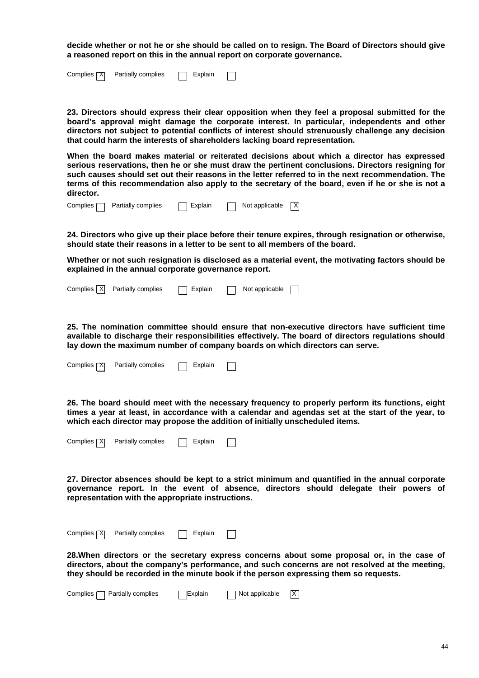**decide whether or not he or she should be called on to resign. The Board of Directors should give a reasoned report on this in the annual report on corporate governance.** 

| Complies $\overline{X}$ Partially complies | $\Box$ Explain | $\Box$ |  |
|--------------------------------------------|----------------|--------|--|
|                                            |                |        |  |

**23. Directors should express their clear opposition when they feel a proposal submitted for the board's approval might damage the corporate interest. In particular, independents and other directors not subject to potential conflicts of interest should strenuously challenge any decision that could harm the interests of shareholders lacking board representation.** 

**When the board makes material or reiterated decisions about which a director has expressed serious reservations, then he or she must draw the pertinent conclusions. Directors resigning for such causes should set out their reasons in the letter referred to in the next recommendation. The terms of this recommendation also apply to the secretary of the board, even if he or she is not a director.** 

**24. Directors who give up their place before their tenure expires, through resignation or otherwise, should state their reasons in a letter to be sent to all members of the board.** 

**Whether or not such resignation is disclosed as a material event, the motivating factors should be explained in the annual corporate governance report.** 

| Complies $\overline{X}$ Partially complies | Explain | $\Box$ Not applicable $\Box$ |  |
|--------------------------------------------|---------|------------------------------|--|
|                                            |         |                              |  |

**25. The nomination committee should ensure that non-executive directors have sufficient time available to discharge their responsibilities effectively. The board of directors regulations should lay down the maximum number of company boards on which directors can serve.** 

| Complies $\overline{X}$ | Partially complies | $\Box$ Explain |  |
|-------------------------|--------------------|----------------|--|
|                         |                    |                |  |

**26. The board should meet with the necessary frequency to properly perform its functions, eight times a year at least, in accordance with a calendar and agendas set at the start of the year, to which each director may propose the addition of initially unscheduled items.** 

| Complies $\boxed{\mathsf{X}}$ | Partially complies | Explain |  |
|-------------------------------|--------------------|---------|--|
|-------------------------------|--------------------|---------|--|

**27. Director absences should be kept to a strict minimum and quantified in the annual corporate governance report. In the event of absence, directors should delegate their powers of representation with the appropriate instructions.** 

Complies  $\boxed{\mathsf{X}}$  Partially complies  $\boxed{\phantom{a}}$  Explain  $\Box$ 

**28.When directors or the secretary express concerns about some proposal or, in the case of directors, about the company's performance, and such concerns are not resolved at the meeting, they should be recorded in the minute book if the person expressing them so requests.** 

| Complies $\Box$ Partially complies | ∏Explain | $\Box$ Not applicable $\Box$ X |  |
|------------------------------------|----------|--------------------------------|--|
|------------------------------------|----------|--------------------------------|--|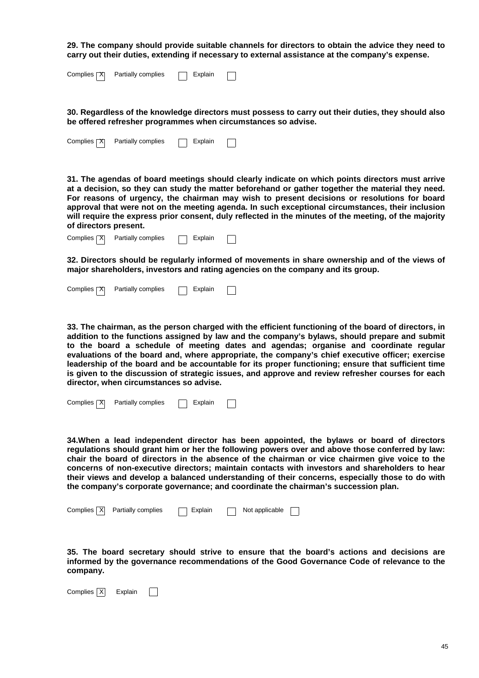**29. The company should provide suitable channels for directors to obtain the advice they need to carry out their duties, extending if necessary to external assistance at the company's expense.** 

| Complies $\boxed{X}$ Partially complies | $\Box$ Explain |  |
|-----------------------------------------|----------------|--|
|                                         |                |  |

**30. Regardless of the knowledge directors must possess to carry out their duties, they should also be offered refresher programmes when circumstances so advise.** 

| Complies <b>TX</b> | Partially complies | Explain |  |
|--------------------|--------------------|---------|--|
|--------------------|--------------------|---------|--|

**31. The agendas of board meetings should clearly indicate on which points directors must arrive at a decision, so they can study the matter beforehand or gather together the material they need. For reasons of urgency, the chairman may wish to present decisions or resolutions for board approval that were not on the meeting agenda. In such exceptional circumstances, their inclusion will require the express prior consent, duly reflected in the minutes of the meeting, of the majority of directors present.** 

| Complies $ \mathbf{X} $ | Partially complies | Explain |  |
|-------------------------|--------------------|---------|--|

**32. Directors should be regularly informed of movements in share ownership and of the views of major shareholders, investors and rating agencies on the company and its group.** 

| Complies <b>X</b> | Partially complies |  | Explain |  |
|-------------------|--------------------|--|---------|--|
|-------------------|--------------------|--|---------|--|

**33. The chairman, as the person charged with the efficient functioning of the board of directors, in addition to the functions assigned by law and the company's bylaws, should prepare and submit to the board a schedule of meeting dates and agendas; organise and coordinate regular evaluations of the board and, where appropriate, the company's chief executive officer; exercise leadership of the board and be accountable for its proper functioning; ensure that sufficient time is given to the discussion of strategic issues, and approve and review refresher courses for each director, when circumstances so advise.** 

| Complies $ \mathcal{X} $ | Partially complies |  | Explain |  |  |
|--------------------------|--------------------|--|---------|--|--|
|--------------------------|--------------------|--|---------|--|--|

**34.When a lead independent director has been appointed, the bylaws or board of directors regulations should grant him or her the following powers over and above those conferred by law: chair the board of directors in the absence of the chairman or vice chairmen give voice to the concerns of non-executive directors; maintain contacts with investors and shareholders to hear their views and develop a balanced understanding of their concerns, especially those to do with the company's corporate governance; and coordinate the chairman's succession plan.** 

| Complies   XI<br>Partially complies<br>Not applicable<br>□ Explain |  |
|--------------------------------------------------------------------|--|
|--------------------------------------------------------------------|--|

**35. The board secretary should strive to ensure that the board's actions and decisions are informed by the governance recommendations of the Good Governance Code of relevance to the company.** 

Complies  $\overline{X}$  Explain  $\Box$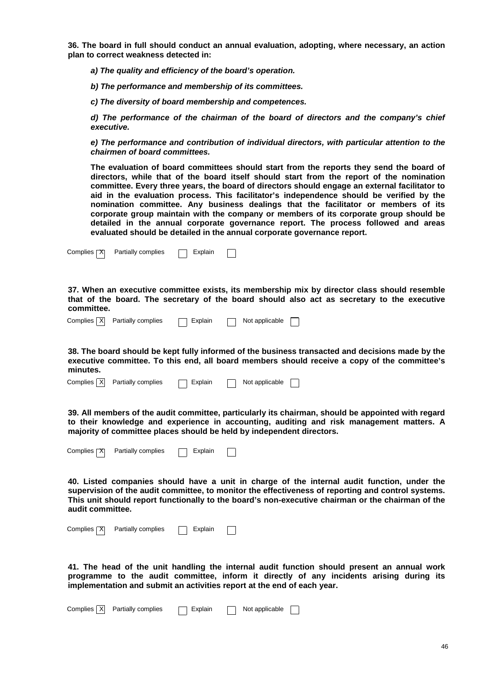**36. The board in full should conduct an annual evaluation, adopting, where necessary, an action plan to correct weakness detected in:** 

**a) The quality and efficiency of the board's operation.** 

**b) The performance and membership of its committees.** 

**c) The diversity of board membership and competences.** 

**d) The performance of the chairman of the board of directors and the company's chief executive.** 

**e) The performance and contribution of individual directors, with particular attention to the chairmen of board committees.** 

**The evaluation of board committees should start from the reports they send the board of directors, while that of the board itself should start from the report of the nomination committee. Every three years, the board of directors should engage an external facilitator to aid in the evaluation process. This facilitator's independence should be verified by the nomination committee. Any business dealings that the facilitator or members of its corporate group maintain with the company or members of its corporate group should be detailed in the annual corporate governance report. The process followed and areas evaluated should be detailed in the annual corporate governance report.** 

| Complies $\overline{X}$<br>Partially complies<br>Explain |  |  |
|----------------------------------------------------------|--|--|
|----------------------------------------------------------|--|--|

**37. When an executive committee exists, its membership mix by director class should resemble that of the board. The secretary of the board should also act as secretary to the executive committee.** 

| Complies $\overline{X}$ Partially complies | Explain | Not applicable |  |
|--------------------------------------------|---------|----------------|--|
|                                            |         |                |  |

**38. The board should be kept fully informed of the business transacted and decisions made by the executive committee. To this end, all board members should receive a copy of the committee's minutes.** 

**39. All members of the audit committee, particularly its chairman, should be appointed with regard to their knowledge and experience in accounting, auditing and risk management matters. A majority of committee places should be held by independent directors.** 

| Complies <b>TX</b> | Partially complies | Explain |  |
|--------------------|--------------------|---------|--|
|--------------------|--------------------|---------|--|

**40. Listed companies should have a unit in charge of the internal audit function, under the supervision of the audit committee, to monitor the effectiveness of reporting and control systems. This unit should report functionally to the board's non-executive chairman or the chairman of the audit committee.** 

| Complies <b>X</b> | Partially complies | Explain |  |
|-------------------|--------------------|---------|--|
|                   |                    |         |  |

**41. The head of the unit handling the internal audit function should present an annual work programme to the audit committee, inform it directly of any incidents arising during its implementation and submit an activities report at the end of each year.**

| Complies   X   Partially complies<br>Not applicable<br>Explain |  |  |
|----------------------------------------------------------------|--|--|
|----------------------------------------------------------------|--|--|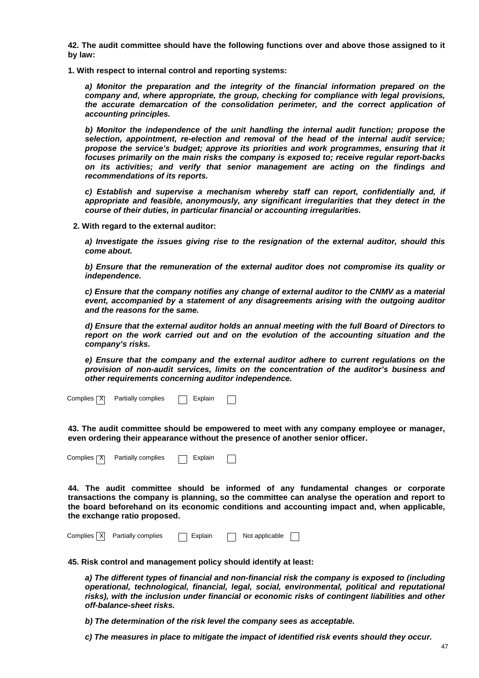**42. The audit committee should have the following functions over and above those assigned to it by law:** 

**1. With respect to internal control and reporting systems:** 

**a) Monitor the preparation and the integrity of the financial information prepared on the company and, where appropriate, the group, checking for compliance with legal provisions, the accurate demarcation of the consolidation perimeter, and the correct application of accounting principles.** 

**b) Monitor the independence of the unit handling the internal audit function; propose the selection, appointment, re-election and removal of the head of the internal audit service; propose the service's budget; approve its priorities and work programmes, ensuring that it focuses primarily on the main risks the company is exposed to; receive regular report-backs on its activities; and verify that senior management are acting on the findings and recommendations of its reports.** 

**c) Establish and supervise a mechanism whereby staff can report, confidentially and, if appropriate and feasible, anonymously, any significant irregularities that they detect in the course of their duties, in particular financial or accounting irregularities.** 

**2. With regard to the external auditor:** 

**a) Investigate the issues giving rise to the resignation of the external auditor, should this come about.** 

**b) Ensure that the remuneration of the external auditor does not compromise its quality or independence.** 

**c) Ensure that the company notifies any change of external auditor to the CNMV as a material event, accompanied by a statement of any disagreements arising with the outgoing auditor and the reasons for the same.** 

**d) Ensure that the external auditor holds an annual meeting with the full Board of Directors to report on the work carried out and on the evolution of the accounting situation and the company's risks.** 

**e) Ensure that the company and the external auditor adhere to current regulations on the provision of non-audit services, limits on the concentration of the auditor's business and other requirements concerning auditor independence.**

Complies  $\boxed{\mathsf{X}}$  Partially complies  $\boxed{\phantom{a}}$  Explain

**43. The audit committee should be empowered to meet with any company employee or manager, even ordering their appearance without the presence of another senior officer.** 

Complies  $\boxed{\mathsf{X}}$  Partially complies  $\boxed{\phantom{a}}$  Explain

**44. The audit committee should be informed of any fundamental changes or corporate transactions the company is planning, so the committee can analyse the operation and report to the board beforehand on its economic conditions and accounting impact and, when applicable, the exchange ratio proposed.** 

|  | Complies   X   Partially complies | □ Explain |  | Not applicable |  |  |
|--|-----------------------------------|-----------|--|----------------|--|--|
|--|-----------------------------------|-----------|--|----------------|--|--|

**45. Risk control and management policy should identify at least:** 

**a) The different types of financial and non-financial risk the company is exposed to (including operational, technological, financial, legal, social, environmental, political and reputational risks), with the inclusion under financial or economic risks of contingent liabilities and other off-balance-sheet risks.** 

**b) The determination of the risk level the company sees as acceptable.** 

**c) The measures in place to mitigate the impact of identified risk events should they occur.**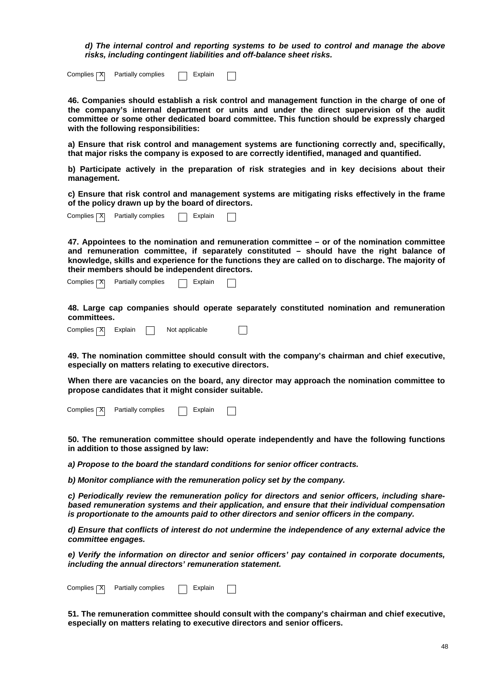**d) The internal control and reporting systems to be used to control and manage the above risks, including contingent liabilities and off-balance sheet risks.** 

| Complies <b>TX</b> | Partially complies |  | Explain |  |
|--------------------|--------------------|--|---------|--|
|--------------------|--------------------|--|---------|--|

**46. Companies should establish a risk control and management function in the charge of one of the company's internal department or units and under the direct supervision of the audit committee or some other dedicated board committee. This function should be expressly charged with the following responsibilities:** 

**a) Ensure that risk control and management systems are functioning correctly and, specifically, that major risks the company is exposed to are correctly identified, managed and quantified.** 

**b) Participate actively in the preparation of risk strategies and in key decisions about their management.** 

**c) Ensure that risk control and management systems are mitigating risks effectively in the frame of the policy drawn up by the board of directors.** 

| Complies <b>X</b> | Partially complies | Explain |  |
|-------------------|--------------------|---------|--|
|-------------------|--------------------|---------|--|

**47. Appointees to the nomination and remuneration committee – or of the nomination committee and remuneration committee, if separately constituted – should have the right balance of knowledge, skills and experience for the functions they are called on to discharge. The majority of their members should be independent directors.**

Complies  $\boxed{\mathsf{X}}$  Partially complies  $\boxed{\phantom{a}}$  Explain

**48. Large cap companies should operate separately constituted nomination and remuneration committees.**



**49. The nomination committee should consult with the company's chairman and chief executive, especially on matters relating to executive directors.** 

**When there are vacancies on the board, any director may approach the nomination committee to propose candidates that it might consider suitable.**

Complies  $\boxed{\mathsf{X}}$  Partially complies  $\boxed{\phantom{a}}$  Explain

**50. The remuneration committee should operate independently and have the following functions in addition to those assigned by law:** 

**a) Propose to the board the standard conditions for senior officer contracts.** 

**b) Monitor compliance with the remuneration policy set by the company.** 

**c) Periodically review the remuneration policy for directors and senior officers, including sharebased remuneration systems and their application, and ensure that their individual compensation is proportionate to the amounts paid to other directors and senior officers in the company.** 

**d) Ensure that conflicts of interest do not undermine the independence of any external advice the committee engages.** 

**e) Verify the information on director and senior officers' pay contained in corporate documents, including the annual directors' remuneration statement.**

Complies  $\boxed{\mathsf{X}}$  Partially complies  $\boxed{\phantom{a}}$  Explain  $\mathbf{I}$ 

**51. The remuneration committee should consult with the company's chairman and chief executive, especially on matters relating to executive directors and senior officers.**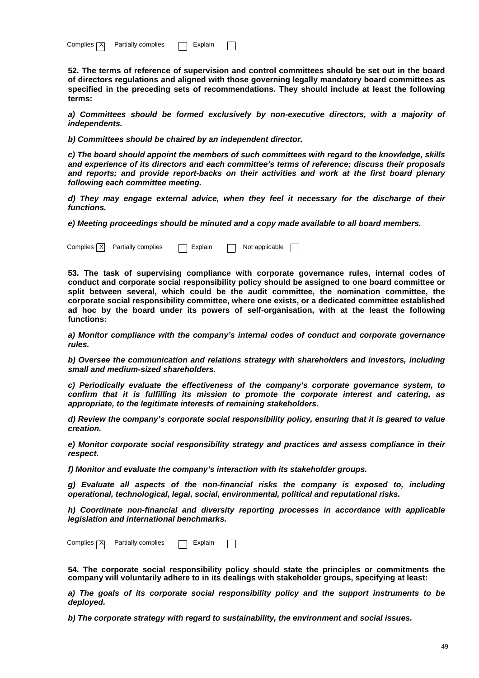| Complies <b>[X]</b> | Partially complies | Explain |  |
|---------------------|--------------------|---------|--|
|---------------------|--------------------|---------|--|

**52. The terms of reference of supervision and control committees should be set out in the board of directors regulations and aligned with those governing legally mandatory board committees as specified in the preceding sets of recommendations. They should include at least the following terms:** 

**a) Committees should be formed exclusively by non-executive directors, with a majority of independents.** 

**b) Committees should be chaired by an independent director.** 

**c) The board should appoint the members of such committees with regard to the knowledge, skills and experience of its directors and each committee's terms of reference; discuss their proposals and reports; and provide report-backs on their activities and work at the first board plenary following each committee meeting.** 

**d) They may engage external advice, when they feel it necessary for the discharge of their functions.** 

**e) Meeting proceedings should be minuted and a copy made available to all board members.** 

Complies  $\boxed{X}$  Partially complies  $\boxed{\phantom{a}}$  Explain  $\boxed{\phantom{a}}$  Not applicable  $\boxed{\phantom{a}}$ 

**53. The task of supervising compliance with corporate governance rules, internal codes of conduct and corporate social responsibility policy should be assigned to one board committee or split between several, which could be the audit committee, the nomination committee, the corporate social responsibility committee, where one exists, or a dedicated committee established ad hoc by the board under its powers of self-organisation, with at the least the following functions:** 

**a) Monitor compliance with the company's internal codes of conduct and corporate governance rules.** 

**b) Oversee the communication and relations strategy with shareholders and investors, including small and medium-sized shareholders.** 

**c) Periodically evaluate the effectiveness of the company's corporate governance system, to confirm that it is fulfilling its mission to promote the corporate interest and catering, as appropriate, to the legitimate interests of remaining stakeholders.** 

**d) Review the company's corporate social responsibility policy, ensuring that it is geared to value creation.** 

**e) Monitor corporate social responsibility strategy and practices and assess compliance in their respect.** 

**f) Monitor and evaluate the company's interaction with its stakeholder groups.** 

**g) Evaluate all aspects of the non-financial risks the company is exposed to, including operational, technological, legal, social, environmental, political and reputational risks.** 

**h) Coordinate non-financial and diversity reporting processes in accordance with applicable legislation and international benchmarks.** 

Complies  $\boxed{\mathsf{X}}$  Partially complies  $\boxed{\phantom{a}}$  Explain

**54. The corporate social responsibility policy should state the principles or commitments the company will voluntarily adhere to in its dealings with stakeholder groups, specifying at least:** 

**a) The goals of its corporate social responsibility policy and the support instruments to be deployed.** 

**b) The corporate strategy with regard to sustainability, the environment and social issues.**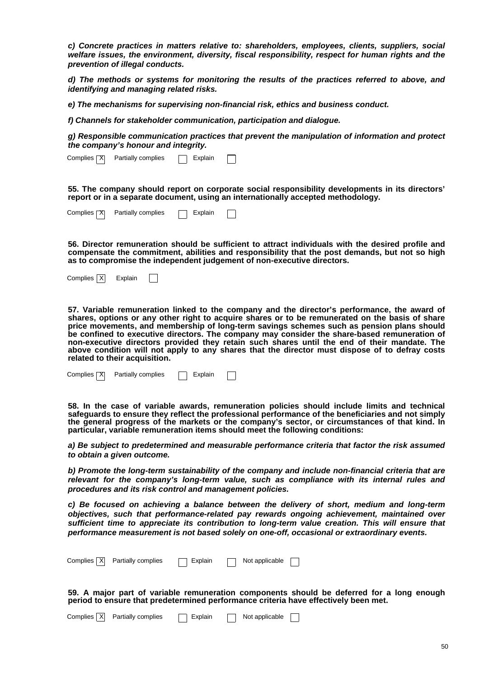**c) Concrete practices in matters relative to: shareholders, employees, clients, suppliers, social welfare issues, the environment, diversity, fiscal responsibility, respect for human rights and the prevention of illegal conducts.** 

**d) The methods or systems for monitoring the results of the practices referred to above, and identifying and managing related risks.** 

**e) The mechanisms for supervising non-financial risk, ethics and business conduct.** 

**f) Channels for stakeholder communication, participation and dialogue.** 

**g) Responsible communication practices that prevent the manipulation of information and protect the company's honour and integrity.** 

| Complies <b>୮</b> XI<br>Partially complies<br>Explain |
|-------------------------------------------------------|
|-------------------------------------------------------|

**55. The company should report on corporate social responsibility developments in its directors' report or in a separate document, using an internationally accepted methodology.** 

| Complies <b>X</b> | Partially complies | Explain |  |
|-------------------|--------------------|---------|--|
|                   |                    |         |  |

**56. Director remuneration should be sufficient to attract individuals with the desired profile and compensate the commitment, abilities and responsibility that the post demands, but not so high as to compromise the independent judgement of non-executive directors.** 

Complies X Explain

 $\overline{a}$ **57. Variable remuneration linked to the company and the director's performance, the award of shares, options or any other right to acquire shares or to be remunerated on the basis of share price movements, and membership of long-term savings schemes such as pension plans should be confined to executive directors. The company may consider the share-based remuneration of non-executive directors provided they retain such shares until the end of their mandate. The above condition will not apply to any shares that the director must dispose of to defray costs related to their acquisition.** 

Partially complies  $\Box$  Explain Complies | X

**58. In the case of variable awards, remuneration policies should include limits and technical**  safeguards to ensure they reflect the professional performance of the beneficiaries and not simply **the general progress of the markets or the company's sector, or circumstances of that kind. In particular, variable remuneration items should meet the following conditions:** 

**a) Be subject to predetermined and measurable performance criteria that factor the risk assumed to obtain a given outcome.** 

**b) Promote the long-term sustainability of the company and include non-financial criteria that are relevant for the company's long-term value, such as compliance with its internal rules and procedures and its risk control and management policies.** 

**c) Be focused on achieving a balance between the delivery of short, medium and long-term objectives, such that performance-related pay rewards ongoing achievement, maintained over sufficient time to appreciate its contribution to long-term value creation. This will ensure that performance measurement is not based solely on one-off, occasional or extraordinary events.** 

Complies X Partially complies **Explain** Not applicable

**59. A major part of variable remuneration components should be deferred for a long enough period to ensure that predetermined performance criteria have effectively been met.** 

|  | Complies $X$ Partially complies | $\Box$ Explain | Not applicable |  |
|--|---------------------------------|----------------|----------------|--|
|  |                                 |                |                |  |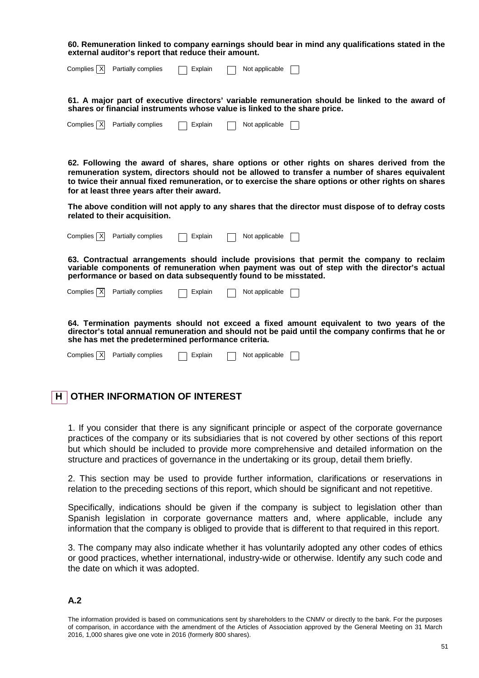**60. Remuneration linked to company earnings should bear in mind any qualifications stated in the external auditor's report that reduce their amount.**

| Complies $\overline{X}$ Partially complies | $\Box$ Explain | Not applicable [ |  |
|--------------------------------------------|----------------|------------------|--|
|                                            |                |                  |  |

**61. A major part of executive directors' variable remuneration should be linked to the award of shares or financial instruments whose value is linked to the share price.** 

| Complies $\overline{X}$ Partially complies | $\Box$ Explain | Not applicable |  |
|--------------------------------------------|----------------|----------------|--|
|                                            |                |                |  |

**62. Following the award of shares, share options or other rights on shares derived from the remuneration system, directors should not be allowed to transfer a number of shares equivalent to twice their annual fixed remuneration, or to exercise the share options or other rights on shares for at least three years after their award.** 

**The above condition will not apply to any shares that the director must dispose of to defray costs related to their acquisition.** 

| Complies   X | Partially complies                                               | Explain | Not applicable |                                                                                                                                                                                               |
|--------------|------------------------------------------------------------------|---------|----------------|-----------------------------------------------------------------------------------------------------------------------------------------------------------------------------------------------|
|              | performance or based on data subsequently found to be misstated. |         |                | 63. Contractual arrangements should include provisions that permit the company to reclaim<br>variable components of remuneration when payment was out of step with the director's actual      |
| Complies   X | Partially complies                                               | Explain | Not applicable |                                                                                                                                                                                               |
|              | she has met the predetermined performance criteria.              |         |                | 64. Termination payments should not exceed a fixed amount equivalent to two years of the<br>director's total annual remuneration and should not be paid until the company confirms that he or |
| Complies   X | Partially complies                                               | Explain | Not applicable |                                                                                                                                                                                               |

## **H OTHER INFORMATION OF INTEREST**

1. If you consider that there is any significant principle or aspect of the corporate governance practices of the company or its subsidiaries that is not covered by other sections of this report but which should be included to provide more comprehensive and detailed information on the structure and practices of governance in the undertaking or its group, detail them briefly.

2. This section may be used to provide further information, clarifications or reservations in relation to the preceding sections of this report, which should be significant and not repetitive.

Specifically, indications should be given if the company is subject to legislation other than Spanish legislation in corporate governance matters and, where applicable, include any information that the company is obliged to provide that is different to that required in this report.

3. The company may also indicate whether it has voluntarily adopted any other codes of ethics or good practices, whether international, industry-wide or otherwise. Identify any such code and the date on which it was adopted.

## **A.2**

The information provided is based on communications sent by shareholders to the CNMV or directly to the bank. For the purposes of comparison, in accordance with the amendment of the Articles of Association approved by the General Meeting on 31 March 2016, 1,000 shares give one vote in 2016 (formerly 800 shares).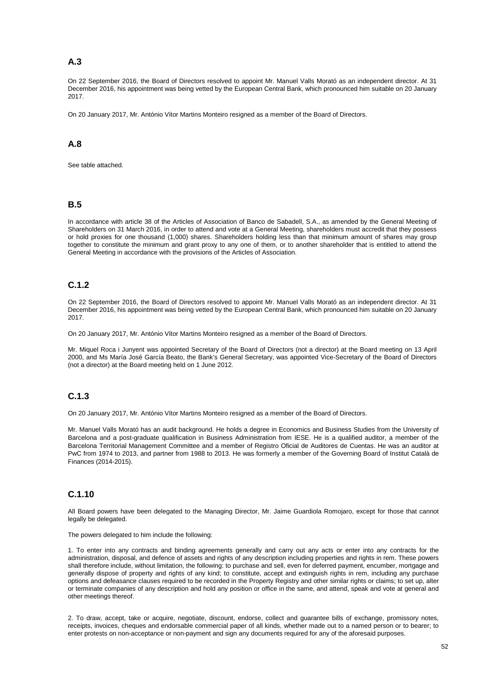## **A.3**

On 22 September 2016, the Board of Directors resolved to appoint Mr. Manuel Valls Morató as an independent director. At 31 December 2016, his appointment was being vetted by the European Central Bank, which pronounced him suitable on 20 January 2017.

On 20 January 2017, Mr. António Vítor Martins Monteiro resigned as a member of the Board of Directors.

## **A.8**

See table attached.

#### **B.5**

In accordance with article 38 of the Articles of Association of Banco de Sabadell, S.A., as amended by the General Meeting of Shareholders on 31 March 2016, in order to attend and vote at a General Meeting, shareholders must accredit that they possess or hold proxies for one thousand (1,000) shares. Shareholders holding less than that minimum amount of shares may group together to constitute the minimum and grant proxy to any one of them, or to another shareholder that is entitled to attend the General Meeting in accordance with the provisions of the Articles of Association.

## **C.1.2**

On 22 September 2016, the Board of Directors resolved to appoint Mr. Manuel Valls Morató as an independent director. At 31 December 2016, his appointment was being vetted by the European Central Bank, which pronounced him suitable on 20 January 2017.

On 20 January 2017, Mr. António Vítor Martins Monteiro resigned as a member of the Board of Directors.

Mr. Miquel Roca i Junyent was appointed Secretary of the Board of Directors (not a director) at the Board meeting on 13 April 2000, and Ms María José García Beato, the Bank's General Secretary, was appointed Vice-Secretary of the Board of Directors (not a director) at the Board meeting held on 1 June 2012.

## **C.1.3**

On 20 January 2017, Mr. António Vítor Martins Monteiro resigned as a member of the Board of Directors.

Mr. Manuel Valls Morató has an audit background. He holds a degree in Economics and Business Studies from the University of Barcelona and a post-graduate qualification in Business Administration from IESE. He is a qualified auditor, a member of the Barcelona Territorial Management Committee and a member of Registro Oficial de Auditores de Cuentas. He was an auditor at PwC from 1974 to 2013, and partner from 1988 to 2013. He was formerly a member of the Governing Board of Institut Català de Finances (2014-2015).

## **C.1.10**

All Board powers have been delegated to the Managing Director, Mr. Jaime Guardiola Romojaro, except for those that cannot legally be delegated.

The powers delegated to him include the following:

1. To enter into any contracts and binding agreements generally and carry out any acts or enter into any contracts for the administration, disposal, and defence of assets and rights of any description including properties and rights in rem. These powers shall therefore include, without limitation, the following: to purchase and sell, even for deferred payment, encumber, mortgage and generally dispose of property and rights of any kind; to constitute, accept and extinguish rights in rem, including any purchase options and defeasance clauses required to be recorded in the Property Registry and other similar rights or claims; to set up, alter or terminate companies of any description and hold any position or office in the same, and attend, speak and vote at general and other meetings thereof.

2. To draw, accept, take or acquire, negotiate, discount, endorse, collect and guarantee bills of exchange, promissory notes, receipts, invoices, cheques and endorsable commercial paper of all kinds, whether made out to a named person or to bearer; to enter protests on non-acceptance or non-payment and sign any documents required for any of the aforesaid purposes.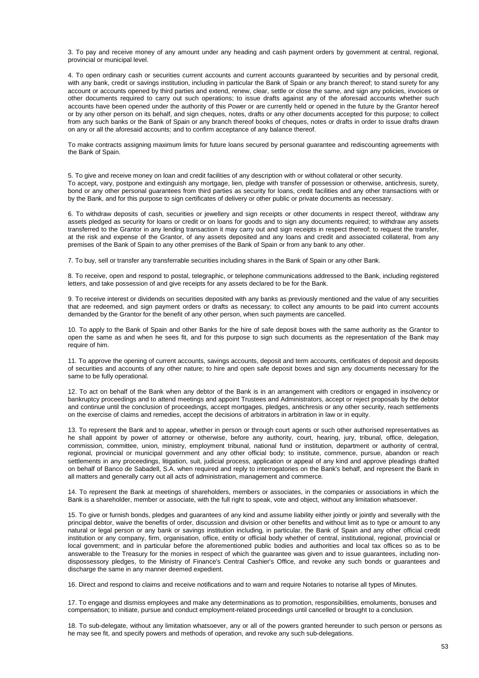3. To pay and receive money of any amount under any heading and cash payment orders by government at central, regional, provincial or municipal level.

4. To open ordinary cash or securities current accounts and current accounts guaranteed by securities and by personal credit, with any bank, credit or savings institution, including in particular the Bank of Spain or any branch thereof; to stand surety for any account or accounts opened by third parties and extend, renew, clear, settle or close the same, and sign any policies, invoices or other documents required to carry out such operations; to issue drafts against any of the aforesaid accounts whether such accounts have been opened under the authority of this Power or are currently held or opened in the future by the Grantor hereof or by any other person on its behalf, and sign cheques, notes, drafts or any other documents accepted for this purpose; to collect from any such banks or the Bank of Spain or any branch thereof books of cheques, notes or drafts in order to issue drafts drawn on any or all the aforesaid accounts; and to confirm acceptance of any balance thereof.

To make contracts assigning maximum limits for future loans secured by personal guarantee and rediscounting agreements with the Bank of Spain.

5. To give and receive money on loan and credit facilities of any description with or without collateral or other security. To accept, vary, postpone and extinguish any mortgage, lien, pledge with transfer of possession or otherwise, antichresis, surety, bond or any other personal guarantees from third parties as security for loans, credit facilities and any other transactions with or by the Bank, and for this purpose to sign certificates of delivery or other public or private documents as necessary.

6. To withdraw deposits of cash, securities or jewellery and sign receipts or other documents in respect thereof, withdraw any assets pledged as security for loans or credit or on loans for goods and to sign any documents required; to withdraw any assets transferred to the Grantor in any lending transaction it may carry out and sign receipts in respect thereof; to request the transfer, at the risk and expense of the Grantor, of any assets deposited and any loans and credit and associated collateral, from any premises of the Bank of Spain to any other premises of the Bank of Spain or from any bank to any other.

7. To buy, sell or transfer any transferrable securities including shares in the Bank of Spain or any other Bank.

8. To receive, open and respond to postal, telegraphic, or telephone communications addressed to the Bank, including registered letters, and take possession of and give receipts for any assets declared to be for the Bank.

9. To receive interest or dividends on securities deposited with any banks as previously mentioned and the value of any securities that are redeemed, and sign payment orders or drafts as necessary; to collect any amounts to be paid into current accounts demanded by the Grantor for the benefit of any other person, when such payments are cancelled.

10. To apply to the Bank of Spain and other Banks for the hire of safe deposit boxes with the same authority as the Grantor to open the same as and when he sees fit, and for this purpose to sign such documents as the representation of the Bank may require of him.

11. To approve the opening of current accounts, savings accounts, deposit and term accounts, certificates of deposit and deposits of securities and accounts of any other nature; to hire and open safe deposit boxes and sign any documents necessary for the same to be fully operational.

12. To act on behalf of the Bank when any debtor of the Bank is in an arrangement with creditors or engaged in insolvency or bankruptcy proceedings and to attend meetings and appoint Trustees and Administrators, accept or reject proposals by the debtor and continue until the conclusion of proceedings, accept mortgages, pledges, antichresis or any other security, reach settlements on the exercise of claims and remedies, accept the decisions of arbitrators in arbitration in law or in equity.

13. To represent the Bank and to appear, whether in person or through court agents or such other authorised representatives as he shall appoint by power of attorney or otherwise, before any authority, court, hearing, jury, tribunal, office, delegation, commission, committee, union, ministry, employment tribunal, national fund or institution, department or authority of central, regional, provincial or municipal government and any other official body; to institute, commence, pursue, abandon or reach settlements in any proceedings, litigation, suit, judicial process, application or appeal of any kind and approve pleadings drafted on behalf of Banco de Sabadell, S.A. when required and reply to interrogatories on the Bank's behalf, and represent the Bank in all matters and generally carry out all acts of administration, management and commerce.

14. To represent the Bank at meetings of shareholders, members or associates, in the companies or associations in which the Bank is a shareholder, member or associate, with the full right to speak, vote and object, without any limitation whatsoever.

15. To give or furnish bonds, pledges and guarantees of any kind and assume liability either jointly or jointly and severally with the principal debtor, waive the benefits of order, discussion and division or other benefits and without limit as to type or amount to any natural or legal person or any bank or savings institution including, in particular, the Bank of Spain and any other official credit institution or any company, firm, organisation, office, entity or official body whether of central, institutional, regional, provincial or local government; and in particular before the aforementioned public bodies and authorities and local tax offices so as to be answerable to the Treasury for the monies in respect of which the guarantee was given and to issue guarantees, including nondispossessory pledges, to the Ministry of Finance's Central Cashier's Office, and revoke any such bonds or guarantees and discharge the same in any manner deemed expedient.

16. Direct and respond to claims and receive notifications and to warn and require Notaries to notarise all types of Minutes.

17. To engage and dismiss employees and make any determinations as to promotion, responsibilities, emoluments, bonuses and compensation; to initiate, pursue and conduct employment-related proceedings until cancelled or brought to a conclusion.

18. To sub-delegate, without any limitation whatsoever, any or all of the powers granted hereunder to such person or persons as he may see fit, and specify powers and methods of operation, and revoke any such sub-delegations.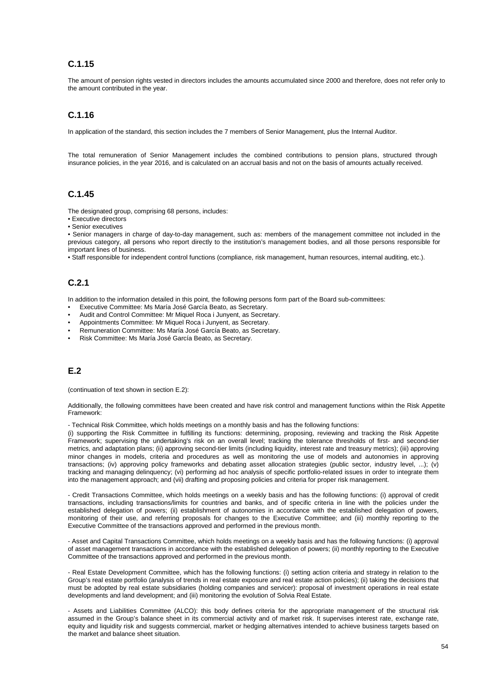## **C.1.15**

The amount of pension rights vested in directors includes the amounts accumulated since 2000 and therefore, does not refer only to the amount contributed in the year.

## **C.1.16**

In application of the standard, this section includes the 7 members of Senior Management, plus the Internal Auditor.

The total remuneration of Senior Management includes the combined contributions to pension plans, structured through insurance policies, in the year 2016, and is calculated on an accrual basis and not on the basis of amounts actually received.

#### **C.1.45**

The designated group, comprising 68 persons, includes:

- Executive directors
- Senior executives

• Senior managers in charge of day-to-day management, such as: members of the management committee not included in the previous category, all persons who report directly to the institution's management bodies, and all those persons responsible for important lines of business.

• Staff responsible for independent control functions (compliance, risk management, human resources, internal auditing, etc.).

## **C.2.1**

In addition to the information detailed in this point, the following persons form part of the Board sub-committees:

- Executive Committee: Ms María José García Beato, as Secretary.
- Audit and Control Committee: Mr Miquel Roca i Junyent, as Secretary.
- Appointments Committee: Mr Miquel Roca i Junyent, as Secretary.
- Remuneration Committee: Ms María José García Beato, as Secretary.
- Risk Committee: Ms María José García Beato, as Secretary.

#### **E.2**

(continuation of text shown in section E.2):

Additionally, the following committees have been created and have risk control and management functions within the Risk Appetite Framework:

- Technical Risk Committee, which holds meetings on a monthly basis and has the following functions:

(i) supporting the Risk Committee in fulfilling its functions: determining, proposing, reviewing and tracking the Risk Appetite Framework; supervising the undertaking's risk on an overall level; tracking the tolerance thresholds of first- and second-tier metrics, and adaptation plans; (ii) approving second-tier limits (including liquidity, interest rate and treasury metrics); (iii) approving minor changes in models, criteria and procedures as well as monitoring the use of models and autonomies in approving transactions; (iv) approving policy frameworks and debating asset allocation strategies (public sector, industry level, ...); (v) tracking and managing delinquency; (vi) performing ad hoc analysis of specific portfolio-related issues in order to integrate them into the management approach; and (vii) drafting and proposing policies and criteria for proper risk management.

- Credit Transactions Committee, which holds meetings on a weekly basis and has the following functions: (i) approval of credit transactions, including transactions/limits for countries and banks, and of specific criteria in line with the policies under the established delegation of powers; (ii) establishment of autonomies in accordance with the established delegation of powers, monitoring of their use, and referring proposals for changes to the Executive Committee; and (iii) monthly reporting to the Executive Committee of the transactions approved and performed in the previous month.

- Asset and Capital Transactions Committee, which holds meetings on a weekly basis and has the following functions: (i) approval of asset management transactions in accordance with the established delegation of powers; (ii) monthly reporting to the Executive Committee of the transactions approved and performed in the previous month.

- Real Estate Development Committee, which has the following functions: (i) setting action criteria and strategy in relation to the Group's real estate portfolio (analysis of trends in real estate exposure and real estate action policies); (ii) taking the decisions that must be adopted by real estate subsidiaries (holding companies and servicer): proposal of investment operations in real estate developments and land development; and (iii) monitoring the evolution of Solvia Real Estate.

- Assets and Liabilities Committee (ALCO): this body defines criteria for the appropriate management of the structural risk assumed in the Group's balance sheet in its commercial activity and of market risk. It supervises interest rate, exchange rate, equity and liquidity risk and suggests commercial, market or hedging alternatives intended to achieve business targets based on the market and balance sheet situation.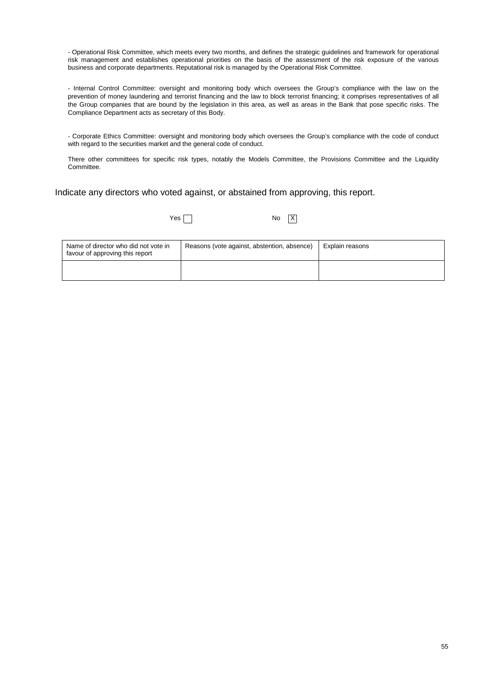- Operational Risk Committee, which meets every two months, and defines the strategic guidelines and framework for operational risk management and establishes operational priorities on the basis of the assessment of the risk exposure of the various business and corporate departments. Reputational risk is managed by the Operational Risk Committee.

- Internal Control Committee: oversight and monitoring body which oversees the Group's compliance with the law on the prevention of money laundering and terrorist financing and the law to block terrorist financing; it comprises representatives of all the Group companies that are bound by the legislation in this area, as well as areas in the Bank that pose specific risks. The Compliance Department acts as secretary of this Body.

- Corporate Ethics Committee: oversight and monitoring body which oversees the Group's compliance with the code of conduct with regard to the securities market and the general code of conduct.

There other committees for specific risk types, notably the Models Committee, the Provisions Committee and the Liquidity Committee.

Indicate any directors who voted against, or abstained from approving, this report.

 $Yes \frown$ 

| Name of director who did not vote in<br>favour of approving this report | Reasons (vote against, abstention, absence) | Explain reasons |
|-------------------------------------------------------------------------|---------------------------------------------|-----------------|
|                                                                         |                                             |                 |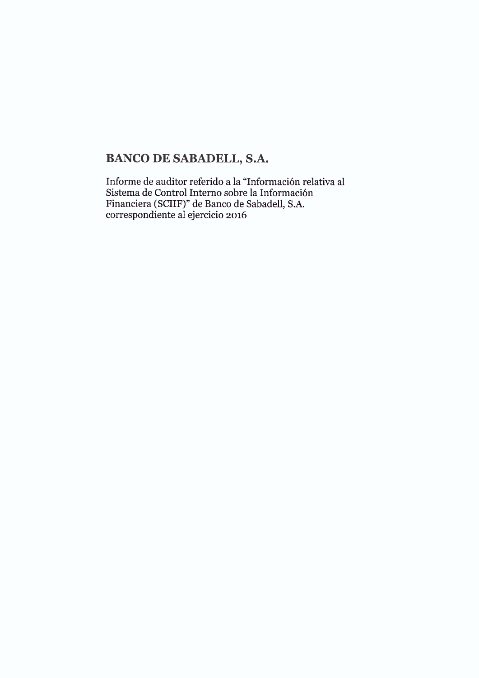# **BANCO DE SABADELL, S.A.**

Informe de auditor referido a la "Información relativa al Sistema de Control Interno sobre la Información Financiera (SCIIF)" de Banco de Sabadell, S.A.<br>correspondiente al ejercicio 2016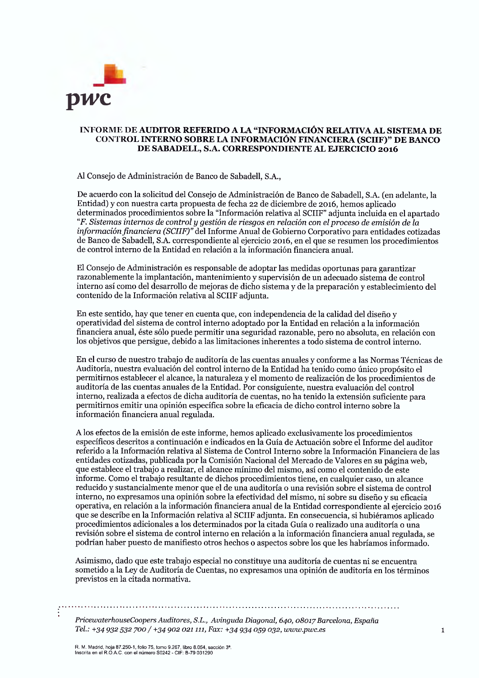

#### INFORME DE AUDITOR REFERIDO A LA "INFORMACIÓN RELATIVA AL SISTEMA DE CONTROL INTERNO SOBRE LA INFORMACIÓN FINANCIERA (SCIIF)" DE BANCO DE SABADELL, S.A. CORRESPONDIENTE AL EJERCICIO 2016

Al Consejo de Administración de Banco de Sabadell, S.A.,

De acuerdo con la solicitud del Consejo de Administración de Banco de Sabadell, S.A. (en adelante, la Entidad) y con nuestra carta propuesta de fecha 22 de diciembre de 2016, hemos aplicado determinados procedimientos sobre la "Información relativa al SCIIF" adjunta incluida en el apartado F. Sistemas internos de control y gestión de riesgos en relación con el proceso de emisión de la información financiera (SCIIF)" del Informe Anual de Gobierno Corporativo para entidades cotizadas de Banco de Sabadell, S.A. correspondiente al ejercicio 2016, en el que se resumen los procedimientos de control interno de la Entidad en relación a la información financiera anual.

El Consejo de Administración es responsable de adoptar las medidas oportunas para garantizar razonablemente la implantación, mantenimiento y supervisión de un adecuado sistema de control interno así como del desarrollo de mejoras de dicho sistema y de la preparación y establecimiento del contenido de la Información relativa al SCIIF adjunta.

En este sentido, hay que tener en cuenta que, con independencia de la calidad del diseño y operatividad del sistema de control interno adoptado por la Entidad en relación a la información financiera anual, éste sólo puede permitir una seguridad razonable, pero no absoluta, en relación con los objetivos que persigue, debido a las limitaciones inherentes a todo sistema de control interno.

En el curso de nuestro trabajo de auditoría de las cuentas anuales y conforme a las Normas Técnicas de Auditoría, nuestra evaluación del control interno de la Entidad ha tenido como único propósito el permitirnos establecer el alcance, la naturaleza y el momento de realización de los procedimientos de auditoría de las cuentas anuales de la Entidad. Por consiguiente, nuestra evaluación del control interno, realizada a efectos de dicha auditoría de cuentas, no ha tenido la extensión suficiente para permitirnos emitir una opinión específica sobre la eficacia de dicho control interno sobre la información financiera anual regulada.

A los efectos de la emisión de este informe, hemos aplicado exclusivamente los procedimientos específicos descritos a continuación e indicados en la Guía de Actuación sobre el Informe del auditor referido a la Información relativa al Sistema de Control Interno sobre la Información Financiera de las entidades cotizadas, publicada por la Comisión Nacional del Mercado de Valores en su página web, que establece el trabajo a realizar, el alcance mínimo del mismo, así como el contenido de este informe. Como el trabajo resultante de dichos procedimientos tiene, en cualquier caso, un alcance reducido y sustancialmente menor que el de una auditoría o una revisión sobre el sistema de control interno, no expresamos una opinión sobre la efectividad del mismo, ni sobre su diseño y su eficacia operativa, en relación a la información financiera anual de la Entidad correspondiente al ejercicio 2016 que se describe en la Información relativa al SCIIF adjunta. En consecuencia, si hubiéramos aplicado procedimientos adicionales a los determinados por la citada Guía o realizado una auditoría o una revisión sobre el sistema de control interno en relación a la información financiera anual regulada, se podrían haber puesto de manifiesto otros hechos o aspectos sobre los que les habríamos informado.

Asimismo, dado que este trabajo especial no constituve una auditoría de cuentas ni se encuentra sometido a la Ley de Auditoría de Cuentas, no expresamos una opinión de auditoría en los términos previstos en la citada normativa.

PricewaterhouseCoopers Auditores, S.L., Avinguda Diagonal, 640, 08017 Barcelona, España Tel.: +34 932 532 700 / +34 902 021 111, Fax: +34 934 059 032, www.pwc.es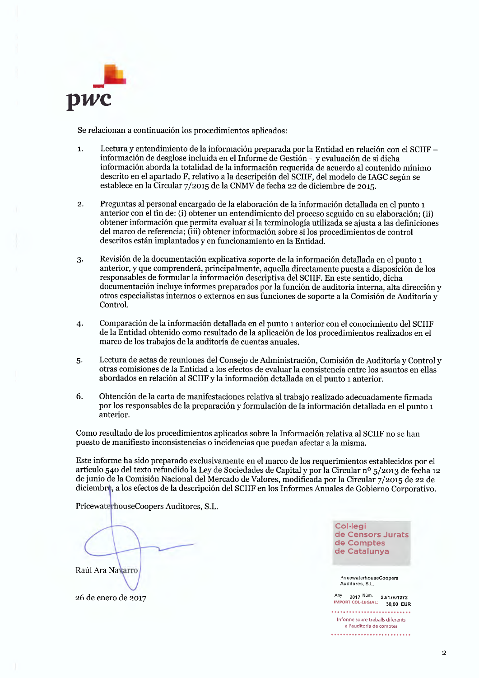

Se relacionan a continuación los procedimientos aplicados:

- Lectura y entendimiento de la información preparada por la Entidad en relación con el SCIIF - $\mathbf{1}$ información de desglose incluida en el Informe de Gestión - y evaluación de si dicha información aborda la totalidad de la información requerida de acuerdo al contenido mínimo descrito en el apartado F, relativo a la descripción del SCIIF, del modelo de IAGC según se establece en la Circular 7/2015 de la CNMV de fecha 22 de diciembre de 2015.
- Preguntas al personal encargado de la elaboración de la información detallada en el punto 1  $\overline{2}$ . anterior con el fin de: (i) obtener un entendimiento del proceso seguido en su elaboración; (ii) obtener información que permita evaluar si la terminología utilizada se ajusta a las definiciones del marco de referencia; (iii) obtener información sobre si los procedimientos de control descritos están implantados y en funcionamiento en la Entidad.
- Revisión de la documentación explicativa soporte de la información detallada en el punto 1  $3.$ anterior, y que comprenderá, principalmente, aquella directamente puesta a disposición de los responsables de formular la información descriptiva del SCIIF. En este sentido, dicha documentación incluye informes preparados por la función de auditoría interna, alta dirección y otros especialistas internos o externos en sus funciones de soporte a la Comisión de Auditoría y Control.
- Comparación de la información detallada en el punto 1 anterior con el conocimiento del SCIIF 4. de la Entidad obtenido como resultado de la aplicación de los procedimientos realizados en el marco de los trabajos de la auditoría de cuentas anuales.
- Lectura de actas de reuniones del Consejo de Administración, Comisión de Auditoría y Control y 5. otras comisiones de la Entidad a los efectos de evaluar la consistencia entre los asuntos en ellas abordados en relación al SCIIF y la información detallada en el punto 1 anterior.
- 6. Obtención de la carta de manifestaciones relativa al trabajo realizado adecuadamente firmada por los responsables de la preparación y formulación de la información detallada en el punto 1 anterior.

Como resultado de los procedimientos aplicados sobre la Información relativa al SCIIF no se han puesto de manifiesto inconsistencias o incidencias que puedan afectar a la misma.

Este informe ha sido preparado exclusivamente en el marco de los requerimientos establecidos por el artículo 540 del texto refundido la Ley de Sociedades de Capital y por la Circular nº 5/2013 de fecha 12 de junio de la Comisión Nacional del Mercado de Valores, modificada por la Circular 7/2015 de 22 de diciembre, a los efectos de la descripción del SCIIF en los Informes Anuales de Gobierno Corporativo.

PricewaterhouseCoopers Auditores, S.L.

Raúl Ara Navarro



PricewaterhouseCoopers Auditores, S.L.

Any 2017 Núm. 20/17/01272<br>IMPORT COL-LEGIAL: 30.00 FUE 30,00 EUR . . . . . . . . . . . . . . . . . . . Informe sobre treballs diferents a l'auditoria de comptes 

26 de enero de 2017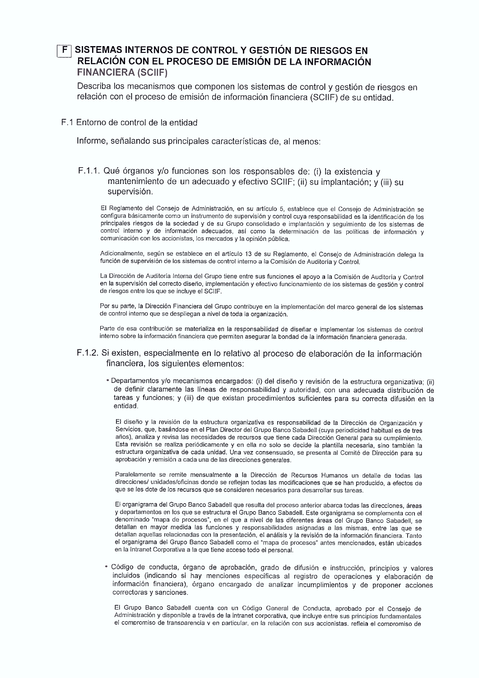## SISTEMAS INTERNOS DE CONTROL Y GESTIÓN DE RIESGOS EN RELACIÓN CON EL PROCESO DE EMISIÓN DE LA INFORMACIÓN **FINANCIERA (SCIIF)**

Describa los mecanismos que componen los sistemas de control y gestión de riesgos en relación con el proceso de emisión de información financiera (SCIIF) de su entidad.

#### F.1 Entorno de control de la entidad

Informe, señalando sus principales características de, al menos:

## F.1.1. Qué órganos y/o funciones son los responsables de: (i) la existencia y mantenimiento de un adecuado y efectivo SCIIF; (ii) su implantación; y (iii) su supervisión.

El Reglamento del Consejo de Administración, en su artículo 5, establece que el Consejo de Administración se configura básicamente como un instrumento de supervisión y control cuya responsabilidad es la identificación de los principales riesgos de la sociedad y de su Grupo consolidado e implantación y seguimiento de los sistemas de control interno y de información adecuados, así como la determinación de las políticas de información y comunicación con los accionistas, los mercados y la opinión pública.

Adicionalmente, según se establece en el artículo 13 de su Reglamento, el Consejo de Administración delega la función de supervisión de los sistemas de control interno a la Comisión de Auditoría y Control.

La Dirección de Auditoría Interna del Grupo tiene entre sus funciones el apoyo a la Comisión de Auditoría y Control en la supervisión del correcto diseño, implementación y efectivo funcionamiento de los sistemas de gestión y control de riesgos entre los que se incluye el SCIIF.

Por su parte, la Dirección Financiera del Grupo contribuye en la implementación del marco general de los sistemas de control interno que se despliegan a nivel de toda la organización.

Parte de esa contribución se materializa en la responsabilidad de diseñar e implementar los sistemas de control interno sobre la información financiera que permiten asegurar la bondad de la información financiera generada.

#### F.1.2. Si existen, especialmente en lo relativo al proceso de elaboración de la información financiera, los siguientes elementos:

· Departamentos y/o mecanismos encargados: (i) del diseño y revisión de la estructura organizativa; (ii) de definir claramente las líneas de responsabilidad y autoridad, con una adecuada distribución de tareas y funciones; y (iii) de que existan procedimientos suficientes para su correcta difusión en la entidad

El diseño y la revisión de la estructura organizativa es responsabilidad de la Dirección de Organización y Servicios, que, basándose en el Plan Director del Grupo Banco Sabadell (cuya periodicidad habitual es de tres años), analiza y revisa las necesidades de recursos que tiene cada Dirección General para su cumplimiento. Esta revisión se realiza periódicamente y en ella no solo se decide la plantilla necesaria, sino también la estructura organizativa de cada unidad. Una vez consensuado, se presenta al Comité de Dirección para su aprobación y remisión a cada una de las direcciones generales.

Paralelamente se remite mensualmente a la Dirección de Recursos Humanos un detalle de todas las direcciones/ unidades/oficinas donde se reflejan todas las modificaciones que se han producido, a efectos de que se les dote de los recursos que se consideren necesarios para desarrollar sus tareas.

El organigrama del Grupo Banco Sabadell que resulta del proceso anterior abarca todas las direcciones, áreas y departamentos en los que se estructura el Grupo Banco Sabadell. Este organigrama se complementa con el denominado "mapa de procesos", en el que a nivel de las diferentes áreas del Grupo Banco Sabadell, se detallan en mayor medida las funciones y responsabilidades asignadas a las mismas, entre las que se detallan aquellas relacionadas con la presentación, el análisis y la revisión de la información financiera. Tanto el organigrama del Grupo Banco Sabadell como el "mapa de procesos" antes mencionados, están ubicados en la Intranet Corporativa a la que tiene acceso todo el personal.

· Código de conducta, órgano de aprobación, grado de difusión e instrucción, principios y valores incluidos (indicando si hay menciones específicas al registro de operaciones y elaboración de información financiera), órgano encargado de analizar incumplimientos y de proponer acciones correctoras y sanciones.

El Grupo Banco Sabadell cuenta con un Código General de Conducta, aprobado por el Consejo de Administración y disponible a través de la intranet corporativa, que incluye entre sus principios fundamentales el compromiso de transparencia y en particular, en la relación con sus accionistas, refleja el compromiso de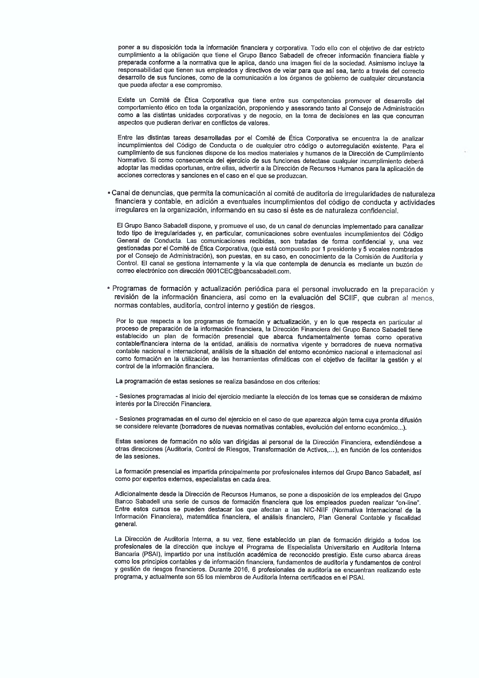poner a su disposición toda la información financiera y corporativa. Todo ello con el objetivo de dar estricto cumplimiento a la obligación que tiene el Grupo Banco Sabadell de ofrecer información financiera fiable y preparada conforme a la normativa que le aplica, dando una imagen fiel de la sociedad. Asimismo incluye la responsabilidad que tienen sus empleados y directivos de velar para que así sea, tanto a través del correcto desarrollo de sus funciones, como de la comunicación a los órganos de gobierno de cualquier circunstancia que pueda afectar a ese compromiso.

Existe un Comité de Ética Corporativa que tiene entre sus competencias promover el desarrollo del comportamiento ético en toda la organización, proponiendo y asesorando tanto al Consejo de Administración como a las distintas unidades corporativas y de negocio, en la toma de decisiones en las que concurran aspectos que pudieran derivar en conflictos de valores.

Entre las distintas tareas desarrolladas por el Comité de Ética Corporativa se encuentra la de analizar incumplimientos del Código de Conducta o de cualquier otro código o autorregulación existente. Para el cumplimiento de sus funciones dispone de los medios materiales y humanos de la Dirección de Cumplimiento Normativo. Si como consecuencia del ejercicio de sus funciones detectase cualquier incumplimiento deberá adoptar las medidas oportunas, entre ellas, advertir a la Dirección de Recursos Humanos para la aplicación de acciones correctoras y sanciones en el caso en el que se produzcan.

· Canal de denuncias, que permita la comunicación al comité de auditoría de irregularidades de naturaleza financiera y contable, en adición a eventuales incumplimientos del código de conducta y actividades irregulares en la organización, informando en su caso si éste es de naturaleza confidencial.

El Grupo Banco Sabadell dispone, y promueve el uso, de un canal de denuncias implementado para canalizar todo tipo de irregularidades y, en particular, comunicaciones sobre eventuales incumplimientos del Código General de Conducta. Las comunicaciones recibidas, son tratadas de forma confidencial y, una vez gestionadas por el Comité de Ética Corporativa, (que está compuesto por 1 presidente y 5 vocales nombrados por el Consejo de Administración), son puestas, en su caso, en conocimiento de la Comisión de Auditoría y Control. El canal se gestiona internamente y la vía que contempla de denuncia es mediante un buzón de correo electrónico con dirección 0901CEC@bancsabadell.com.

\* Programas de formación y actualización periódica para el personal involucrado en la preparación y revisión de la información financiera, así como en la evaluación del SCIIF, que cubran al menos, normas contables, auditoría, control interno y gestión de riesgos.

Por lo que respecta a los programas de formación y actualización, y en lo que respecta en particular al proceso de preparación de la información financiera, la Dirección Financiera del Grupo Banco Sabadell tiene establecido un plan de formación presencial que abarca fundamentalmente temas como operativa contable/financiera interna de la entidad, análisis de normativa vigente y borradores de nueva normativa contable nacional e internacional, análisis de la situación del entorno económico nacional e internacional así como formación en la utilización de las herramientas ofimáticas con el objetivo de facilitar la gestión y el control de la información financiera.

La programación de estas sesiones se realiza basándose en dos criterios:

- Sesiones programadas al inicio del ejercicio mediante la elección de los temas que se consideran de máximo interés por la Dirección Financiera.

- Sesiones programadas en el curso del ejercicio en el caso de que aparezca algún tema cuya pronta difusión se considere relevante (borradores de nuevas normativas contables, evolución del entorno económico...).

Estas sesiones de formación no sólo van dirigidas al personal de la Dirección Financiera, extendiéndose a otras direcciones (Auditoría, Control de Riesgos, Transformación de Activos,...), en función de los contenidos de las sesiones.

La formación presencial es impartida principalmente por profesionales internos del Grupo Banco Sabadell, así como por expertos externos, especialistas en cada área.

Adicionalmente desde la Dirección de Recursos Humanos, se pone a disposición de los empleados del Grupo Banco Sabadell una serie de cursos de formación financiera que los empleados pueden realizar "on-line". Entre estos cursos se pueden destacar los que afectan a las NIC-NIIF (Normativa Internacional de la Información Financiera), matemática financiera, el análisis financiero, Plan General Contable y fiscalidad general.

La Dirección de Auditoría Interna, a su vez, tiene establecido un plan de formación dirigido a todos los profesionales de la dirección que incluye el Programa de Especialista Universitario en Auditoría Interna Bancaria (PSAI), impartido por una institución académica de reconocido prestigio. Este curso abarca áreas como los principios contables y de información financiera, fundamentos de auditoría y fundamentos de control y gestión de riesgos financieros. Durante 2016, 6 profesionales de auditoría se encuentran realizando este programa, y actualmente son 65 los miembros de Auditoría Interna certificados en el PSAI.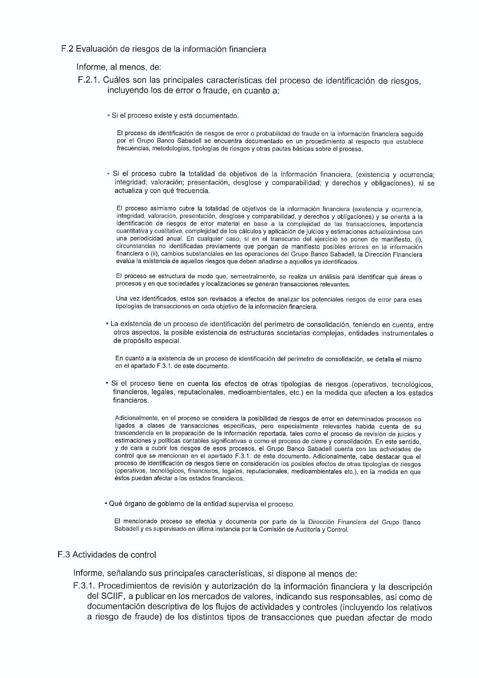#### F.2 Evaluación de riesgos de la información financiera

Informe, al menos, de:

- F.2.1. Cuáles son las principales características del proceso de identificación de riesgos. incluyendo los de error o fraude, en cuanto a:
	- Si el proceso existe y está documentado.

El proceso de identificación de riesgos de error o probabilidad de fraude en la información financiera seguido por el Grupo Banco Sabadell se encuentra documentado en un procedimiento al respecto que establece frecuencias, metodologías, tipologías de riesgos y otras pautas básicas sobre el proceso.

· Si el proceso cubre la totalidad de objetivos de la información financiera, (existencia y ocurrencia: integridad; valoración; presentación, desglose y comparabilidad; y derechos y obligaciones), si se actualiza y con qué frecuencia.

El proceso asimismo cubre la totalidad de objetivos de la información financiera (existencia y ocurrencia, integridad, valoración, presentación, desglose y comparabilidad, y derechos y obligaciones) y se orienta a la identificación de riesgos de error material en base a la complejidad de las transacciones, importancia cuantitativa y cualitativa, complejidad de los cálculos y aplicación de juicios y estimaciones actualizándose con una periodicidad anual. En cualquier caso, si en el transcurso del ejercicio se ponen de manifiesto, (i), circunstancias no identificadas previamente que pongan de manifiesto posibles errores en la información financiera o (ii), cambios substanciales en las operaciones del Grupo Banco Sabadell, la Dirección Financiera evalúa la existencia de aquellos riesgos que deben añadirse a aquellos ya identificados.

El proceso se estructura de modo que, semestralmente, se realiza un análisis para identificar qué áreas o procesos y en que sociedades y localizaciones se generan transacciones relevantes.

Una vez identificados, estos son revisados a efectos de analizar los potenciales riesgos de error para esas tipologías de transacciones en cada objetivo de la información financiera.

· La existencia de un proceso de identificación del perímetro de consolidación, teniendo en cuenta, entre otros aspectos, la posible existencia de estructuras societarias complejas, entidades instrumentales o de propósito especial.

En cuanto a la existencia de un proceso de identificación del perímetro de consolidación, se detalla el mismo en el apartado F.3.1. de este documento.

· Si el proceso tiene en cuenta los efectos de otras tipologías de riesgos (operativos, tecnológicos, financieros, legales, reputacionales, medioambientales, etc.) en la medida que afecten a los estados financieros.

Adicionalmente, en el proceso se considera la posibilidad de riesgos de error en determinados procesos no ligados a clases de transacciones específicas, pero especialmente relevantes habida cuenta de su trascendencia en la preparación de la información reportada, tales como el proceso de revisión de juicios y estimaciones y políticas contables significativas o como el proceso de cierre y consolidación. En este sentido, v de cara a cubrir los riesgos de esos procesos, el Grupo Banco Sabadell cuenta con las actividades de control que se mencionan en el apartado F.3.1. de este documento. Adicionalmente, cabe destacar que el proceso de identificación de riesgos tiene en consideración los posibles efectos de otras tipologías de riesgos (operativos, tecnológicos, financieros, legales, reputacionales, medioambientales etc.), en la medida en que éstos puedan afectar a los estados financieros.

· Qué órgano de gobierno de la entidad supervisa el proceso.

El mencionado proceso se efectúa y documenta por parte de la Dirección Financiera del Grupo Banco Sabadell y es supervisado en última instancia por la Comisión de Auditoría y Control.

#### F.3 Actividades de control

Informe, señalando sus principales características, si dispone al menos de:

F.3.1. Procedimientos de revisión y autorización de la información financiera y la descripción del SCIIF, a publicar en los mercados de valores, indicando sus responsables, así como de documentación descriptiva de los flujos de actividades y controles (incluvendo los relativos a riesgo de fraude) de los distintos tipos de transacciones que puedan afectar de modo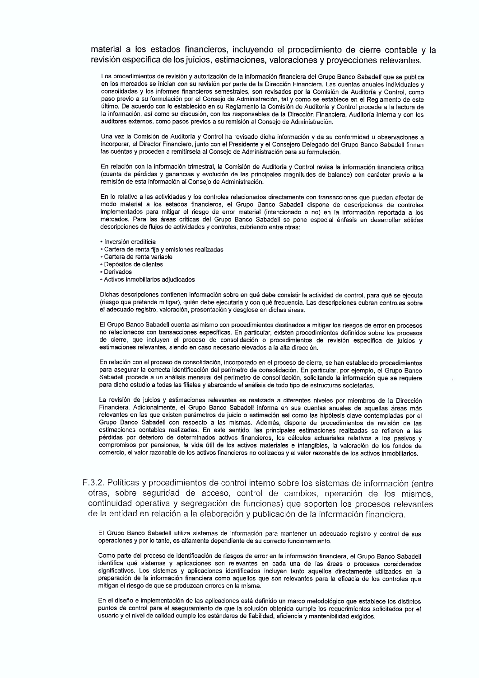#### material a los estados financieros, incluyendo el procedimiento de cierre contable y la revisión específica de los juicios, estimaciones, valoraciones y proyecciones relevantes.

Los procedimientos de revisión y autorización de la información financiera del Grupo Banco Sabadell que se publica en los mercados se inician con su revisión por parte de la Dirección Financiera. Las cuentas anuales individuales y consolidadas y los informes financieros semestrales, son revisados por la Comisión de Auditoría y Control, como paso previo a su formulación por el Consejo de Administración, tal y como se establece en el Regiamento de este último. De acuerdo con lo establecido en su Reglamento la Comisión de Auditoría y Control procede a la lectura de la información, así como su discusión, con los responsables de la Dirección Financiera, Auditoría Interna y con los auditores externos, como pasos previos a su remisión al Consejo de Administración.

Una vez la Comisión de Auditoría y Control ha revisado dicha información y da su conformidad u observaciones a incorporar, el Director Financiero, junto con el Presidente y el Consejero Delegado del Grupo Banco Sabadell firman las cuentas y proceden a remitírsela al Consejo de Administración para su formulación.

En relación con la información trimestral, la Comisión de Auditoría y Control revisa la información financiera crítica (cuenta de pérdidas y ganancias y evolución de las principales magnitudes de balance) con carácter previo a la remisión de esta información al Consejo de Administración.

En lo relativo a las actividades y los controles relacionados directamente con transacciones que puedan afectar de modo material a los estados financieros, el Grupo Banco Sabadell dispone de descripciones de controles implementados para mitigar el riesgo de error material (intencionado o no) en la información reportada a los mercados. Para las áreas críticas del Grupo Banco Sabadell se pone especial énfasis en desarrollar sólidas descripciones de fluios de actividades y controles, cubriendo entre otras:

- · Inversión crediticia
- Cartera de renta fija y emisiones realizadas
- . Cartera de renta variable
- Depósitos de clientes
- · Derivados
- Activos inmobiliarios adiudicados

Dichas descripciones contienen información sobre en qué debe consistir la actividad de control, para qué se ejecuta (riesgo que pretende mitigar), quién debe ejecutarla y con qué frecuencia. Las descripciones cubren controles sobre el adecuado registro, valoración, presentación y desglose en dichas áreas.

El Grupo Banco Sabadell cuenta asimismo con procedimientos destinados a mitigar los riesgos de error en procesos no relacionados con transacciones específicas. En particular, existen procedimientos definidos sobre los procesos de cierre, que incluyen el proceso de consolidación o procedimientos de revisión específica de juicios y estimaciones relevantes, siendo en caso necesario elevados a la alta dirección.

En relación con el proceso de consolidación, incorporado en el proceso de cierre, se han establecido procedimientos para asegurar la correcta identificación del perímetro de consolidación. En particular, por ejemplo, el Grupo Banco Sabadell procede a un análisis mensual del perímetro de consolidación, solicitando la información que se requiere para dicho estudio a todas las filiales y abarcando el análisis de todo tipo de estructuras societarias.

La revisión de juicios y estimaciones relevantes es realizada a diferentes niveles por miembros de la Dirección Financiera. Adicionalmente, el Grupo Banco Sabadell informa en sus cuentas anuales de aquellas áreas más relevantes en las que existen parámetros de juicio o estimación así como las hipótesis clave contempladas por el Grupo Banco Sabadell con respecto a las mismas. Además, dispone de procedimientos de revisión de las estimaciones contables realizadas. En este sentido, las principales estimaciones realizadas se refieren a las pérdidas por deterioro de determinados activos financieros, los cálculos actuariales relativos a los pasivos y compromisos por pensiones, la vida útil de los activos materiales e intangibles, la valoración de los fondos de comercio, el valor razonable de los activos financieros no cotizados y el valor razonable de los activos inmobiliarios.

F.3.2. Políticas y procedimientos de control interno sobre los sistemas de información (entre otras, sobre seguridad de acceso, control de cambios, operación de los mismos. continuidad operativa y segregación de funciones) que soporten los procesos relevantes de la entidad en relación a la elaboración y publicación de la información financiera.

El Grupo Banco Sabadell utiliza sistemas de información para mantener un adecuado registro y control de sus operaciones y por lo tanto, es altamente dependiente de su correcto funcionamiento.

Como parte del proceso de identificación de riesgos de error en la información financiera, el Grupo Banco Sabadell identifica qué sistemas y aplicaciones son relevantes en cada una de las áreas o procesos considerados significativos. Los sistemas y aplicaciones identificados incluyen tanto aquellos directamente utilizados en la preparación de la información financiera como aquellos que son relevantes para la eficacia de los controles que mitigan el riesgo de que se produzcan errores en la misma.

En el diseño e implementación de las aplicaciones está definido un marco metodológico que establece los distintos puntos de control para el aseguramiento de que la solución obtenida cumple los requerimientos solicitados por el usuario y el nivel de calidad cumple los estándares de fiabilidad, eficiencia y mantenibilidad exigidos.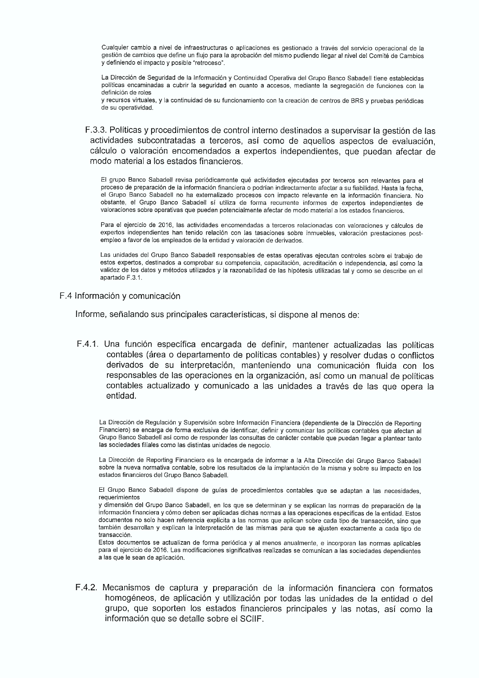Cualquier cambio a nivel de infraestructuras o aplicaciones es gestionado a través del servicio operacional de la gestión de cambios que define un flujo para la aprobación del mismo pudiendo llegar al nivel del Comité de Cambios y definiendo el impacto y posible "retroceso".

La Dirección de Seguridad de la Información y Continuidad Operativa del Grupo Banco Sabadell tiene establecidas políticas encaminadas a cubrir la seguridad en cuanto a accesos, mediante la segregación de funciones con la definición de roles

y recursos virtuales, y la continuidad de su funcionamiento con la creación de centros de BRS y pruebas periódicas de su operatividad.

F.3.3. Políticas y procedimientos de control interno destinados a supervisar la gestión de las actividades subcontratadas a terceros, así como de aquellos aspectos de evaluación. cálculo o valoración encomendados a expertos independientes, que puedan afectar de modo material a los estados financieros.

El grupo Banco Sabadell revisa periódicamente qué actividades ejecutadas por terceros son relevantes para el proceso de preparación de la información financiera o podrían indirectamente afectar a su fiabilidad. Hasta la fecha, el Grupo Banco Sabadell no ha externalizado procesos con impacto relevante en la información financiera. No obstante, el Grupo Banco Sabadell sí utiliza de forma recurrente informes de expertos independientes de valoraciones sobre operativas que pueden potencialmente afectar de modo material a los estados financieros.

Para el ejercicio de 2016, las actividades encomendadas a terceros relacionadas con valoraciones y cálculos de expertos independientes han tenido relación con las tasaciones sobre inmuebles, valoración prestaciones postempleo a favor de los empleados de la entidad y valoración de derivados.

Las unidades del Grupo Banco Sabadell responsables de estas operativas ejecutan controles sobre el trabajo de estos expertos, destinados a comprobar su competencia, capacitación, acreditación o independencia, así como la validez de los datos y métodos utilizados y la razonabilidad de las hipótesis utilizadas tal y como se describe en el apartado F.3.1.

F.4 Información y comunicación

Informe, señalando sus principales características, si dispone al menos de:

F.4.1. Una función específica encargada de definir, mantener actualizadas las políticas contables (área o departamento de políticas contables) y resolver dudas o conflictos derivados de su interpretación, manteniendo una comunicación fluida con los responsables de las operaciones en la organización, así como un manual de políticas contables actualizado y comunicado a las unidades a través de las que opera la entidad.

La Dirección de Regulación y Supervisión sobre Información Financiera (dependiente de la Dirección de Reporting Financiero) se encarga de forma exclusiva de identificar, definir y comunicar las políticas contables que afectan al Grupo Banco Sabadell así como de responder las consultas de carácter contable que puedan llegar a plantear tanto las sociedades filiales como las distintas unidades de negocio.

La Dirección de Reporting Financiero es la encargada de informar a la Alta Dirección del Grupo Banco Sabadell sobre la nueva normativa contable, sobre los resultados de la implantación de la misma y sobre su impacto en los estados financieros del Grupo Banco Sabadell.

El Grupo Banco Sabadell dispone de guías de procedimientos contables que se adaptan a las necesidades. requerimientos

y dimensión del Grupo Banco Sabadell, en los que se determinan y se explican las normas de preparación de la información financiera y cómo deben ser aplicadas dichas normas a las operaciones específicas de la entidad. Estos documentos no solo hacen referencia explícita a las normas que aplican sobre cada tipo de transacción, sino que también desarrollan y explican la interpretación de las mismas para que se ajusten exactamente a cada tipo de transacción.

Estos documentos se actualizan de forma periódica y al menos anualmente, e incorporan las normas aplicables para el ejercicio de 2016. Las modificaciones significativas realizadas se comunican a las sociedades dependientes a las que le sean de aplicación.

F.4.2. Mecanismos de captura y preparación de la información financiera con formatos homogéneos, de aplicación y utilización por todas las unidades de la entidad o del grupo, que soporten los estados financieros principales y las notas, así como la información que se detalle sobre el SCIIF.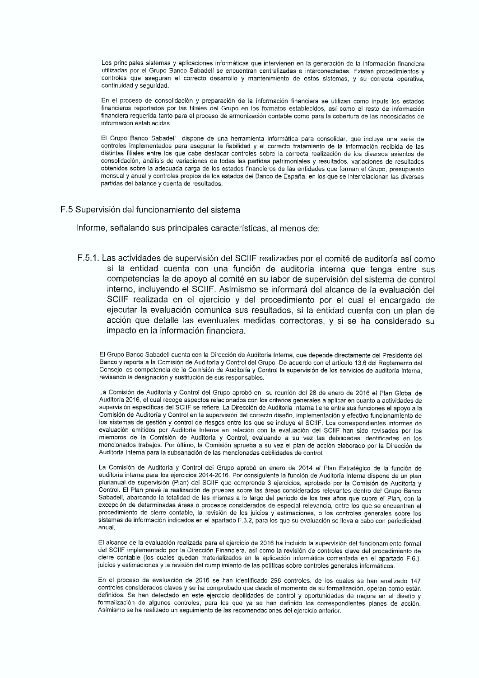Los principales sistemas y aplicaciones informáticas que intervienen en la generación de la información financiera utilizadas por el Grupo Banco Sabadell se encuentran centralizadas e interconectadas. Existen procedimientos y controles que aseguran el correcto desarrollo y mantenimiento de estos sistemas, y su correcta operativa, continuidad y sequridad.

En el proceso de consolidación y preparación de la información financiera se utilizan como inputs los estados financieros reportados por las filiales del Grupo en los formatos establecidos, así como el resto de información financiera requerida tanto para el proceso de armonización contable como para la cobertura de las necesidades de información establecidas

El Grupo Banco Sabadell dispone de una herramienta informática para consolidar, que incluye una serie de controles implementados para asegurar la fiabilidad y el correcto tratamiento de la información recibida de las distintas filiales entre los que cabe destacar controles sobre la correcta realización de los diversos asientos de consolidación, análisis de variaciones de todas las partidas patrimoniales y resultados, variaciones de resultados obtenidos sobre la adecuada carga de los estados financieros de las entidades que forman el Grupo, presupuesto mensual y anual y controles propios de los estados del Banco de España, en los que se interrelacionan las diversas partidas del balance y cuenta de resultados.

#### F.5 Supervisión del funcionamiento del sistema

Informe, señalando sus principales características, al menos de:

F.5.1. Las actividades de supervisión del SCIIF realizadas por el comité de auditoría así como si la entidad cuenta con una función de auditoría interna que tenga entre sus competencias la de apoyo al comité en su labor de supervisión del sistema de control interno, incluyendo el SCIIF. Asimismo se informará del alcance de la evaluación del SCIIF realizada en el ejercicio y del procedimiento por el cual el encargado de ejecutar la evaluación comunica sus resultados, si la entidad cuenta con un plan de acción que detalle las eventuales medidas correctoras, y si se ha considerado su impacto en la información financiera.

El Grupo Banco Sabadell cuenta con la Dirección de Auditoría Interna, que depende directamente del Presidente del Banco y reporta a la Comisión de Auditoría y Control del Grupo. De acuerdo con el artículo 13.6 del Regiamento del Consejo, es competencia de la Comisión de Auditoría y Control la supervisión de los servicios de auditoría interna, revisando la designación y sustitución de sus responsables.

La Comisión de Auditoría y Control del Grupo aprobó en su reunión del 28 de enero de 2016 el Plan Global de Auditoría 2016, el cual recoge aspectos relacionados con los criterios generales a aplicar en cuanto a actividades de supervisión específicas del SCIIF se refiere. La Dirección de Auditoría Interna tiene entre sus funciones el apoyo a la Comisión de Auditoría y Control en la supervisión del correcto diseño, implementación y efectivo funcionamiento de los sistemas de gestión y control de riesgos entre los que se incluye el SCIIF. Los correspondientes informes de evaluación emitidos por Auditoría Interna en relación con la evaluación del SCIIF han sido revisados por los miembros de la Comisión de Auditoría y Control, evaluando a su vez las debilidades identificadas en los mencionados trabajos. Por último, la Comisión aprueba a su vez el plan de acción elaborado por la Dirección de Auditoría Interna para la subsanación de las mencionadas debilidades de control.

La Comisión de Auditoría y Control del Grupo aprobó en enero de 2014 el Plan Estratégico de la función de auditoría interna para los ejercicios 2014-2016. Por consiguiente la función de Auditoría Interna dispone de un plan plurianual de supervisión (Plan) del SCIIF que comprende 3 ejercicios, aprobado por la Comisión de Auditoría y Control. El Plan prevé la realización de pruebas sobre las áreas consideradas relevantes dentro del Grupo Banco Sabadell, abarcando la totalidad de las mismas a lo largo del periodo de los tres años que cubre el Plan, con la excepción de determinadas áreas o procesos considerados de especial relevancia, entre los que se encuentran el procedimiento de cierre contable, la revisión de los juicios y estimaciones, o los controles generales sobre los sistemas de información indicados en el apartado F.3.2, para los que su evaluación se lleva a cabo con periodicidad anual.

El alcance de la evaluación realizada para el ejercicio de 2016 ha incluido la supervisión del funcionamiento formal del SCIIF implementado por la Dirección Financiera, así como la revisión de controles clave del procedimiento de cierre contable (los cuales quedan materializados en la aplicación informática comentada en el apartado F.6.), juicios y estimaciones y la revisión del cumplimiento de las políticas sobre controles generales informáticos.

En el proceso de evaluación de 2016 se han identificado 298 controles, de los cuales se han analizado 147 controles considerados claves y se ha comprobado que desde el momento de su formalización, operan como están definidos. Se han detectado en este ejercicio debilidades de control y oportunidades de mejora en el diseño y formalización de algunos controles, para los que ya se han definido los correspondientes planes de acción. Asimismo se ha realizado un seguimiento de las recomendaciones del ejercicio anterior.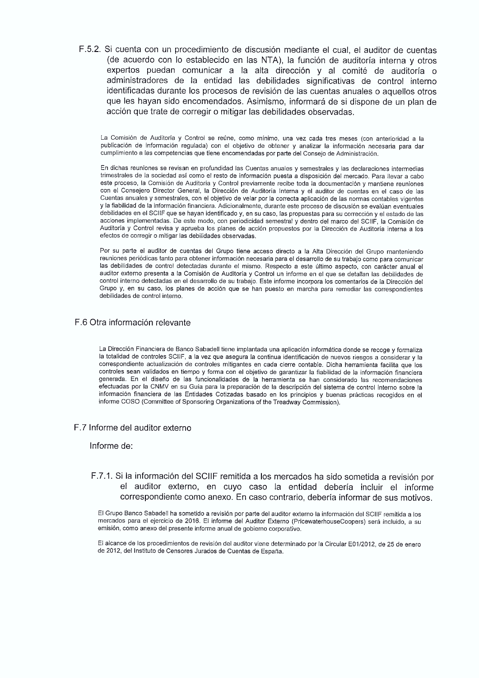F.5.2. Si cuenta con un procedimiento de discusión mediante el cual, el auditor de cuentas (de acuerdo con lo establecido en las NTA), la función de auditoría interna y otros expertos puedan comunicar a la alta dirección y al comité de auditoría o administradores de la entidad las debilidades significativas de control interno identificadas durante los procesos de revisión de las cuentas anuales o aquellos otros que les hayan sido encomendados. Asimismo, informará de si dispone de un plan de acción que trate de corregir o mitigar las debilidades observadas.

La Comisión de Auditoría y Control se reúne, como mínimo, una vez cada tres meses (con anterioridad a la publicación de información regulada) con el objetivo de obtener y analizar la información necesaria para dar cumplimiento a las competencias que tiene encomendadas por parte del Consejo de Administración.

En dichas reuniones se revisan en profundidad las Cuentas anuales y semestrales y las declaraciones intermedias trimestrales de la sociedad así como el resto de información puesta a disposición del mercado. Para llevar a cabo este proceso, la Comisión de Auditoría y Control previamente recibe toda la documentación y mantiene reuniones con el Consejero Director General, la Dirección de Auditoría Interna y el auditor de cuentas en el caso de las Cuentas anuales y semestrales, con el objetivo de velar por la correcta aplicación de las normas contables vigentes y la fiabilidad de la información financiera. Adicionalmente, durante este proceso de discusión se evalúan eventuales ,<br>debilidades en el SCIIF que se havan identificado γ, en su caso, las propuestas para su corrección y el estado de las acciones implementadas. De este modo, con periodicidad semestral y dentro del marco del SCIIF, la Comisión de Auditoría y Control revisa y aprueba los planes de acción propuestos por la Dirección de Auditoría interna a los efectos de corregir o mitigar las debilidades observadas.

Por su parte el auditor de cuentas del Grupo tiene acceso directo a la Alta Dirección del Grupo manteniendo reuniones periódicas tanto para obtener información necesaria para el desarrollo de su trabajo como para comunicar las debilidades de control detectadas durante el mismo. Respecto a este último aspecto, con carácter anual el auditor externo presenta a la Comisión de Auditoría y Control un informe en el que se detallan las debilidades de control interno detectadas en el desarrollo de su trabajo. Este informe incorpora los comentarios de la Dirección del Grupo y, en su caso, los planes de acción que se han puesto en marcha para remediar las correspondientes debilidades de control interno.

## F.6 Otra información relevante

La Dirección Financiera de Banco Sabadell tiene implantada una aplicación informática donde se recoge y formaliza la totalidad de controles SCIIF, a la vez que asegura la continua identificación de nuevos riesgos a considerar y la correspondiente actualización de controles mitigantes en cada cierre contable. Dicha herramienta facilita que los controles sean validados en tiempo y forma con el objetivo de garantizar la fiabilidad de la información financiera generada. En el diseño de las funcionalidades de la herramienta se han considerado las recomendaciones efectuadas por la CNMV en su Guía para la preparación de la descripción del sistema de control interno sobre la información financiera de las Entidades Cotizadas basado en los principios y buenas prácticas recogidos en el informe COSO (Committee of Sponsoring Organizations of the Treadway Commission).

#### F.7 Informe del auditor externo

#### Informe de:

## F.7.1. Si la información del SCIIF remitida a los mercados ha sido sometida a revisión por el auditor externo, en cuyo caso la entidad debería incluir el informe correspondiente como anexo. En caso contrario, debería informar de sus motivos.

El Grupo Banco Sabadell ha sometido a revisión por parte del auditor externo la información del SCIIF remitida a los mercados para el ejercicio de 2016. El informe del Auditor Externo (PricewaterhouseCoopers) será incluido, a su emisión, como anexo del presente informe anual de gobierno corporativo.

El alcance de los procedimientos de revisión del auditor viene determinado por la Circular E01/2012, de 25 de enero de 2012, del Instituto de Censores Jurados de Cuentas de España.